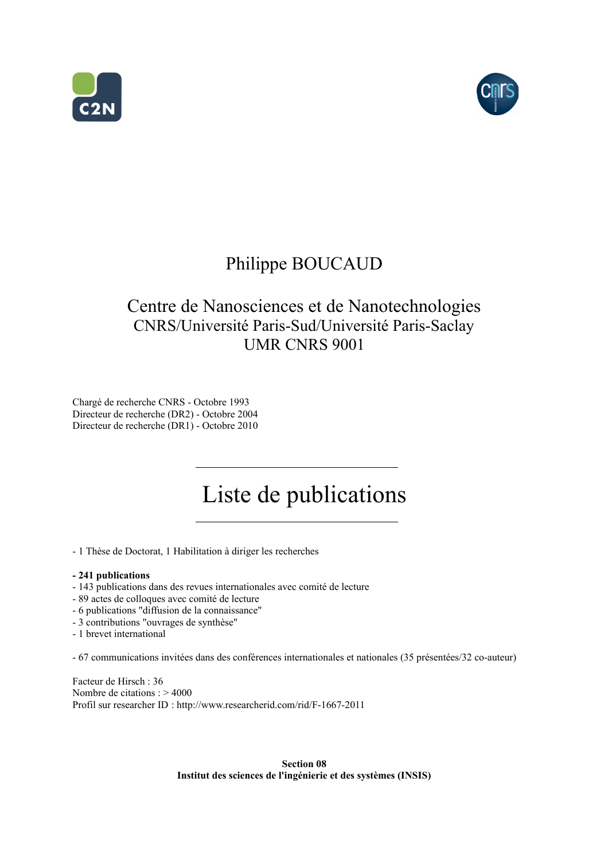



## Philippe BOUCAUD

## Centre de Nanosciences et de Nanotechnologies CNRS/Université Paris-Sud/Université Paris-Saclay UMR CNRS 9001

Chargé de recherche CNRS - Octobre 1993 Directeur de recherche (DR2) - Octobre 2004 Directeur de recherche (DR1) - Octobre 2010

# Liste de publications

- 1 Thèse de Doctorat, 1 Habilitation à diriger les recherches

#### **- 241 publications**

- 143 publications dans des revues internationales avec comité de lecture
- 89 actes de colloques avec comité de lecture
- 6 publications "diffusion de la connaissance"
- 3 contributions "ouvrages de synthèse"
- 1 brevet international

- 67 communications invitées dans des conférences internationales et nationales (35 présentées/32 co-auteur)

Facteur de Hirsch : 36 Nombre de citations : > 4000 [Profil sur researcher ID](http://www.researcherid.com/rid/F-1667-2011) : http://www.researcherid.com/rid/F-1667-2011

> **Section 08 Institut des sciences de l'ingénierie et des systèmes (INSIS)**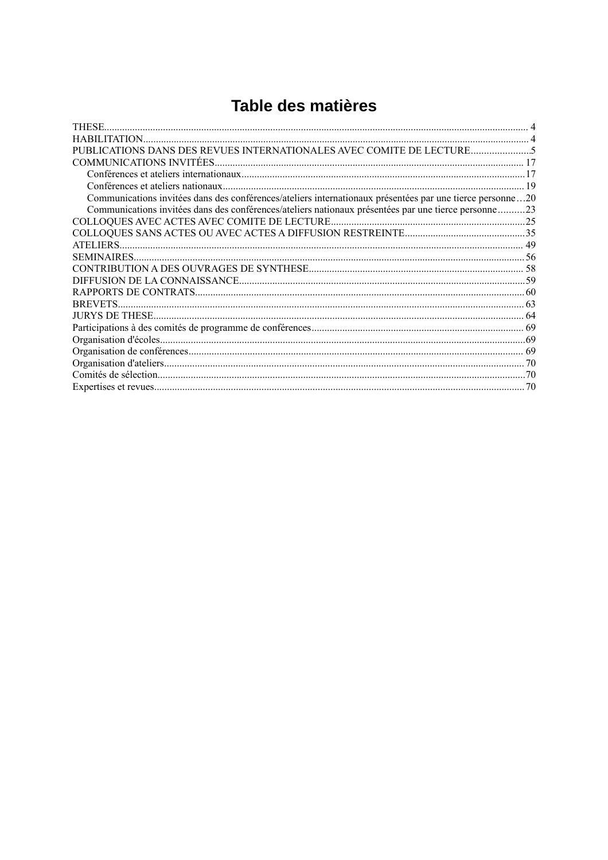## Table des matières

| <b>THESE</b>                                                                                              |  |
|-----------------------------------------------------------------------------------------------------------|--|
|                                                                                                           |  |
| PUBLICATIONS DANS DES REVUES INTERNATIONALES AVEC COMITE DE LECTURE                                       |  |
|                                                                                                           |  |
|                                                                                                           |  |
|                                                                                                           |  |
| Communications invitées dans des conférences/ateliers internationaux présentées par une tierce personne20 |  |
| Communications invitées dans des conférences/ateliers nationaux présentées par une tierce personne 23     |  |
|                                                                                                           |  |
|                                                                                                           |  |
|                                                                                                           |  |
|                                                                                                           |  |
|                                                                                                           |  |
|                                                                                                           |  |
|                                                                                                           |  |
|                                                                                                           |  |
|                                                                                                           |  |
|                                                                                                           |  |
|                                                                                                           |  |
|                                                                                                           |  |
|                                                                                                           |  |
|                                                                                                           |  |
|                                                                                                           |  |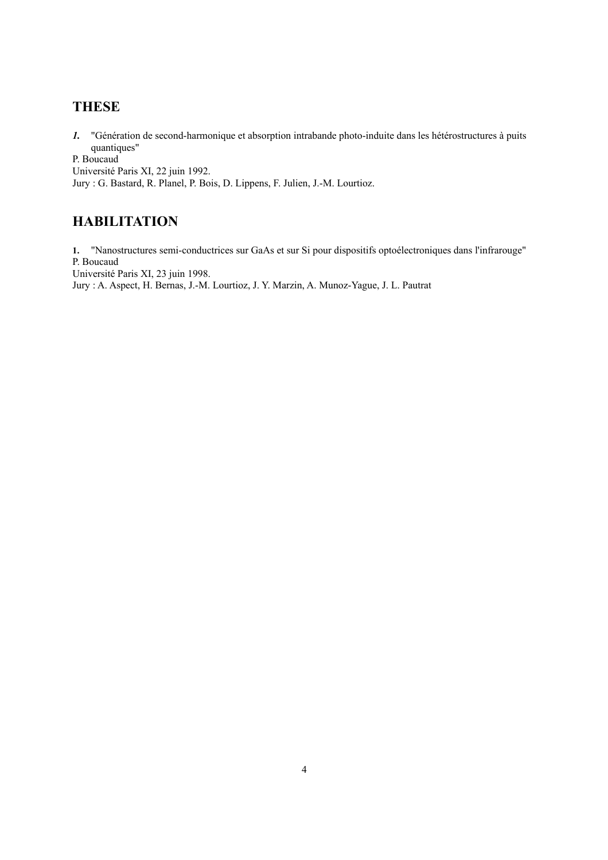### **THESE**

*1.* "Génération de second-harmonique et absorption intrabande photo-induite dans les hétérostructures à puits quantiques"

P. Boucaud

Université Paris XI, 22 juin 1992.

Jury : G. Bastard, R. Planel, P. Bois, D. Lippens, F. Julien, J.-M. Lourtioz.

## **HABILITATION**

**1.** "Nanostructures semi-conductrices sur GaAs et sur Si pour dispositifs optoélectroniques dans l'infrarouge" P. Boucaud

Université Paris XI, 23 juin 1998.

Jury : A. Aspect, H. Bernas, J.-M. Lourtioz, J. Y. Marzin, A. Munoz-Yague, J. L. Pautrat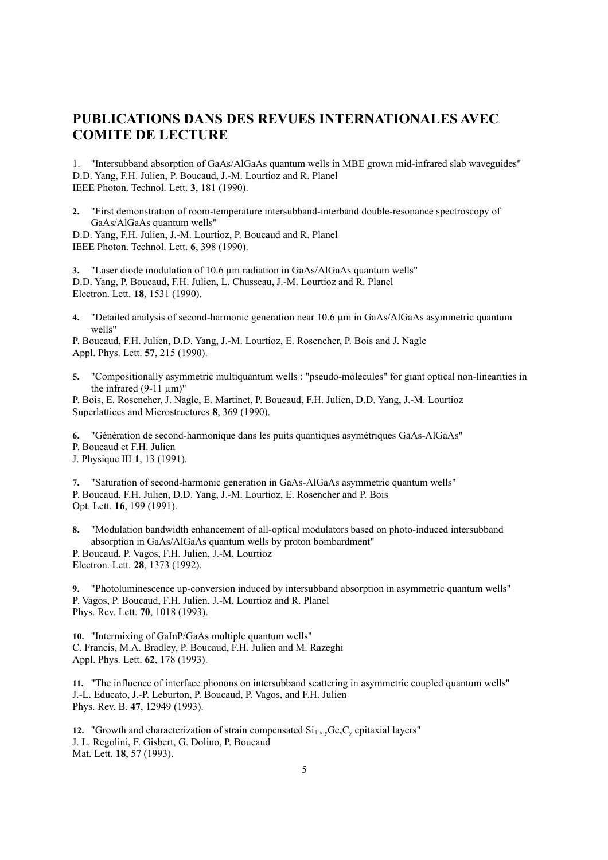### **PUBLICATIONS DANS DES REVUES INTERNATIONALES AVEC COMITE DE LECTURE**

1. "Intersubband absorption of GaAs/AlGaAs quantum wells in MBE grown mid-infrared slab waveguides" D.D. Yang, F.H. Julien, P. Boucaud, J.-M. Lourtioz and R. Planel IEEE Photon. Technol. Lett. **3**, 181 (1990).

**2.** "First demonstration of room-temperature intersubband-interband double-resonance spectroscopy of GaAs/AlGaAs quantum wells"

D.D. Yang, F.H. Julien, J.-M. Lourtioz, P. Boucaud and R. Planel IEEE Photon. Technol. Lett. **6**, 398 (1990).

**3.** "Laser diode modulation of 10.6 µm radiation in GaAs/AlGaAs quantum wells" D.D. Yang, P. Boucaud, F.H. Julien, L. Chusseau, J.-M. Lourtioz and R. Planel Electron. Lett. **18**, 1531 (1990).

**4.** "Detailed analysis of second-harmonic generation near 10.6 µm in GaAs/AlGaAs asymmetric quantum wells"

P. Boucaud, F.H. Julien, D.D. Yang, J.-M. Lourtioz, E. Rosencher, P. Bois and J. Nagle Appl. Phys. Lett. **57**, 215 (1990).

**5.** "Compositionally asymmetric multiquantum wells : "pseudo-molecules" for giant optical non-linearities in the infrared  $(9-11 \text{ nm})$ "

P. Bois, E. Rosencher, J. Nagle, E. Martinet, P. Boucaud, F.H. Julien, D.D. Yang, J.-M. Lourtioz Superlattices and Microstructures **8**, 369 (1990).

**6.** "Génération de second-harmonique dans les puits quantiques asymétriques GaAs-AlGaAs" P. Boucaud et F.H. Julien

J. Physique III **1**, 13 (1991).

**7.** "Saturation of second-harmonic generation in GaAs-AlGaAs asymmetric quantum wells" P. Boucaud, F.H. Julien, D.D. Yang, J.-M. Lourtioz, E. Rosencher and P. Bois Opt. Lett. **16**, 199 (1991).

**8.** "Modulation bandwidth enhancement of all-optical modulators based on photo-induced intersubband absorption in GaAs/AlGaAs quantum wells by proton bombardment" P. Boucaud, P. Vagos, F.H. Julien, J.-M. Lourtioz Electron. Lett. **28**, 1373 (1992).

**9.** "Photoluminescence up-conversion induced by intersubband absorption in asymmetric quantum wells" P. Vagos, P. Boucaud, F.H. Julien, J.-M. Lourtioz and R. Planel Phys. Rev. Lett. **70**, 1018 (1993).

**10.** "Intermixing of GaInP/GaAs multiple quantum wells" C. Francis, M.A. Bradley, P. Boucaud, F.H. Julien and M. Razeghi Appl. Phys. Lett. **62**, 178 (1993).

**11.** "The influence of interface phonons on intersubband scattering in asymmetric coupled quantum wells" J.-L. Educato, J.-P. Leburton, P. Boucaud, P. Vagos, and F.H. Julien Phys. Rev. B. **47**, 12949 (1993).

**12.** "Growth and characterization of strain compensated  $Si_{1-x}$ ,  $Ge_{x}C_{y}$  epitaxial layers" J. L. Regolini, F. Gisbert, G. Dolino, P. Boucaud Mat. Lett. **18**, 57 (1993).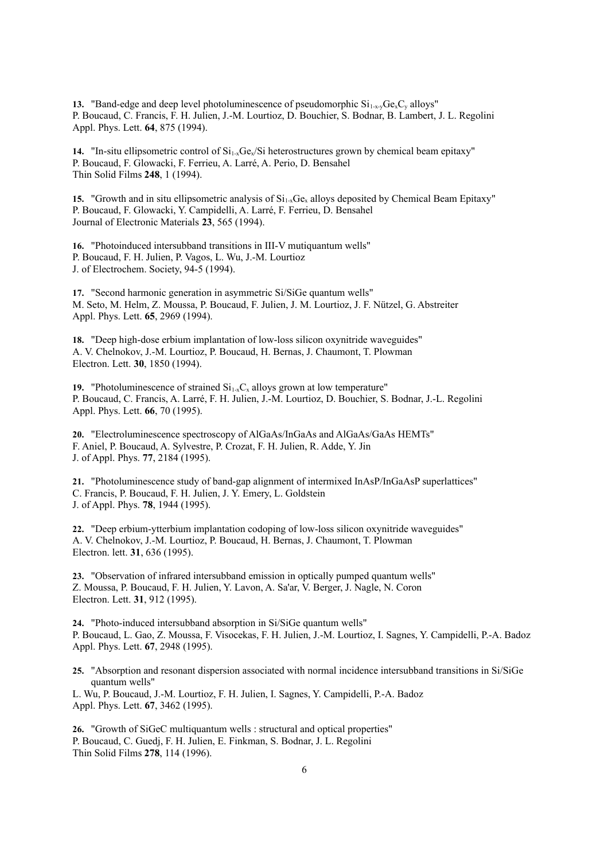**13.** "Band-edge and deep level photoluminescence of pseudomorphic  $Si_{1-x}$ ,  $Ge_xC_y$  alloys" P. Boucaud, C. Francis, F. H. Julien, J.-M. Lourtioz, D. Bouchier, S. Bodnar, B. Lambert, J. L. Regolini Appl. Phys. Lett. **64**, 875 (1994).

**14.** "In-situ ellipsometric control of  $Si<sub>1-x</sub>Ge<sub>x</sub>/Si$  heterostructures grown by chemical beam epitaxy" P. Boucaud, F. Glowacki, F. Ferrieu, A. Larré, A. Perio, D. Bensahel Thin Solid Films **248**, 1 (1994).

15. "Growth and in situ ellipsometric analysis of Si<sub>1-x</sub>Ge<sub>x</sub> alloys deposited by Chemical Beam Epitaxy" P. Boucaud, F. Glowacki, Y. Campidelli, A. Larré, F. Ferrieu, D. Bensahel Journal of Electronic Materials **23**, 565 (1994).

**16.** "Photoinduced intersubband transitions in III-V mutiquantum wells" P. Boucaud, F. H. Julien, P. Vagos, L. Wu, J.-M. Lourtioz J. of Electrochem. Society, 94-5 (1994).

**17.** "Second harmonic generation in asymmetric Si/SiGe quantum wells" M. Seto, M. Helm, Z. Moussa, P. Boucaud, F. Julien, J. M. Lourtioz, J. F. Nützel, G. Abstreiter Appl. Phys. Lett. **65**, 2969 (1994).

**18.** "Deep high-dose erbium implantation of low-loss silicon oxynitride waveguides" A. V. Chelnokov, J.-M. Lourtioz, P. Boucaud, H. Bernas, J. Chaumont, T. Plowman Electron. Lett. **30**, 1850 (1994).

**19.** "Photoluminescence of strained  $Si_{1-x}C_x$  alloys grown at low temperature" P. Boucaud, C. Francis, A. Larré, F. H. Julien, J.-M. Lourtioz, D. Bouchier, S. Bodnar, J.-L. Regolini Appl. Phys. Lett. **66**, 70 (1995).

**20.** "Electroluminescence spectroscopy of AlGaAs/InGaAs and AlGaAs/GaAs HEMTs" F. Aniel, P. Boucaud, A. Sylvestre, P. Crozat, F. H. Julien, R. Adde, Y. Jin J. of Appl. Phys. **77**, 2184 (1995).

**21.** "Photoluminescence study of band-gap alignment of intermixed InAsP/InGaAsP superlattices" C. Francis, P. Boucaud, F. H. Julien, J. Y. Emery, L. Goldstein J. of Appl. Phys. **78**, 1944 (1995).

**22.** "Deep erbium-ytterbium implantation codoping of low-loss silicon oxynitride waveguides" A. V. Chelnokov, J.-M. Lourtioz, P. Boucaud, H. Bernas, J. Chaumont, T. Plowman Electron. lett. **31**, 636 (1995).

**23.** "Observation of infrared intersubband emission in optically pumped quantum wells" Z. Moussa, P. Boucaud, F. H. Julien, Y. Lavon, A. Sa'ar, V. Berger, J. Nagle, N. Coron Electron. Lett. **31**, 912 (1995).

**24.** "Photo-induced intersubband absorption in Si/SiGe quantum wells" P. Boucaud, L. Gao, Z. Moussa, F. Visocekas, F. H. Julien, J.-M. Lourtioz, I. Sagnes, Y. Campidelli, P.-A. Badoz Appl. Phys. Lett. **67**, 2948 (1995).

**25.** "Absorption and resonant dispersion associated with normal incidence intersubband transitions in Si/SiGe quantum wells"

L. Wu, P. Boucaud, J.-M. Lourtioz, F. H. Julien, I. Sagnes, Y. Campidelli, P.-A. Badoz Appl. Phys. Lett. **67**, 3462 (1995).

**26.** "Growth of SiGeC multiquantum wells : structural and optical properties" P. Boucaud, C. Guedj, F. H. Julien, E. Finkman, S. Bodnar, J. L. Regolini Thin Solid Films **278**, 114 (1996).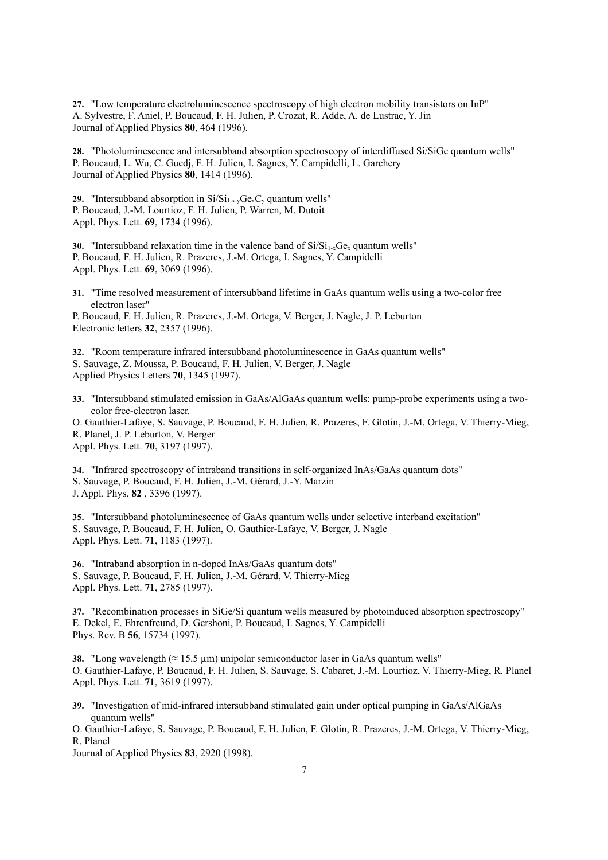**27.** "Low temperature electroluminescence spectroscopy of high electron mobility transistors on InP" A. Sylvestre, F. Aniel, P. Boucaud, F. H. Julien, P. Crozat, R. Adde, A. de Lustrac, Y. Jin Journal of Applied Physics **80**, 464 (1996).

**28.** "Photoluminescence and intersubband absorption spectroscopy of interdiffused Si/SiGe quantum wells" P. Boucaud, L. Wu, C. Guedj, F. H. Julien, I. Sagnes, Y. Campidelli, L. Garchery Journal of Applied Physics **80**, 1414 (1996).

**29.** "Intersubband absorption in  $Si/Si_{1-x-y}Ge_xC_y$  quantum wells" P. Boucaud, J.-M. Lourtioz, F. H. Julien, P. Warren, M. Dutoit Appl. Phys. Lett. **69**, 1734 (1996).

**30.** "Intersubband relaxation time in the valence band of  $Si/Si_{1-x}Ge_x$  quantum wells" P. Boucaud, F. H. Julien, R. Prazeres, J.-M. Ortega, I. Sagnes, Y. Campidelli Appl. Phys. Lett. **69**, 3069 (1996).

**31.** "Time resolved measurement of intersubband lifetime in GaAs quantum wells using a two-color free electron laser"

P. Boucaud, F. H. Julien, R. Prazeres, J.-M. Ortega, V. Berger, J. Nagle, J. P. Leburton Electronic letters **32**, 2357 (1996).

**32.** "Room temperature infrared intersubband photoluminescence in GaAs quantum wells" S. Sauvage, Z. Moussa, P. Boucaud, F. H. Julien, V. Berger, J. Nagle Applied Physics Letters **70**, 1345 (1997).

**33.** "Intersubband stimulated emission in GaAs/AlGaAs quantum wells: pump-probe experiments using a twocolor free-electron laser.

O. Gauthier-Lafaye, S. Sauvage, P. Boucaud, F. H. Julien, R. Prazeres, F. Glotin, J.-M. Ortega, V. Thierry-Mieg, R. Planel, J. P. Leburton, V. Berger Appl. Phys. Lett. **70**, 3197 (1997).

**34.** "Infrared spectroscopy of intraband transitions in self-organized InAs/GaAs quantum dots" S. Sauvage, P. Boucaud, F. H. Julien, J.-M. Gérard, J.-Y. Marzin J. Appl. Phys. **82** , 3396 (1997).

**35.** "Intersubband photoluminescence of GaAs quantum wells under selective interband excitation" S. Sauvage, P. Boucaud, F. H. Julien, O. Gauthier-Lafaye, V. Berger, J. Nagle Appl. Phys. Lett. **71**, 1183 (1997).

**36.** "Intraband absorption in n-doped InAs/GaAs quantum dots" S. Sauvage, P. Boucaud, F. H. Julien, J.-M. Gérard, V. Thierry-Mieg Appl. Phys. Lett. **71**, 2785 (1997).

**37.** "Recombination processes in SiGe/Si quantum wells measured by photoinduced absorption spectroscopy" E. Dekel, E. Ehrenfreund, D. Gershoni, P. Boucaud, I. Sagnes, Y. Campidelli Phys. Rev. B **56**, 15734 (1997).

**38.** "Long wavelength ( $\approx$  15.5  $\mu$ m) unipolar semiconductor laser in GaAs quantum wells" O. Gauthier-Lafaye, P. Boucaud, F. H. Julien, S. Sauvage, S. Cabaret, J.-M. Lourtioz, V. Thierry-Mieg, R. Planel Appl. Phys. Lett. **71**, 3619 (1997).

**39.** "Investigation of mid-infrared intersubband stimulated gain under optical pumping in GaAs/AlGaAs quantum wells"

O. Gauthier-Lafaye, S. Sauvage, P. Boucaud, F. H. Julien, F. Glotin, R. Prazeres, J.-M. Ortega, V. Thierry-Mieg, R. Planel

Journal of Applied Physics **83**, 2920 (1998).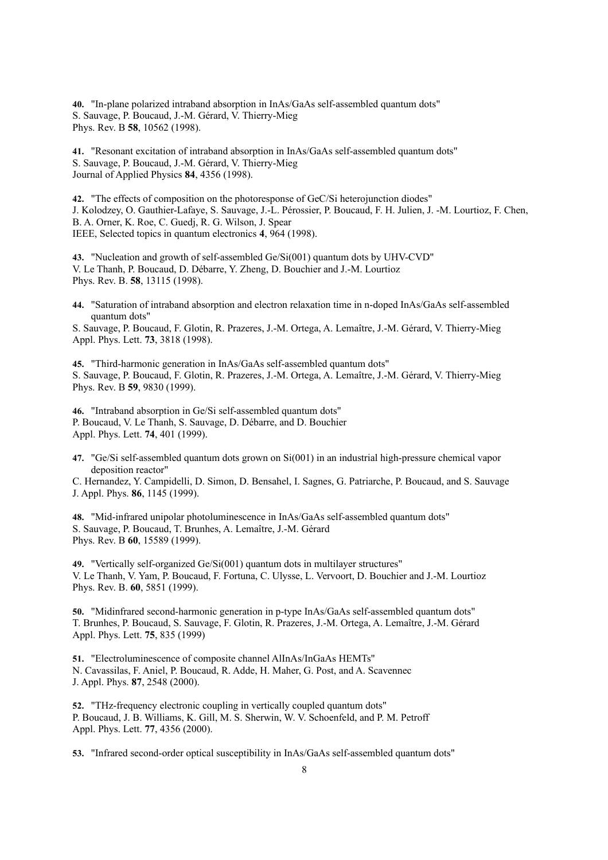**40.** "In-plane polarized intraband absorption in InAs/GaAs self-assembled quantum dots" S. Sauvage, P. Boucaud, J.-M. Gérard, V. Thierry-Mieg Phys. Rev. B **58**, 10562 (1998).

**41.** "Resonant excitation of intraband absorption in InAs/GaAs self-assembled quantum dots" S. Sauvage, P. Boucaud, J.-M. Gérard, V. Thierry-Mieg Journal of Applied Physics **84**, 4356 (1998).

**42.** "The effects of composition on the photoresponse of GeC/Si heterojunction diodes" J. Kolodzey, O. Gauthier-Lafaye, S. Sauvage, J.-L. Pérossier, P. Boucaud, F. H. Julien, J. -M. Lourtioz, F. Chen, B. A. Orner, K. Roe, C. Guedj, R. G. Wilson, J. Spear IEEE, Selected topics in quantum electronics **4**, 964 (1998).

**43.** "Nucleation and growth of self-assembled Ge/Si(001) quantum dots by UHV-CVD" V. Le Thanh, P. Boucaud, D. Débarre, Y. Zheng, D. Bouchier and J.-M. Lourtioz Phys. Rev. B. **58**, 13115 (1998).

**44.** "Saturation of intraband absorption and electron relaxation time in n-doped InAs/GaAs self-assembled quantum dots"

S. Sauvage, P. Boucaud, F. Glotin, R. Prazeres, J.-M. Ortega, A. Lemaître, J.-M. Gérard, V. Thierry-Mieg Appl. Phys. Lett. **73**, 3818 (1998).

**45.** "Third-harmonic generation in InAs/GaAs self-assembled quantum dots" S. Sauvage, P. Boucaud, F. Glotin, R. Prazeres, J.-M. Ortega, A. Lemaître, J.-M. Gérard, V. Thierry-Mieg Phys. Rev. B **59**, 9830 (1999).

**46.** "Intraband absorption in Ge/Si self-assembled quantum dots" P. Boucaud, V. Le Thanh, S. Sauvage, D. Débarre, and D. Bouchier Appl. Phys. Lett. **74**, 401 (1999).

**47.** "Ge/Si self-assembled quantum dots grown on Si(001) in an industrial high-pressure chemical vapor deposition reactor"

C. Hernandez, Y. Campidelli, D. Simon, D. Bensahel, I. Sagnes, G. Patriarche, P. Boucaud, and S. Sauvage J. Appl. Phys. **86**, 1145 (1999).

**48.** "Mid-infrared unipolar photoluminescence in InAs/GaAs self-assembled quantum dots" S. Sauvage, P. Boucaud, T. Brunhes, A. Lemaître, J.-M. Gérard Phys. Rev. B **60**, 15589 (1999).

**49.** "Vertically self-organized Ge/Si(001) quantum dots in multilayer structures" V. Le Thanh, V. Yam, P. Boucaud, F. Fortuna, C. Ulysse, L. Vervoort, D. Bouchier and J.-M. Lourtioz Phys. Rev. B. **60**, 5851 (1999).

**50.** "Midinfrared second-harmonic generation in p-type InAs/GaAs self-assembled quantum dots" T. Brunhes, P. Boucaud, S. Sauvage, F. Glotin, R. Prazeres, J.-M. Ortega, A. Lemaître, J.-M. Gérard Appl. Phys. Lett. **75**, 835 (1999)

**51.** "Electroluminescence of composite channel AlInAs/InGaAs HEMTs" N. Cavassilas, F. Aniel, P. Boucaud, R. Adde, H. Maher, G. Post, and A. Scavennec J. Appl. Phys. **87**, 2548 (2000).

**52.** "THz-frequency electronic coupling in vertically coupled quantum dots" P. Boucaud, J. B. Williams, K. Gill, M. S. Sherwin, W. V. Schoenfeld, and P. M. Petroff Appl. Phys. Lett. **77**, 4356 (2000).

**53.** "Infrared second-order optical susceptibility in InAs/GaAs self-assembled quantum dots"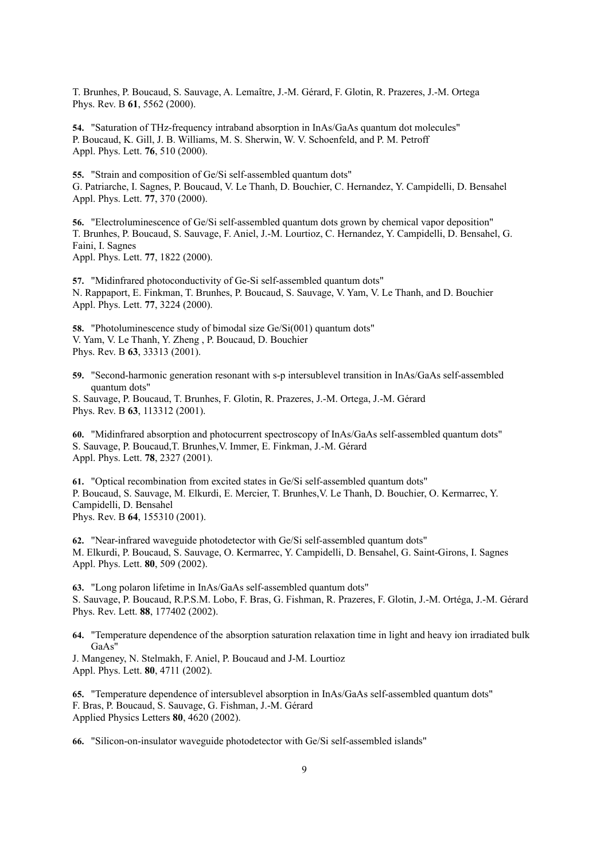T. Brunhes, P. Boucaud, S. Sauvage, A. Lemaître, J.-M. Gérard, F. Glotin, R. Prazeres, J.-M. Ortega Phys. Rev. B **61**, 5562 (2000).

**54.** "Saturation of THz-frequency intraband absorption in InAs/GaAs quantum dot molecules" P. Boucaud, K. Gill, J. B. Williams, M. S. Sherwin, W. V. Schoenfeld, and P. M. Petroff Appl. Phys. Lett. **76**, 510 (2000).

**55.** "Strain and composition of Ge/Si self-assembled quantum dots" G. Patriarche, I. Sagnes, P. Boucaud, V. Le Thanh, D. Bouchier, C. Hernandez, Y. Campidelli, D. Bensahel Appl. Phys. Lett. **77**, 370 (2000).

**56.** "Electroluminescence of Ge/Si self-assembled quantum dots grown by chemical vapor deposition" T. Brunhes, P. Boucaud, S. Sauvage, F. Aniel, J.-M. Lourtioz, C. Hernandez, Y. Campidelli, D. Bensahel, G. Faini, I. Sagnes

Appl. Phys. Lett. **77**, 1822 (2000).

**57.** "Midinfrared photoconductivity of Ge-Si self-assembled quantum dots" N. Rappaport, E. Finkman, T. Brunhes, P. Boucaud, S. Sauvage, V. Yam, V. Le Thanh, and D. Bouchier Appl. Phys. Lett. **77**, 3224 (2000).

**58.** "Photoluminescence study of bimodal size Ge/Si(001) quantum dots" V. Yam, V. Le Thanh, Y. Zheng , P. Boucaud, D. Bouchier Phys. Rev. B **63**, 33313 (2001).

**59.** "Second-harmonic generation resonant with s-p intersublevel transition in InAs/GaAs self-assembled quantum dots"

S. Sauvage, P. Boucaud, T. Brunhes, F. Glotin, R. Prazeres, J.-M. Ortega, J.-M. Gérard Phys. Rev. B **63**, 113312 (2001).

**60.** "Midinfrared absorption and photocurrent spectroscopy of InAs/GaAs self-assembled quantum dots" S. Sauvage, P. Boucaud,T. Brunhes,V. Immer, E. Finkman, J.-M. Gérard Appl. Phys. Lett. **78**, 2327 (2001).

**61.** "Optical recombination from excited states in Ge/Si self-assembled quantum dots" P. Boucaud, S. Sauvage, M. Elkurdi, E. Mercier, T. Brunhes,V. Le Thanh, D. Bouchier, O. Kermarrec, Y. Campidelli, D. Bensahel Phys. Rev. B **64**, 155310 (2001).

**62.** "Near-infrared waveguide photodetector with Ge/Si self-assembled quantum dots" M. Elkurdi, P. Boucaud, S. Sauvage, O. Kermarrec, Y. Campidelli, D. Bensahel, G. Saint-Girons, I. Sagnes Appl. Phys. Lett. **80**, 509 (2002).

**63.** "Long polaron lifetime in InAs/GaAs self-assembled quantum dots" S. Sauvage, P. Boucaud, R.P.S.M. Lobo, F. Bras, G. Fishman, R. Prazeres, F. Glotin, J.-M. Ortéga, J.-M. Gérard Phys. Rev. Lett. **88**, 177402 (2002).

**64.** "Temperature dependence of the absorption saturation relaxation time in light and heavy ion irradiated bulk GaAs"

J. Mangeney, N. Stelmakh, F. Aniel, P. Boucaud and J-M. Lourtioz Appl. Phys. Lett. **80**, 4711 (2002).

**65.** "Temperature dependence of intersublevel absorption in InAs/GaAs self-assembled quantum dots" F. Bras, P. Boucaud, S. Sauvage, G. Fishman, J.-M. Gérard Applied Physics Letters **80**, 4620 (2002).

**66.** "Silicon-on-insulator waveguide photodetector with Ge/Si self-assembled islands"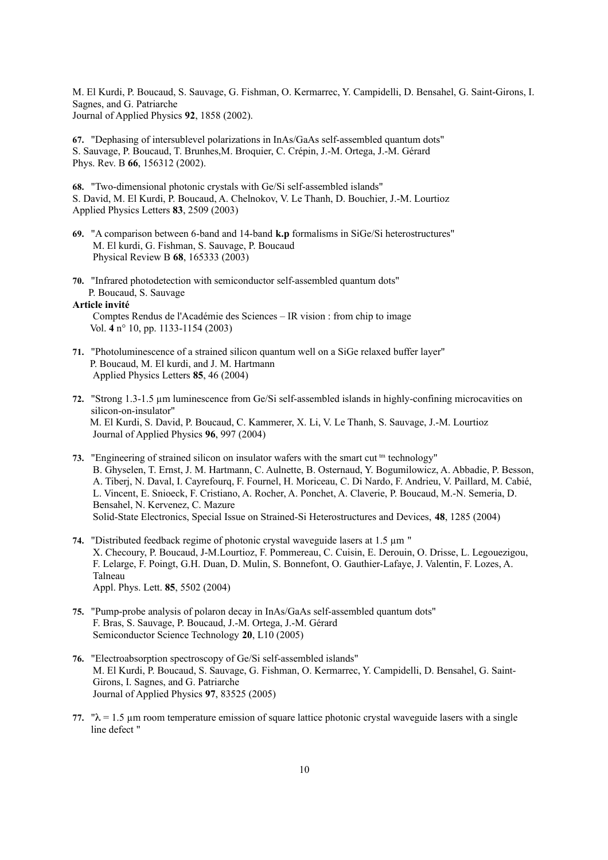M. El Kurdi, P. Boucaud, S. Sauvage, G. Fishman, O. Kermarrec, Y. Campidelli, D. Bensahel, G. Saint-Girons, I. Sagnes, and G. Patriarche Journal of Applied Physics **92**, 1858 (2002).

**67.** "Dephasing of intersublevel polarizations in InAs/GaAs self-assembled quantum dots" S. Sauvage, P. Boucaud, T. Brunhes,M. Broquier, C. Crépin, J.-M. Ortega, J.-M. Gérard Phys. Rev. B **66**, 156312 (2002).

**68.** "Two-dimensional photonic crystals with Ge/Si self-assembled islands" S. David, M. El Kurdi, P. Boucaud, A. Chelnokov, V. Le Thanh, D. Bouchier, J.-M. Lourtioz Applied Physics Letters **83**, 2509 (2003)

- **69.** "A comparison between 6-band and 14-band **k.p** formalisms in SiGe/Si heterostructures" M. El kurdi, G. Fishman, S. Sauvage, P. Boucaud Physical Review B **68**, 165333 (2003)
- **70.** "Infrared photodetection with semiconductor self-assembled quantum dots" P. Boucaud, S. Sauvage

#### **Article invité**

Comptes Rendus de l'Académie des Sciences – IR vision : from chip to image Vol. **4** n° 10, pp. 1133-1154 (2003)

- **71.** "Photoluminescence of a strained silicon quantum well on a SiGe relaxed buffer layer" P. Boucaud, M. El kurdi, and J. M. Hartmann Applied Physics Letters **85**, 46 (2004)
- **72.** "Strong 1.3-1.5 µm luminescence from Ge/Si self-assembled islands in highly-confining microcavities on silicon-on-insulator" M. El Kurdi, S. David, P. Boucaud, C. Kammerer, X. Li, V. Le Thanh, S. Sauvage, J.-M. Lourtioz Journal of Applied Physics **96**, 997 (2004)
- 73. "Engineering of strained silicon on insulator wafers with the smart cut <sup>tm</sup> technology" B. Ghyselen, T. Ernst, J. M. Hartmann, C. Aulnette, B. Osternaud, Y. Bogumilowicz, A. Abbadie, P. Besson, A. Tiberj, N. Daval, I. Cayrefourq, F. Fournel, H. Moriceau, C. Di Nardo, F. Andrieu, V. Paillard, M. Cabié, L. Vincent, E. Snioeck, F. Cristiano, A. Rocher, A. Ponchet, A. Claverie, P. Boucaud, M.-N. Semeria, D. Bensahel, N. Kervenez, C. Mazure Solid-State Electronics, Special Issue on Strained-Si Heterostructures and Devices, **48**, 1285 (2004)
- **74.** "Distributed feedback regime of photonic crystal waveguide lasers at 1.5 µm " X. Checoury, P. Boucaud, J-M.Lourtioz, F. Pommereau, C. Cuisin, E. Derouin, O. Drisse, L. Legouezigou, F. Lelarge, F. Poingt, G.H. Duan, D. Mulin, S. Bonnefont, O. Gauthier-Lafaye, J. Valentin, F. Lozes, A. Talneau Appl. Phys. Lett. **85**, 5502 (2004)
- **75.** "Pump-probe analysis of polaron decay in InAs/GaAs self-assembled quantum dots" F. Bras, S. Sauvage, P. Boucaud, J.-M. Ortega, J.-M. Gérard Semiconductor Science Technology **20**, L10 (2005)
- **76.** "Electroabsorption spectroscopy of Ge/Si self-assembled islands" M. El Kurdi, P. Boucaud, S. Sauvage, G. Fishman, O. Kermarrec, Y. Campidelli, D. Bensahel, G. Saint-Girons, I. Sagnes, and G. Patriarche Journal of Applied Physics **97**, 83525 (2005)
- 77. " $\lambda = 1.5$  µm room temperature emission of square lattice photonic crystal waveguide lasers with a single line defect "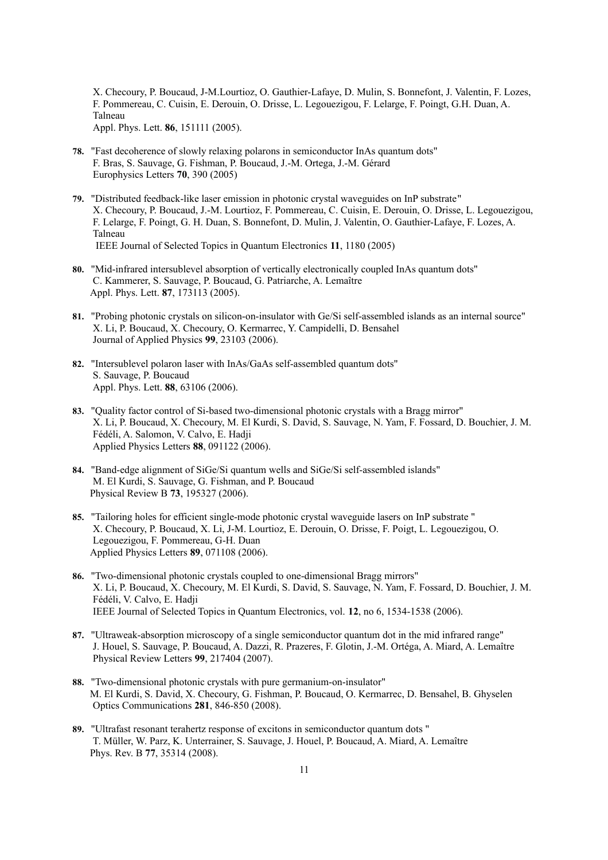X. Checoury, P. Boucaud, J-M.Lourtioz, O. Gauthier-Lafaye, D. Mulin, S. Bonnefont, J. Valentin, F. Lozes, F. Pommereau, C. Cuisin, E. Derouin, O. Drisse, L. Legouezigou, F. Lelarge, F. Poingt, G.H. Duan, A. Talneau Appl. Phys. Lett. **86**, 151111 (2005).

- **78.** "Fast decoherence of slowly relaxing polarons in semiconductor InAs quantum dots" F. Bras, S. Sauvage, G. Fishman, P. Boucaud, J.-M. Ortega, J.-M. Gérard Europhysics Letters **70**, 390 (2005)
- **79.** "Distributed feedback-like laser emission in photonic crystal waveguides on InP substrate" X. Checoury, P. Boucaud, J.-M. Lourtioz, F. Pommereau, C. Cuisin, E. Derouin, O. Drisse, L. Legouezigou, F. Lelarge, F. Poingt, G. H. Duan, S. Bonnefont, D. Mulin, J. Valentin, O. Gauthier-Lafaye, F. Lozes, A. Talneau IEEE Journal of Selected Topics in Quantum Electronics **11**, 1180 (2005)
- **80.** "Mid-infrared intersublevel absorption of vertically electronically coupled InAs quantum dots" C. Kammerer, S. Sauvage, P. Boucaud, G. Patriarche, A. Lemaître Appl. Phys. Lett. **87**, 173113 (2005).
- **81.** "Probing photonic crystals on silicon-on-insulator with Ge/Si self-assembled islands as an internal source" X. Li, P. Boucaud, X. Checoury, O. Kermarrec, Y. Campidelli, D. Bensahel Journal of Applied Physics **99**, 23103 (2006).
- **82.** "Intersublevel polaron laser with InAs/GaAs self-assembled quantum dots" S. Sauvage, P. Boucaud Appl. Phys. Lett. **88**, 63106 (2006).
- **83.** "Quality factor control of Si-based two-dimensional photonic crystals with a Bragg mirror" X. Li, P. Boucaud, X. Checoury, M. El Kurdi, S. David, S. Sauvage, N. Yam, F. Fossard, D. Bouchier, J. M. Fédéli, A. Salomon, V. Calvo, E. Hadji Applied Physics Letters **88**, 091122 (2006).
- **84.** "Band-edge alignment of SiGe/Si quantum wells and SiGe/Si self-assembled islands" M. El Kurdi, S. Sauvage, G. Fishman, and P. Boucaud Physical Review B **73**, 195327 (2006).
- **85.** "Tailoring holes for efficient single-mode photonic crystal waveguide lasers on InP substrate " X. Checoury, P. Boucaud, X. Li, J-M. Lourtioz, E. Derouin, O. Drisse, F. Poigt, L. Legouezigou, O. Legouezigou, F. Pommereau, G-H. Duan Applied Physics Letters **89**, 071108 (2006).
- **86.** "Two-dimensional photonic crystals coupled to one-dimensional Bragg mirrors" X. Li, P. Boucaud, X. Checoury, M. El Kurdi, S. David, S. Sauvage, N. Yam, F. Fossard, D. Bouchier, J. M. Fédéli, V. Calvo, E. Hadji IEEE Journal of Selected Topics in Quantum Electronics, vol. **12**, no 6, 1534-1538 (2006).
- **87.** "Ultraweak-absorption microscopy of a single semiconductor quantum dot in the mid infrared range" J. Houel, S. Sauvage, P. Boucaud, A. Dazzi, R. Prazeres, F. Glotin, J.-M. Ortéga, A. Miard, A. Lemaître Physical Review Letters **99**, 217404 (2007).
- **88.** "Two-dimensional photonic crystals with pure germanium-on-insulator" M. El Kurdi, S. David, X. Checoury, G. Fishman, P. Boucaud, O. Kermarrec, D. Bensahel, B. Ghyselen Optics Communications **281**, 846-850 (2008).
- **89.** "Ultrafast resonant terahertz response of excitons in semiconductor quantum dots " T. Müller, W. Parz, K. Unterrainer, S. Sauvage, J. Houel, P. Boucaud, A. Miard, A. Lemaître Phys. Rev. B **77**, 35314 (2008).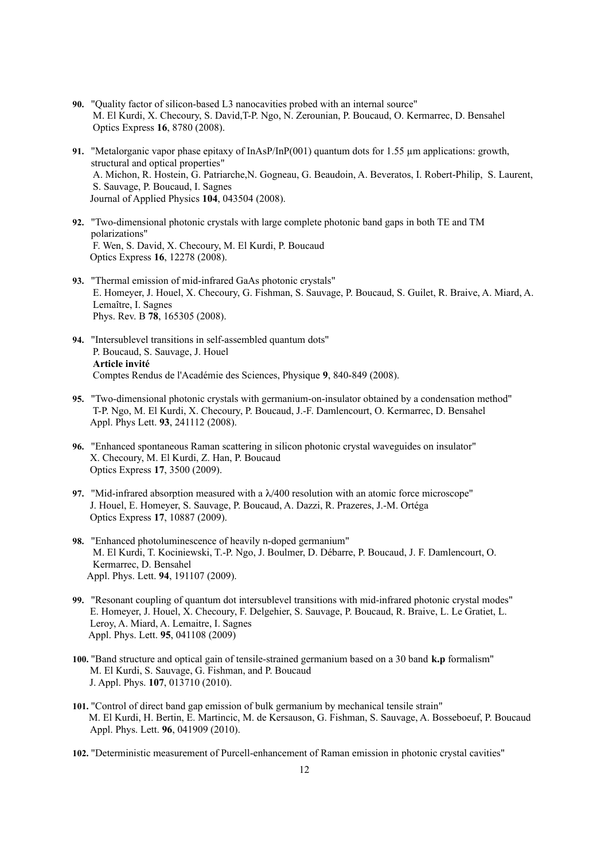- **90.** "Quality factor of silicon-based L3 nanocavities probed with an internal source" M. El Kurdi, X. Checoury, S. David,T-P. Ngo, N. Zerounian, P. Boucaud, O. Kermarrec, D. Bensahel Optics Express **16**, 8780 (2008).
- **91.** "Metalorganic vapor phase epitaxy of  $InAsP/InP(001)$  quantum dots for 1.55  $\mu$ m applications: growth, structural and optical properties" A. Michon, R. Hostein, G. Patriarche,N. Gogneau, G. Beaudoin, A. Beveratos, I. Robert-Philip, S. Laurent, S. Sauvage, P. Boucaud, I. Sagnes Journal of Applied Physics **104**, 043504 (2008).
- **92.** "Two-dimensional photonic crystals with large complete photonic band gaps in both TE and TM polarizations" F. Wen, S. David, X. Checoury, M. El Kurdi, P. Boucaud Optics Express **16**, 12278 (2008).
- **93.** "Thermal emission of mid-infrared GaAs photonic crystals" E. Homeyer, J. Houel, X. Checoury, G. Fishman, S. Sauvage, P. Boucaud, S. Guilet, R. Braive, A. Miard, A. Lemaître, I. Sagnes Phys. Rev. B **78**, 165305 (2008).
- **94.** "Intersublevel transitions in self-assembled quantum dots" P. Boucaud, S. Sauvage, J. Houel **Article invité** Comptes Rendus de l'Académie des Sciences, Physique **9**, 840-849 (2008).
- **95.** "Two-dimensional photonic crystals with germanium-on-insulator obtained by a condensation method" T-P. Ngo, M. El Kurdi, X. Checoury, P. Boucaud, J.-F. Damlencourt, O. Kermarrec, D. Bensahel Appl. Phys Lett. **93**, 241112 (2008).
- **96.** "Enhanced spontaneous Raman scattering in silicon photonic crystal waveguides on insulator" X. Checoury, M. El Kurdi, Z. Han, P. Boucaud Optics Express **17**, 3500 (2009).
- **97.** "Mid-infrared absorption measured with a  $\lambda$ /400 resolution with an atomic force microscope" J. Houel, E. Homeyer, S. Sauvage, P. Boucaud, A. Dazzi, R. Prazeres, J.-M. Ortéga Optics Express **17**, 10887 (2009).
- **98.** "Enhanced photoluminescence of heavily n-doped germanium" M. El Kurdi, T. Kociniewski, T.-P. Ngo, J. Boulmer, D. Débarre, P. Boucaud, J. F. Damlencourt, O. Kermarrec, D. Bensahel Appl. Phys. Lett. **94**, 191107 (2009).
- **99.** "Resonant coupling of quantum dot intersublevel transitions with mid-infrared photonic crystal modes" E. Homeyer, J. Houel, X. Checoury, F. Delgehier, S. Sauvage, P. Boucaud, R. Braive, L. Le Gratiet, L. Leroy, A. Miard, A. Lemaitre, I. Sagnes Appl. Phys. Lett. **95**, 041108 (2009)
- **100.** "Band structure and optical gain of tensile-strained germanium based on a 30 band **k.p** formalism" M. El Kurdi, S. Sauvage, G. Fishman, and P. Boucaud J. Appl. Phys. **107**, 013710 (2010).
- **101.** "Control of direct band gap emission of bulk germanium by mechanical tensile strain" M. El Kurdi, H. Bertin, E. Martincic, M. de Kersauson, G. Fishman, S. Sauvage, A. Bosseboeuf, P. Boucaud Appl. Phys. Lett. **96**, 041909 (2010).
- **102.** "Deterministic measurement of Purcell-enhancement of Raman emission in photonic crystal cavities"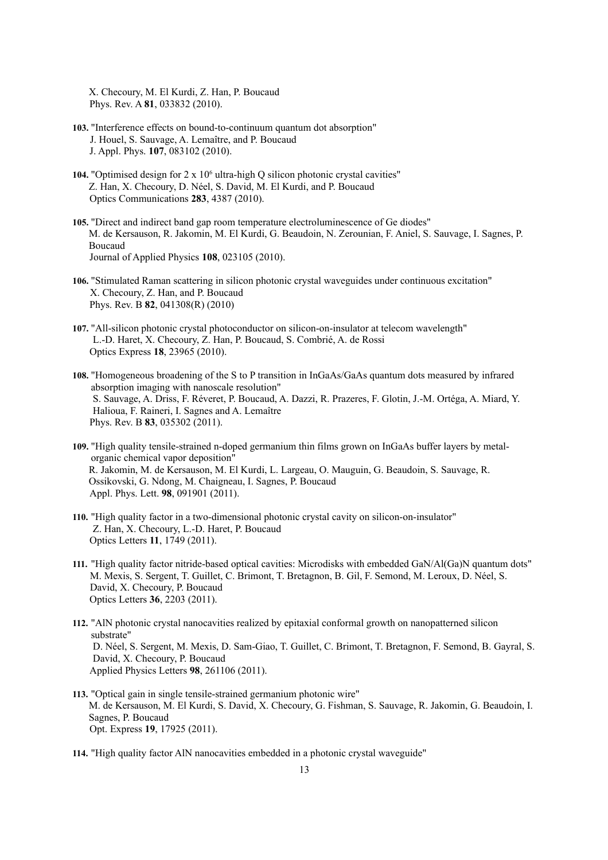X. Checoury, M. El Kurdi, Z. Han, P. Boucaud Phys. Rev. A **81**, 033832 (2010).

- **103.** "Interference effects on bound-to-continuum quantum dot absorption" J. Houel, S. Sauvage, A. Lemaître, and P. Boucaud J. Appl. Phys. **107**, 083102 (2010).
- 104. "Optimised design for 2 x 10<sup>6</sup> ultra-high Q silicon photonic crystal cavities" Z. Han, X. Checoury, D. Néel, S. David, M. El Kurdi, and P. Boucaud Optics Communications **283**, 4387 (2010).
- **105.** "Direct and indirect band gap room temperature electroluminescence of Ge diodes" M. de Kersauson, R. Jakomin, M. El Kurdi, G. Beaudoin, N. Zerounian, F. Aniel, S. Sauvage, I. Sagnes, P. Boucaud Journal of Applied Physics **108**, 023105 (2010).
- **106.** "Stimulated Raman scattering in silicon photonic crystal waveguides under continuous excitation" X. Checoury, Z. Han, and P. Boucaud Phys. Rev. B **82**, 041308(R) (2010)
- **107.** "All-silicon photonic crystal photoconductor on silicon-on-insulator at telecom wavelength" L.-D. Haret, X. Checoury, Z. Han, P. Boucaud, S. Combrié, A. de Rossi Optics Express **18**, 23965 (2010).
- **108.** "Homogeneous broadening of the S to P transition in InGaAs/GaAs quantum dots measured by infrared absorption imaging with nanoscale resolution" S. Sauvage, A. Driss, F. Réveret, P. Boucaud, A. Dazzi, R. Prazeres, F. Glotin, J.-M. Ortéga, A. Miard, Y. Halioua, F. Raineri, I. Sagnes and A. Lemaître Phys. Rev. B **83**, 035302 (2011).
- **109.** "High quality tensile-strained n-doped germanium thin films grown on InGaAs buffer layers by metalorganic chemical vapor deposition" R. Jakomin, M. de Kersauson, M. El Kurdi, L. Largeau, O. Mauguin, G. Beaudoin, S. Sauvage, R. Ossikovski, G. Ndong, M. Chaigneau, I. Sagnes, P. Boucaud Appl. Phys. Lett. **98**, 091901 (2011).
- **110.** "High quality factor in a two-dimensional photonic crystal cavity on silicon-on-insulator" Z. Han, X. Checoury, L.-D. Haret, P. Boucaud Optics Letters **11**, 1749 (2011).
- **111.** "High quality factor nitride-based optical cavities: Microdisks with embedded GaN/Al(Ga)N quantum dots" M. Mexis, S. Sergent, T. Guillet, C. Brimont, T. Bretagnon, B. Gil, F. Semond, M. Leroux, D. Néel, S. David, X. Checoury, P. Boucaud Optics Letters **36**, 2203 (2011).
- **112.** "AlN photonic crystal nanocavities realized by epitaxial conformal growth on nanopatterned silicon substrate" D. Néel, S. Sergent, M. Mexis, D. Sam-Giao, T. Guillet, C. Brimont, T. Bretagnon, F. Semond, B. Gayral, S. David, X. Checoury, P. Boucaud Applied Physics Letters **98**, 261106 (2011).
- **113.** "Optical gain in single tensile-strained germanium photonic wire" M. de Kersauson, M. El Kurdi, S. David, X. Checoury, G. Fishman, S. Sauvage, R. Jakomin, G. Beaudoin, I. Sagnes, P. Boucaud Opt. Express **19**, 17925 (2011).
- **114.** "High quality factor AlN nanocavities embedded in a photonic crystal waveguide"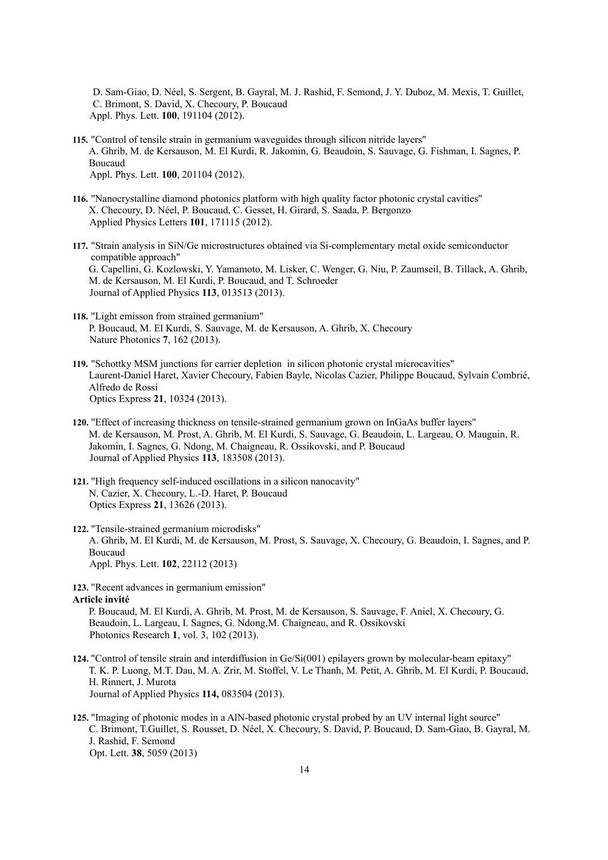D. Sam-Giao, D. Néel, S. Sergent, B. Gayral, M. J. Rashid, F. Semond, J. Y. Duboz, M. Mexis, T. Guillet, C. Brimont, S. David, X. Checoury, P. Boucaud Appl. Phys. Lett. **100**, 191104 (2012).

- **115.** "Control of tensile strain in germanium waveguides through silicon nitride layers" A. Ghrib, M. de Kersauson, M. El Kurdi, R. Jakomin, G. Beaudoin, S. Sauvage, G. Fishman, I. Sagnes, P. Boucaud Appl. Phys. Lett. **100**, 201104 (2012).
- **116.** "Nanocrystalline diamond photonics platform with high quality factor photonic crystal cavities" X. Checoury, D. Néel, P. Boucaud, C. Gesset, H. Girard, S. Saada, P. Bergonzo Applied Physics Letters **101**, 171115 (2012).
- **117.** "Strain analysis in SiN/Ge microstructures obtained via Si-complementary metal oxide semiconductor compatible approach" G. Capellini, G. Kozlowski, Y. Yamamoto, M. Lisker, C. Wenger, G. Niu, P. Zaumseil, B. Tillack, A. Ghrib, M. de Kersauson, M. El Kurdi, P. Boucaud, and T. Schroeder Journal of Applied Physics **113**, 013513 (2013).
- **118.** "Light emisson from strained germanium" P. Boucaud, M. El Kurdi, S. Sauvage, M. de Kersauson, A. Ghrib, X. Checoury Nature Photonics **7**, 162 (2013).
- **119.** "Schottky MSM junctions for carrier depletion in silicon photonic crystal microcavities" Laurent-Daniel Haret, Xavier Checoury, Fabien Bayle, Nicolas Cazier, Philippe Boucaud, Sylvain Combrié, Alfredo de Rossi Optics Express **21**, 10324 (2013).
- **120.** "Effect of increasing thickness on tensile-strained germanium grown on InGaAs buffer layers" M. de Kersauson, M. Prost, A. Ghrib, M. El Kurdi, S. Sauvage, G. Beaudoin, L. Largeau, O. Mauguin, R. Jakomin, I. Sagnes, G. Ndong, M. Chaigneau, R. Ossikovski, and P. Boucaud Journal of Applied Physics **113**, 183508 (2013).
- **121.** "High frequency self-induced oscillations in a silicon nanocavity" N. Cazier, X. Checoury, L.-D. Haret, P. Boucaud Optics Express **21**, 13626 (2013).
- **122.** "Tensile-strained germanium microdisks" A. Ghrib, M. El Kurdi, M. de Kersauson, M. Prost, S. Sauvage, X. Checoury, G. Beaudoin, I. Sagnes, and P. Boucaud Appl. Phys. Lett. **102**, 22112 (2013)
- **123.** "Recent advances in germanium emission" **Article invité**

P. Boucaud, M. El Kurdi, A. Ghrib, M. Prost, M. de Kersauson, S. Sauvage, F. Aniel, X. Checoury, G. Beaudoin, L. Largeau, I. Sagnes, G. Ndong,M. Chaigneau, and R. Ossikovski Photonics Research **1**, vol. 3, 102 (2013).

- **124.** "Control of tensile strain and interdiffusion in Ge/Si(001) epilayers grown by molecular-beam epitaxy" T. K. P. Luong, M.T. Dau, M. A. Zrir, M. Stoffel, V. Le Thanh, M. Petit, A. Ghrib, M. El Kurdi, P. Boucaud, H. Rinnert, J. Murota Journal of Applied Physics **114,** 083504 (2013).
- **125.** "Imaging of photonic modes in a AlN-based photonic crystal probed by an UV internal light source" C. Brimont, T.Guillet, S. Rousset, D. Néel, X. Checoury, S. David, P. Boucaud, D. Sam-Giao, B. Gayral, M. J. Rashid, F. Semond Opt. Lett. **38**, 5059 (2013)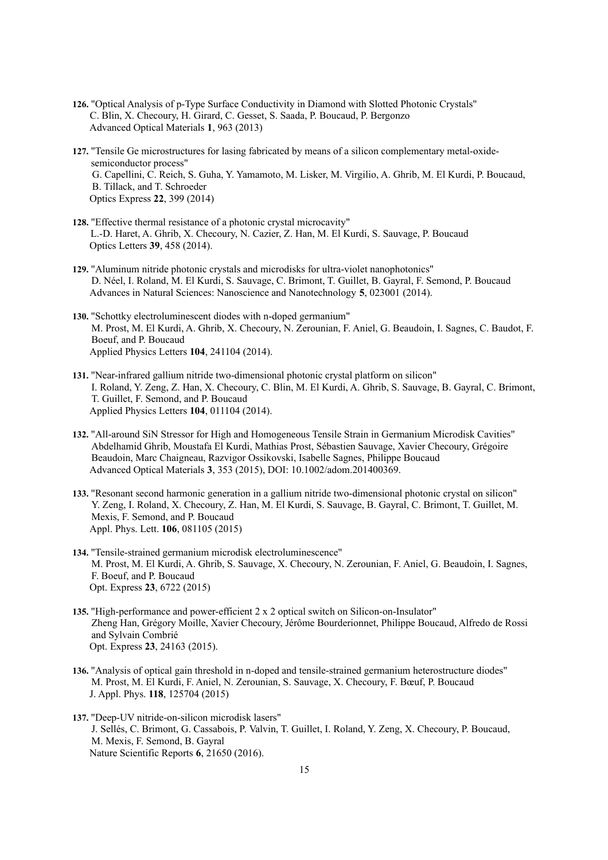- **126.** "Optical Analysis of p-Type Surface Conductivity in Diamond with Slotted Photonic Crystals" C. Blin, X. Checoury, H. Girard, C. Gesset, S. Saada, P. Boucaud, P. Bergonzo Advanced Optical Materials **1**, 963 (2013)
- **127.** "Tensile Ge microstructures for lasing fabricated by means of a silicon complementary metal-oxidesemiconductor process" G. Capellini, C. Reich, S. Guha, Y. Yamamoto, M. Lisker, M. Virgilio, A. Ghrib, M. El Kurdi, P. Boucaud, B. Tillack, and T. Schroeder Optics Express **22**, 399 (2014)
- **128.** "Effective thermal resistance of a photonic crystal microcavity" L.-D. Haret, A. Ghrib, X. Checoury, N. Cazier, Z. Han, M. El Kurdi, S. Sauvage, P. Boucaud Optics Letters **39**, 458 (2014).
- **129.** "Aluminum nitride photonic crystals and microdisks for ultra-violet nanophotonics" D. Néel, I. Roland, M. El Kurdi, S. Sauvage, C. Brimont, T. Guillet, B. Gayral, F. Semond, P. Boucaud Advances in Natural Sciences: Nanoscience and Nanotechnology **5**, 023001 (2014).
- **130.** "Schottky electroluminescent diodes with n-doped germanium" M. Prost, M. El Kurdi, A. Ghrib, X. Checoury, N. Zerounian, F. Aniel, G. Beaudoin, I. Sagnes, C. Baudot, F. Boeuf, and P. Boucaud Applied Physics Letters **104**, 241104 (2014).
- **131.** "Near-infrared gallium nitride two-dimensional photonic crystal platform on silicon" I. Roland, Y. Zeng, Z. Han, X. Checoury, C. Blin, M. El Kurdi, A. Ghrib, S. Sauvage, B. Gayral, C. Brimont, T. Guillet, F. Semond, and P. Boucaud Applied Physics Letters **104**, 011104 (2014).
- **132.** "All-around SiN Stressor for High and Homogeneous Tensile Strain in Germanium Microdisk Cavities" Abdelhamid Ghrib, Moustafa El Kurdi, Mathias Prost, Sébastien Sauvage, Xavier Checoury, Grégoire Beaudoin, Marc Chaigneau, Razvigor Ossikovski, Isabelle Sagnes, Philippe Boucaud Advanced Optical Materials **3**, 353 (2015), DOI: 10.1002/adom.201400369.
- **133.** "Resonant second harmonic generation in a gallium nitride two-dimensional photonic crystal on silicon" Y. Zeng, I. Roland, X. Checoury, Z. Han, M. El Kurdi, S. Sauvage, B. Gayral, C. Brimont, T. Guillet, M. Mexis, F. Semond, and P. Boucaud Appl. Phys. Lett. **106**, 081105 (2015)
- **134.** "Tensile-strained germanium microdisk electroluminescence" M. Prost, M. El Kurdi, A. Ghrib, S. Sauvage, X. Checoury, N. Zerounian, F. Aniel, G. Beaudoin, I. Sagnes, F. Boeuf, and P. Boucaud Opt. Express **23**, 6722 (2015)
- **135.** "High-performance and power-efficient 2 x 2 optical switch on Silicon-on-Insulator" Zheng Han, Grégory Moille, Xavier Checoury, Jérôme Bourderionnet, Philippe Boucaud, Alfredo de Rossi and Sylvain Combrié Opt. Express **23**, 24163 (2015).
- **136.** "Analysis of optical gain threshold in n-doped and tensile-strained germanium heterostructure diodes" M. Prost, M. El Kurdi, F. Aniel, N. Zerounian, S. Sauvage, X. Checoury, F. Bœuf, P. Boucaud J. Appl. Phys. **118**, 125704 (2015)
- **137.** "Deep-UV nitride-on-silicon microdisk lasers" J. Sellés, C. Brimont, G. Cassabois, P. Valvin, T. Guillet, I. Roland, Y. Zeng, X. Checoury, P. Boucaud, M. Mexis, F. Semond, B. Gayral Nature Scientific Reports **6**, 21650 (2016).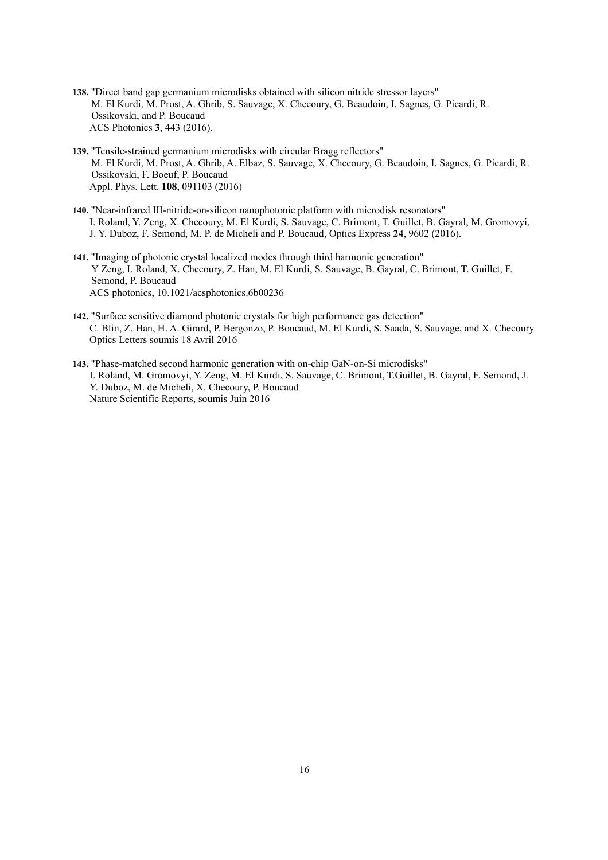- **138.** "Direct band gap germanium microdisks obtained with silicon nitride stressor layers" M. El Kurdi, M. Prost, A. Ghrib, S. Sauvage, X. Checoury, G. Beaudoin, I. Sagnes, G. Picardi, R. Ossikovski, and P. Boucaud ACS Photonics **3**, 443 (2016).
- **139.** "Tensile-strained germanium microdisks with circular Bragg reflectors" M. El Kurdi, M. Prost, A. Ghrib, A. Elbaz, S. Sauvage, X. Checoury, G. Beaudoin, I. Sagnes, G. Picardi, R. Ossikovski, F. Boeuf, P. Boucaud Appl. Phys. Lett. **108**, 091103 (2016)
- **140.** "Near-infrared III-nitride-on-silicon nanophotonic platform with microdisk resonators" I. Roland, Y. Zeng, X. Checoury, M. El Kurdi, S. Sauvage, C. Brimont, T. Guillet, B. Gayral, M. Gromovyi, J. Y. Duboz, F. Semond, M. P. de Micheli and P. Boucaud, Optics Express **24**, 9602 (2016).
- **141.** "Imaging of photonic crystal localized modes through third harmonic generation" Y Zeng, I. Roland, X. Checoury, Z. Han, M. El Kurdi, S. Sauvage, B. Gayral, C. Brimont, T. Guillet, F. Semond, P. Boucaud ACS photonics, 10.1021/acsphotonics.6b00236
- **142.** "Surface sensitive diamond photonic crystals for high performance gas detection" C. Blin, Z. Han, H. A. Girard, P. Bergonzo, P. Boucaud, M. El Kurdi, S. Saada, S. Sauvage, and X. Checoury Optics Letters soumis 18 Avril 2016
- **143.** "Phase-matched second harmonic generation with on-chip GaN-on-Si microdisks" I. Roland, M. Gromovyi, Y. Zeng, M. El Kurdi, S. Sauvage, C. Brimont, T.Guillet, B. Gayral, F. Semond, J. Y. Duboz, M. de Micheli, X. Checoury, P. Boucaud Nature Scientific Reports, soumis Juin 2016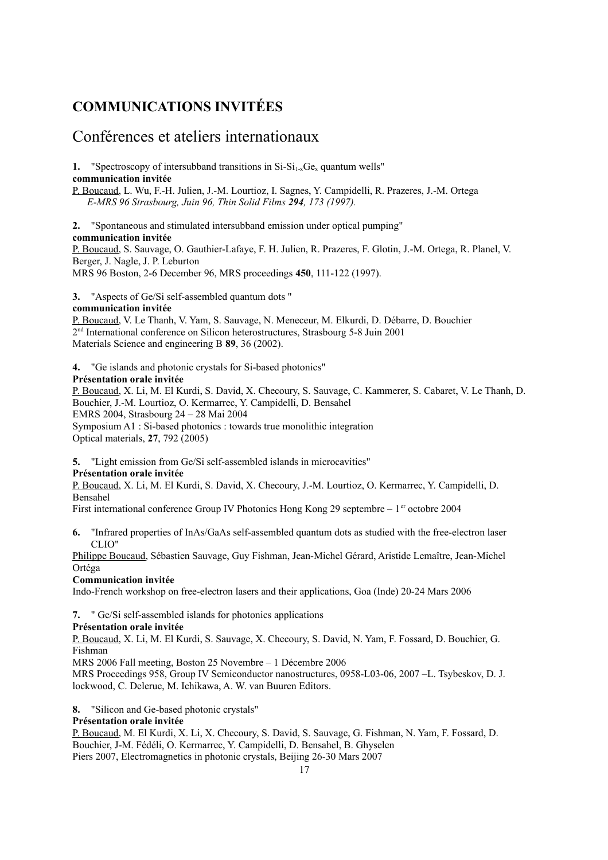### **COMMUNICATIONS INVITÉES**

### Conférences et ateliers internationaux

**1.** "Spectroscopy of intersubband transitions in  $Si-Si<sub>1x</sub>Ge<sub>x</sub>$  quantum wells" **communication invitée**

P. Boucaud, L. Wu, F.-H. Julien, J.-M. Lourtioz, I. Sagnes, Y. Campidelli, R. Prazeres, J.-M. Ortega *E-MRS 96 Strasbourg, Juin 96, Thin Solid Films 294, 173 (1997).*

**2.** "Spontaneous and stimulated intersubband emission under optical pumping" **communication invitée**

P. Boucaud, S. Sauvage, O. Gauthier-Lafaye, F. H. Julien, R. Prazeres, F. Glotin, J.-M. Ortega, R. Planel, V. Berger, J. Nagle, J. P. Leburton MRS 96 Boston, 2-6 December 96, MRS proceedings **450**, 111-122 (1997).

**3.** "Aspects of Ge/Si self-assembled quantum dots "

#### **communication invitée**

P. Boucaud, V. Le Thanh, V. Yam, S. Sauvage, N. Meneceur, M. Elkurdi, D. Débarre, D. Bouchier 2 nd International conference on Silicon heterostructures, Strasbourg 5-8 Juin 2001 Materials Science and engineering B **89**, 36 (2002).

**4.** "Ge islands and photonic crystals for Si-based photonics"

#### **Présentation orale invitée**

P. Boucaud, X. Li, M. El Kurdi, S. David, X. Checoury, S. Sauvage, C. Kammerer, S. Cabaret, V. Le Thanh, D. Bouchier, J.-M. Lourtioz, O. Kermarrec, Y. Campidelli, D. Bensahel EMRS 2004, Strasbourg 24 – 28 Mai 2004 Symposium A1 : Si-based photonics : towards true monolithic integration Optical materials, **27**, 792 (2005)

**5.** "Light emission from Ge/Si self-assembled islands in microcavities"

#### **Présentation orale invitée**

P. Boucaud, X. Li, M. El Kurdi, S. David, X. Checoury, J.-M. Lourtioz, O. Kermarrec, Y. Campidelli, D. Bensahel

First international conference Group IV Photonics Hong Kong 29 septembre –  $1<sup>er</sup>$  octobre 2004

**6.** "Infrared properties of InAs/GaAs self-assembled quantum dots as studied with the free-electron laser CLIO"

Philippe Boucaud, Sébastien Sauvage, Guy Fishman, Jean-Michel Gérard, Aristide Lemaître, Jean-Michel Ortéga

#### **Communication invitée**

Indo-French workshop on free-electron lasers and their applications, Goa (Inde) 20-24 Mars 2006

**7.** " Ge/Si self-assembled islands for photonics applications

#### **Présentation orale invitée**

P. Boucaud, X. Li, M. El Kurdi, S. Sauvage, X. Checoury, S. David, N. Yam, F. Fossard, D. Bouchier, G. Fishman

MRS 2006 Fall meeting, Boston 25 Novembre – 1 Décembre 2006

MRS Proceedings 958, Group IV Semiconductor nanostructures, 0958-L03-06, 2007 –L. Tsybeskov, D. J. lockwood, C. Delerue, M. Ichikawa, A. W. van Buuren Editors.

**8.** "Silicon and Ge-based photonic crystals"

#### **Présentation orale invitée**

P. Boucaud, M. El Kurdi, X. Li, X. Checoury, S. David, S. Sauvage, G. Fishman, N. Yam, F. Fossard, D. Bouchier, J-M. Fédéli, O. Kermarrec, Y. Campidelli, D. Bensahel, B. Ghyselen Piers 2007, Electromagnetics in photonic crystals, Beijing 26-30 Mars 2007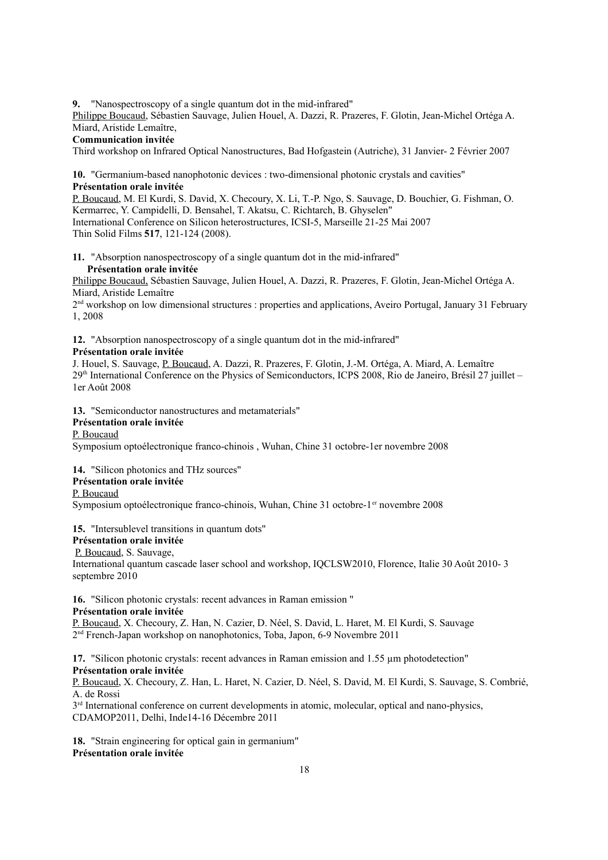**9.** "Nanospectroscopy of a single quantum dot in the mid-infrared"

Philippe Boucaud, Sébastien Sauvage, Julien Houel, A. Dazzi, R. Prazeres, F. Glotin, Jean-Michel Ortéga A. Miard, Aristide Lemaître,

#### **Communication invitée**

Third workshop on Infrared Optical Nanostructures, Bad Hofgastein (Autriche), 31 Janvier- 2 Février 2007

**10.** "Germanium-based nanophotonic devices : two-dimensional photonic crystals and cavities" **Présentation orale invitée**

P. Boucaud, M. El Kurdi, S. David, X. Checoury, X. Li, T.-P. Ngo, S. Sauvage, D. Bouchier, G. Fishman, O. Kermarrec, Y. Campidelli, D. Bensahel, T. Akatsu, C. Richtarch, B. Ghyselen" International Conference on Silicon heterostructures, ICSI-5, Marseille 21-25 Mai 2007 Thin Solid Films **517**, 121-124 (2008).

**11.** "Absorption nanospectroscopy of a single quantum dot in the mid-infrared" **Présentation orale invitée**

Philippe Boucaud, Sébastien Sauvage, Julien Houel, A. Dazzi, R. Prazeres, F. Glotin, Jean-Michel Ortéga A. Miard, Aristide Lemaître

2<sup>nd</sup> workshop on low dimensional structures : properties and applications, Aveiro Portugal, January 31 February 1, 2008

**12.** "Absorption nanospectroscopy of a single quantum dot in the mid-infrared"

#### **Présentation orale invitée**

J. Houel, S. Sauvage, P. Boucaud, A. Dazzi, R. Prazeres, F. Glotin, J.-M. Ortéga, A. Miard, A. Lemaître 29th International Conference on the Physics of Semiconductors, ICPS 2008, Rio de Janeiro, Brésil 27 juillet – 1er Août 2008

**13.** "Semiconductor nanostructures and metamaterials"

#### **Présentation orale invitée**

P. Boucaud

Symposium optoélectronique franco-chinois , Wuhan, Chine 31 octobre-1er novembre 2008

**14.** "Silicon photonics and THz sources"

#### **Présentation orale invitée**

#### P. Boucaud

Symposium optoélectronique franco-chinois, Wuhan, Chine 31 octobre-1<sup>er</sup> novembre 2008

#### **15.** "Intersublevel transitions in quantum dots"

#### **Présentation orale invitée**

P. Boucaud, S. Sauvage,

International quantum cascade laser school and workshop, IQCLSW2010, Florence, Italie 30 Août 2010- 3 septembre 2010

**16.** "Silicon photonic crystals: recent advances in Raman emission "

#### **Présentation orale invitée**

P. Boucaud, X. Checoury, Z. Han, N. Cazier, D. Néel, S. David, L. Haret, M. El Kurdi, S. Sauvage 2 nd French-Japan workshop on nanophotonics, Toba, Japon, 6-9 Novembre 2011

17. "Silicon photonic crystals: recent advances in Raman emission and 1.55  $\mu$ m photodetection" **Présentation orale invitée**

P. Boucaud, X. Checoury, Z. Han, L. Haret, N. Cazier, D. Néel, S. David, M. El Kurdi, S. Sauvage, S. Combrié, A. de Rossi

 $3<sup>rd</sup>$  International conference on current developments in atomic, molecular, optical and nano-physics, CDAMOP2011, Delhi, Inde14-16 Décembre 2011

**18.** "Strain engineering for optical gain in germanium" **Présentation orale invitée**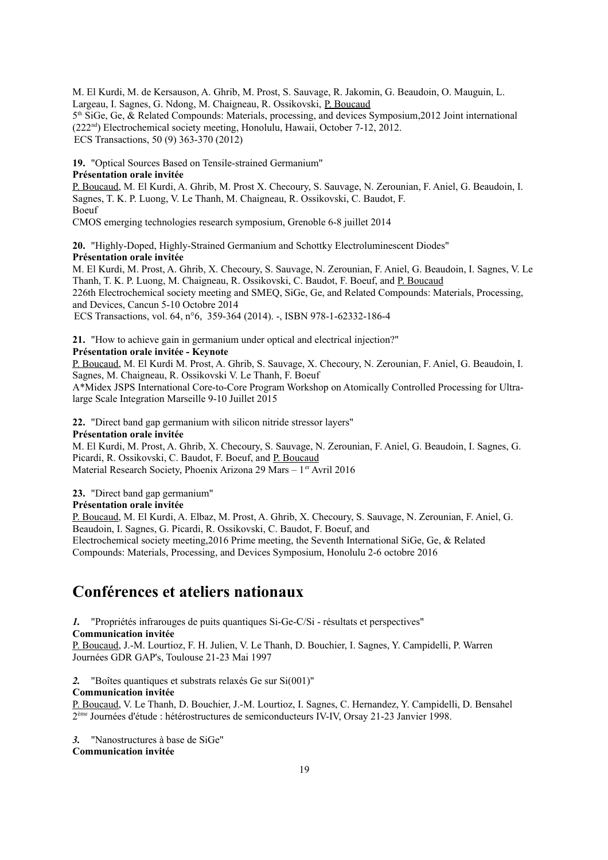M. El Kurdi, M. de Kersauson, A. Ghrib, M. Prost, S. Sauvage, R. Jakomin, G. Beaudoin, O. Mauguin, L. Largeau, I. Sagnes, G. Ndong, M. Chaigneau, R. Ossikovski, P. Boucaud 5<sup>th</sup> SiGe, Ge, & Related Compounds: Materials, processing, and devices Symposium, 2012 Joint international (222nd) Electrochemical society meeting, Honolulu, Hawaii, October 7-12, 2012. ECS Transactions, 50 (9) 363-370 (2012)

**19.** "Optical Sources Based on Tensile-strained Germanium"

#### **Présentation orale invitée**

P. Boucaud, M. El Kurdi, A. Ghrib, M. Prost X. Checoury, S. Sauvage, N. Zerounian, F. Aniel, G. Beaudoin, I. Sagnes, T. K. P. Luong, V. Le Thanh, M. Chaigneau, R. Ossikovski, C. Baudot, F. Boeuf

CMOS emerging technologies research symposium, Grenoble 6-8 juillet 2014

**20.** "Highly-Doped, Highly-Strained Germanium and Schottky Electroluminescent Diodes" **Présentation orale invitée**

M. El Kurdi, M. Prost, A. Ghrib, X. Checoury, S. Sauvage, N. Zerounian, F. Aniel, G. Beaudoin, I. Sagnes, V. Le Thanh, T. K. P. Luong, M. Chaigneau, R. Ossikovski, C. Baudot, F. Boeuf, and P. Boucaud 226th Electrochemical society meeting and SMEQ, SiGe, Ge, and Related Compounds: Materials, Processing, and Devices, Cancun 5-10 Octobre 2014

ECS Transactions, vol. 64, n°6, 359-364 (2014). -, ISBN 978-1-62332-186-4

**21.** "How to achieve gain in germanium under optical and electrical injection?"

#### **Présentation orale invitée - Keynote**

P. Boucaud, M. El Kurdi M. Prost, A. Ghrib, S. Sauvage, X. Checoury, N. Zerounian, F. Aniel, G. Beaudoin, I. Sagnes, M. Chaigneau, R. Ossikovski V. Le Thanh, F. Boeuf

A\*Midex JSPS International Core-to-Core Program Workshop on Atomically Controlled Processing for Ultralarge Scale Integration Marseille 9-10 Juillet 2015

**22.** "Direct band gap germanium with silicon nitride stressor layers"

#### **Présentation orale invitée**

M. El Kurdi, M. Prost, A. Ghrib, X. Checoury, S. Sauvage, N. Zerounian, F. Aniel, G. Beaudoin, I. Sagnes, G. Picardi, R. Ossikovski, C. Baudot, F. Boeuf, and P. Boucaud Material Research Society, Phoenix Arizona 29 Mars –  $1<sup>er</sup>$  Avril 2016

**23.** "Direct band gap germanium"

#### **Présentation orale invitée**

P. Boucaud, M. El Kurdi, A. Elbaz, M. Prost, A. Ghrib, X. Checoury, S. Sauvage, N. Zerounian, F. Aniel, G. Beaudoin, I. Sagnes, G. Picardi, R. Ossikovski, C. Baudot, F. Boeuf, and Electrochemical society meeting,2016 Prime meeting, the Seventh International SiGe, Ge, & Related Compounds: Materials, Processing, and Devices Symposium, Honolulu 2-6 octobre 2016

### **Conférences et ateliers nationaux**

*1.* "Propriétés infrarouges de puits quantiques Si-Ge-C/Si - résultats et perspectives"

#### **Communication invitée**

P. Boucaud, J.-M. Lourtioz, F. H. Julien, V. Le Thanh, D. Bouchier, I. Sagnes, Y. Campidelli, P. Warren Journées GDR GAP's, Toulouse 21-23 Mai 1997

*2.* "Boîtes quantiques et substrats relaxés Ge sur Si(001)"

#### **Communication invitée**

P. Boucaud, V. Le Thanh, D. Bouchier, J.-M. Lourtioz, I. Sagnes, C. Hernandez, Y. Campidelli, D. Bensahel 2<sup>ème</sup> Journées d'étude : hétérostructures de semiconducteurs IV-IV, Orsay 21-23 Janvier 1998.

*3.* "Nanostructures à base de SiGe"

#### **Communication invitée**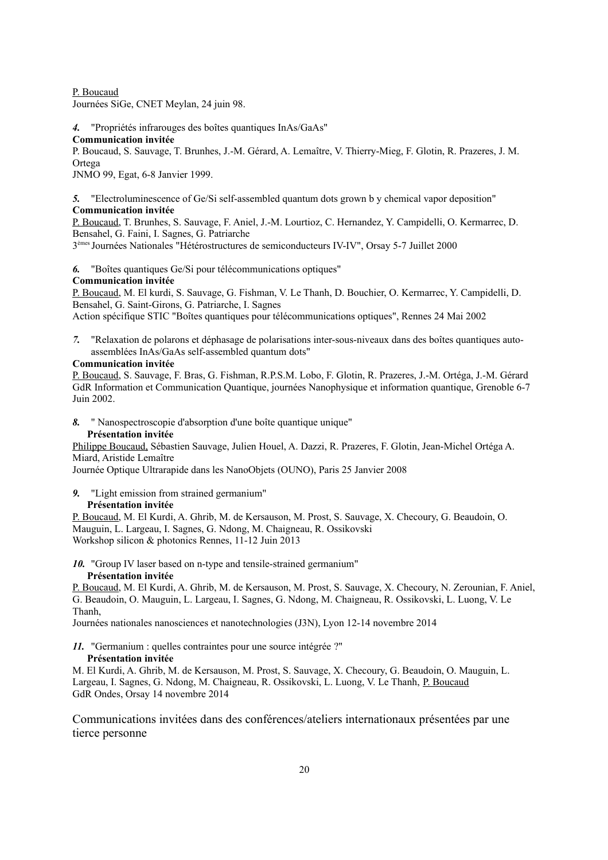P. Boucaud

Journées SiGe, CNET Meylan, 24 juin 98.

#### *4.* "Propriétés infrarouges des boîtes quantiques InAs/GaAs"

**Communication invitée**

P. Boucaud, S. Sauvage, T. Brunhes, J.-M. Gérard, A. Lemaître, V. Thierry-Mieg, F. Glotin, R. Prazeres, J. M. Ortega

JNMO 99, Egat, 6-8 Janvier 1999.

*5.* "Electroluminescence of Ge/Si self-assembled quantum dots grown b y chemical vapor deposition" **Communication invitée**

P. Boucaud, T. Brunhes, S. Sauvage, F. Aniel, J.-M. Lourtioz, C. Hernandez, Y. Campidelli, O. Kermarrec, D. Bensahel, G. Faini, I. Sagnes, G. Patriarche

3 èmes Journées Nationales "Hétérostructures de semiconducteurs IV-IV", Orsay 5-7 Juillet 2000

*6.* "Boîtes quantiques Ge/Si pour télécommunications optiques"

#### **Communication invitée**

P. Boucaud, M. El kurdi, S. Sauvage, G. Fishman, V. Le Thanh, D. Bouchier, O. Kermarrec, Y. Campidelli, D. Bensahel, G. Saint-Girons, G. Patriarche, I. Sagnes

Action spécifique STIC "Boîtes quantiques pour télécommunications optiques", Rennes 24 Mai 2002

*7.* "Relaxation de polarons et déphasage de polarisations inter-sous-niveaux dans des boîtes quantiques autoassemblées InAs/GaAs self-assembled quantum dots"

#### **Communication invitée**

P. Boucaud, S. Sauvage, F. Bras, G. Fishman, R.P.S.M. Lobo, F. Glotin, R. Prazeres, J.-M. Ortéga, J.-M. Gérard GdR Information et Communication Quantique, journées Nanophysique et information quantique, Grenoble 6-7 Juin 2002.

*8.* " Nanospectroscopie d'absorption d'une boîte quantique unique"

#### **Présentation invitée**

Philippe Boucaud, Sébastien Sauvage, Julien Houel, A. Dazzi, R. Prazeres, F. Glotin, Jean-Michel Ortéga A. Miard, Aristide Lemaître

Journée Optique Ultrarapide dans les NanoObjets (OUNO), Paris 25 Janvier 2008

*9.* "Light emission from strained germanium"

#### **Présentation invitée**

P. Boucaud, M. El Kurdi, A. Ghrib, M. de Kersauson, M. Prost, S. Sauvage, X. Checoury, G. Beaudoin, O. Mauguin, L. Largeau, I. Sagnes, G. Ndong, M. Chaigneau, R. Ossikovski Workshop silicon & photonics Rennes, 11-12 Juin 2013

*10.* "Group IV laser based on n-type and tensile-strained germanium"

#### **Présentation invitée**

P. Boucaud, M. El Kurdi, A. Ghrib, M. de Kersauson, M. Prost, S. Sauvage, X. Checoury, N. Zerounian, F. Aniel, G. Beaudoin, O. Mauguin, L. Largeau, I. Sagnes, G. Ndong, M. Chaigneau, R. Ossikovski, L. Luong, V. Le Thanh,

Journées nationales nanosciences et nanotechnologies (J3N), Lyon 12-14 novembre 2014

*11.* "Germanium : quelles contraintes pour une source intégrée ?"

#### **Présentation invitée**

M. El Kurdi, A. Ghrib, M. de Kersauson, M. Prost, S. Sauvage, X. Checoury, G. Beaudoin, O. Mauguin, L. Largeau, I. Sagnes, G. Ndong, M. Chaigneau, R. Ossikovski, L. Luong, V. Le Thanh, P. Boucaud GdR Ondes, Orsay 14 novembre 2014

Communications invitées dans des conférences/ateliers internationaux présentées par une tierce personne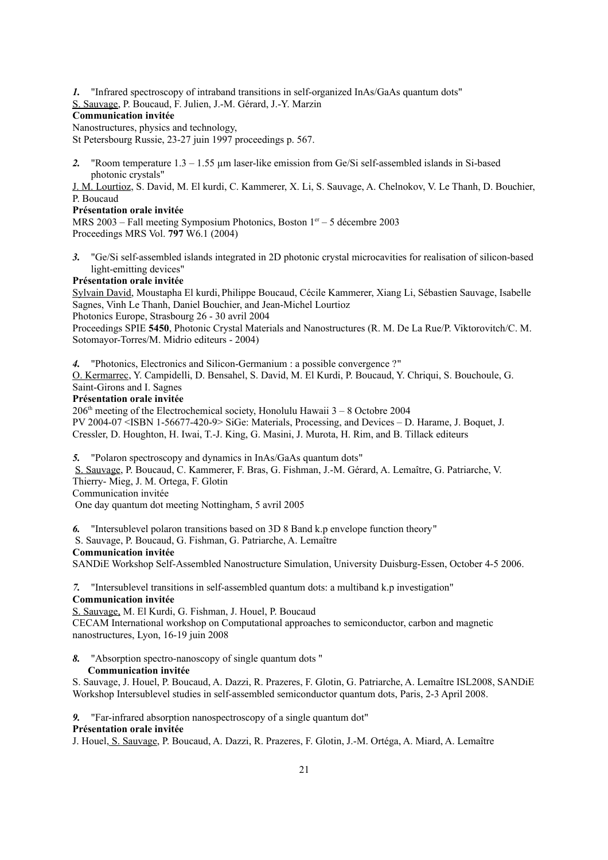- *1.* "Infrared spectroscopy of intraband transitions in self-organized InAs/GaAs quantum dots"
- S. Sauvage, P. Boucaud, F. Julien, J.-M. Gérard, J.-Y. Marzin

#### **Communication invitée**

Nanostructures, physics and technology,

St Petersbourg Russie, 23-27 juin 1997 proceedings p. 567.

2. "Room temperature 1.3 – 1.55 µm laser-like emission from Ge/Si self-assembled islands in Si-based photonic crystals"

J. M. Lourtioz, S. David, M. El kurdi, C. Kammerer, X. Li, S. Sauvage, A. Chelnokov, V. Le Thanh, D. Bouchier, P. Boucaud

#### **Présentation orale invitée**

MRS 2003 – Fall meeting Symposium Photonics, Boston  $1<sup>er</sup> - 5$  décembre 2003 Proceedings MRS Vol. **797** W6.1 (2004)

*3.* "Ge/Si self-assembled islands integrated in 2D photonic crystal microcavities for realisation of silicon-based light-emitting devices"

#### **Présentation orale invitée**

Sylvain David, Moustapha El kurdi,Philippe Boucaud, Cécile Kammerer, Xiang Li, Sébastien Sauvage, Isabelle Sagnes, Vinh Le Thanh, Daniel Bouchier, and Jean-Michel Lourtioz

Photonics Europe, Strasbourg 26 - 30 avril 2004

Proceedings SPIE **5450**, Photonic Crystal Materials and Nanostructures (R. M. De La Rue/P. Viktorovitch/C. M. Sotomayor-Torres/M. Midrio editeurs - 2004)

*4.* "Photonics, Electronics and Silicon-Germanium : a possible convergence ?"

O. Kermarrec, Y. Campidelli, D. Bensahel, S. David, M. El Kurdi, P. Boucaud, Y. Chriqui, S. Bouchoule, G. Saint-Girons and I. Sagnes

#### **Présentation orale invitée**

 $206<sup>th</sup>$  meeting of the Electrochemical society, Honolulu Hawaii  $3 - 8$  Octobre 2004 PV 2004-07 <ISBN 1-56677-420-9> SiGe: Materials, Processing, and Devices – D. Harame, J. Boquet, J. Cressler, D. Houghton, H. Iwai, T.-J. King, G. Masini, J. Murota, H. Rim, and B. Tillack editeurs

*5.* "Polaron spectroscopy and dynamics in InAs/GaAs quantum dots"

S. Sauvage, P. Boucaud, C. Kammerer, F. Bras, G. Fishman, J.-M. Gérard, A. Lemaître, G. Patriarche, V. Thierry- Mieg, J. M. Ortega, F. Glotin

Communication invitée

One day quantum dot meeting Nottingham, 5 avril 2005

*6.* "Intersublevel polaron transitions based on 3D 8 Band k.p envelope function theory"

S. Sauvage, P. Boucaud, G. Fishman, G. Patriarche, A. Lemaître

#### **Communication invitée**

SANDiE Workshop Self-Assembled Nanostructure Simulation, University Duisburg-Essen, October 4-5 2006.

*7.* "Intersublevel transitions in self-assembled quantum dots: a multiband k.p investigation" **Communication invitée** 

S. Sauvage, M. El Kurdi, G. Fishman, J. Houel, P. Boucaud

CECAM International workshop on Computational approaches to semiconductor, carbon and magnetic nanostructures, Lyon, 16-19 juin 2008

#### *8.* "Absorption spectro-nanoscopy of single quantum dots " **Communication invitée**

S. Sauvage, J. Houel, P. Boucaud, A. Dazzi, R. Prazeres, F. Glotin, G. Patriarche, A. Lemaître ISL2008, SANDiE Workshop Intersublevel studies in self-assembled semiconductor quantum dots, Paris, 2-3 April 2008.

#### *9.* "Far-infrared absorption nanospectroscopy of a single quantum dot"

#### **Présentation orale invitée**

J. Houel, S. Sauvage, P. Boucaud, A. Dazzi, R. Prazeres, F. Glotin, J.-M. Ortéga, A. Miard, A. Lemaître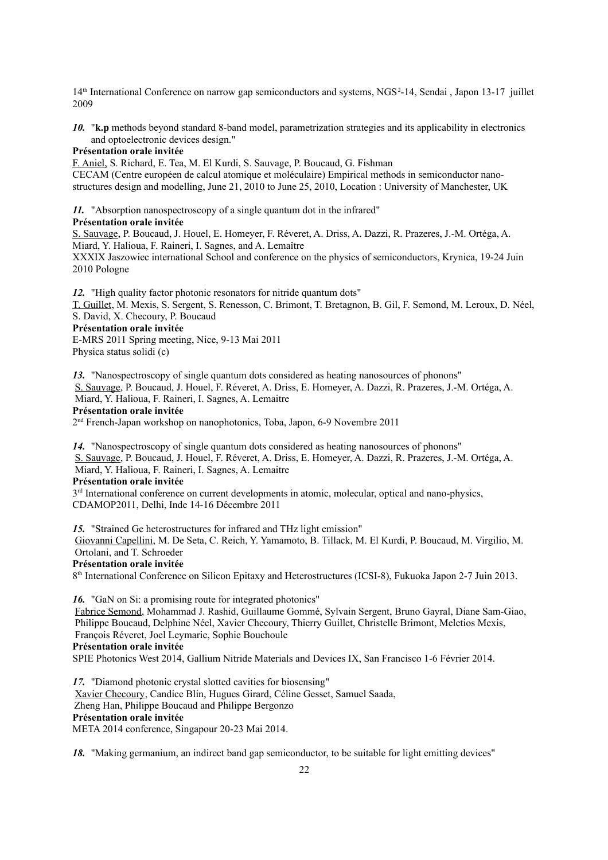14<sup>th</sup> International Conference on narrow gap semiconductors and systems, NGS<sup>2</sup>-14, Sendai , Japon 13-17 juillet 2009

*10.* "**k.p** methods beyond standard 8-band model, parametrization strategies and its applicability in electronics and optoelectronic devices design."

#### **Présentation orale invitée**

F. Aniel, S. Richard, E. Tea, M. El Kurdi, S. Sauvage, P. Boucaud, G. Fishman CECAM (Centre européen de calcul atomique et moléculaire) Empirical methods in semiconductor nanostructures design and modelling, June 21, 2010 to June 25, 2010, Location : University of Manchester, UK

*11.* "Absorption nanospectroscopy of a single quantum dot in the infrared"

#### **Présentation orale invitée**

S. Sauvage, P. Boucaud, J. Houel, E. Homeyer, F. Réveret, A. Driss, A. Dazzi, R. Prazeres, J.-M. Ortéga, A. Miard, Y. Halioua, F. Raineri, I. Sagnes, and A. Lemaître

XXXIX Jaszowiec international School and conference on the physics of semiconductors, Krynica, 19-24 Juin 2010 Pologne

*12.* "High quality factor photonic resonators for nitride quantum dots"

T. Guillet, M. Mexis, S. Sergent, S. Renesson, C. Brimont, T. Bretagnon, B. Gil, F. Semond, M. Leroux, D. Néel, S. David, X. Checoury, P. Boucaud

#### **Présentation orale invitée**

E-MRS 2011 Spring meeting, Nice, 9-13 Mai 2011 Physica status solidi (c)

*13.* "Nanospectroscopy of single quantum dots considered as heating nanosources of phonons" S. Sauvage, P. Boucaud, J. Houel, F. Réveret, A. Driss, E. Homeyer, A. Dazzi, R. Prazeres, J.-M. Ortéga, A. Miard, Y. Halioua, F. Raineri, I. Sagnes, A. Lemaitre

**Présentation orale invitée**

2 nd French-Japan workshop on nanophotonics, Toba, Japon, 6-9 Novembre 2011

*14.* "Nanospectroscopy of single quantum dots considered as heating nanosources of phonons" S. Sauvage, P. Boucaud, J. Houel, F. Réveret, A. Driss, E. Homeyer, A. Dazzi, R. Prazeres, J.-M. Ortéga, A. Miard, Y. Halioua, F. Raineri, I. Sagnes, A. Lemaitre

**Présentation orale invitée**

 $3<sup>rd</sup>$  International conference on current developments in atomic, molecular, optical and nano-physics, CDAMOP2011, Delhi, Inde 14-16 Décembre 2011

*15.* "Strained Ge heterostructures for infrared and THz light emission" Giovanni Capellini, M. De Seta, C. Reich, Y. Yamamoto, B. Tillack, M. El Kurdi, P. Boucaud, M. Virgilio, M. Ortolani, and T. Schroeder **Présentation orale invitée**

8<sup>th</sup> International Conference on Silicon Epitaxy and Heterostructures (ICSI-8), Fukuoka Japon 2-7 Juin 2013.

*16.* "GaN on Si: a promising route for integrated photonics" Fabrice Semond, Mohammad J. Rashid, Guillaume Gommé, Sylvain Sergent, Bruno Gayral, Diane Sam-Giao, Philippe Boucaud, Delphine Néel, Xavier Checoury, Thierry Guillet, Christelle Brimont, Meletios Mexis, François Réveret, Joel Leymarie, Sophie Bouchoule **Présentation orale invitée** SPIE Photonics West 2014, Gallium Nitride Materials and Devices IX, San Francisco 1-6 Février 2014.

*17.* "Diamond photonic crystal slotted cavities for biosensing" Xavier Checoury, Candice Blin, Hugues Girard, Céline Gesset, Samuel Saada, Zheng Han, Philippe Boucaud and Philippe Bergonzo **Présentation orale invitée** META 2014 conference, Singapour 20-23 Mai 2014.

*18.* "Making germanium, an indirect band gap semiconductor, to be suitable for light emitting devices"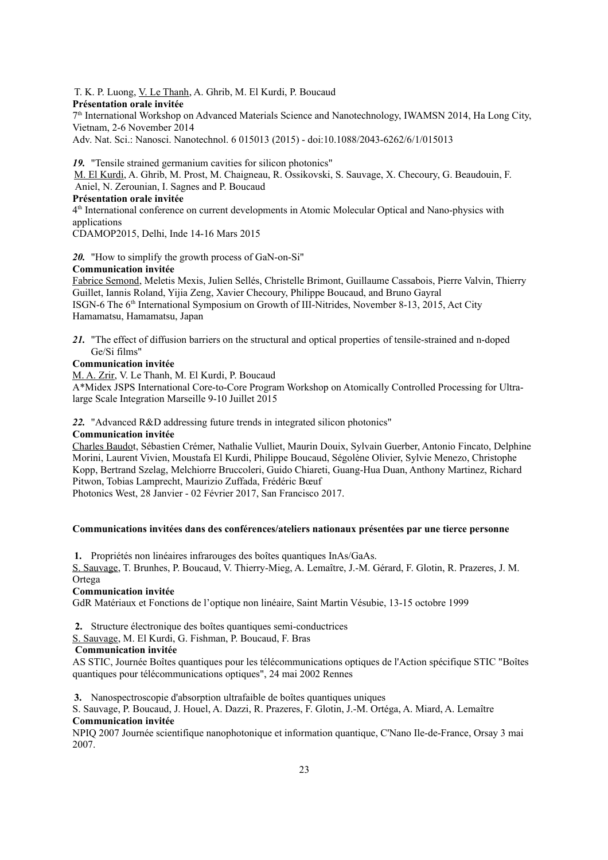T. K. P. Luong, V. Le Thanh, A. Ghrib, M. El Kurdi, P. Boucaud **Présentation orale invitée** 7<sup>th</sup> International Workshop on Advanced Materials Science and Nanotechnology, IWAMSN 2014, Ha Long City, Vietnam, 2-6 November 2014

Adv. Nat. Sci.: Nanosci. Nanotechnol. 6 015013 (2015) - doi:10.1088/2043-6262/6/1/015013

*19.* "Tensile strained germanium cavities for silicon photonics" M. El Kurdi, A. Ghrib, M. Prost, M. Chaigneau, R. Ossikovski, S. Sauvage, X. Checoury, G. Beaudouin, F. Aniel, N. Zerounian, I. Sagnes and P. Boucaud

#### **Présentation orale invitée**

4 th International conference on current developments in Atomic Molecular Optical and Nano-physics with applications

CDAMOP2015, Delhi, Inde 14-16 Mars 2015

*20.* "How to simplify the growth process of GaN-on-Si"

#### **Communication invitée**

Fabrice Semond, Meletis Mexis, Julien Sellés, Christelle Brimont, Guillaume Cassabois, Pierre Valvin, Thierry Guillet, Iannis Roland, Yijia Zeng, Xavier Checoury, Philippe Boucaud, and Bruno Gayral ISGN-6 The 6th International Symposium on Growth of III-Nitrides, November 8-13, 2015, Act City Hamamatsu, Hamamatsu, Japan

*21.* "The effect of diffusion barriers on the structural and optical properties of tensile-strained and n-doped Ge/Si films"

#### **Communication invitée**

M. A. Zrir, V. Le Thanh, M. El Kurdi, P. Boucaud

A\*Midex JSPS International Core-to-Core Program Workshop on Atomically Controlled Processing for Ultralarge Scale Integration Marseille 9-10 Juillet 2015

*22.* "Advanced R&D addressing future trends in integrated silicon photonics"

#### **Communication invitée**

Charles Baudot, Sébastien Crémer, Nathalie Vulliet, Maurin Douix, Sylvain Guerber, Antonio Fincato, Delphine Morini, Laurent Vivien, Moustafa El Kurdi, Philippe Boucaud, Ségolène Olivier, Sylvie Menezo, Christophe Kopp, Bertrand Szelag, Melchiorre Bruccoleri, Guido Chiareti, Guang-Hua Duan, Anthony Martinez, Richard Pitwon, Tobias Lamprecht, Maurizio Zuffada, Frédéric Bœuf

Photonics West, 28 Janvier - 02 Février 2017, San Francisco 2017.

#### **Communications invitées dans des conférences/ateliers nationaux présentées par une tierce personne**

**1.** Propriétés non linéaires infrarouges des boîtes quantiques InAs/GaAs.

S. Sauvage, T. Brunhes, P. Boucaud, V. Thierry-Mieg, A. Lemaître, J.-M. Gérard, F. Glotin, R. Prazeres, J. M. Ortega

#### **Communication invitée**

GdR Matériaux et Fonctions de l'optique non linéaire, Saint Martin Vésubie, 13-15 octobre 1999

- **2.** Structure électronique des boîtes quantiques semi-conductrices
- S. Sauvage, M. El Kurdi, G. Fishman, P. Boucaud, F. Bras

#### **Communication invitée**

AS STIC, Journée Boîtes quantiques pour les télécommunications optiques de l'Action spécifique STIC "Boîtes quantiques pour télécommunications optiques", 24 mai 2002 Rennes

**3.** Nanospectroscopie d'absorption ultrafaible de boîtes quantiques uniques

S. Sauvage, P. Boucaud, J. Houel, A. Dazzi, R. Prazeres, F. Glotin, J.-M. Ortéga, A. Miard, A. Lemaître **Communication invitée** 

NPIQ 2007 Journée scientifique nanophotonique et information quantique, C'Nano Ile-de-France, Orsay 3 mai 2007.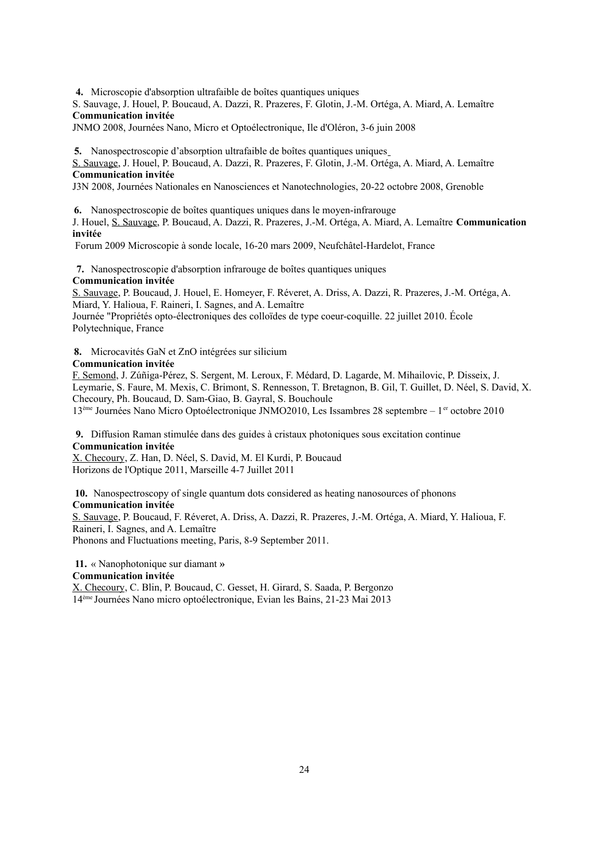**4.** Microscopie d'absorption ultrafaible de boîtes quantiques uniques

S. Sauvage, J. Houel, P. Boucaud, A. Dazzi, R. Prazeres, F. Glotin, J.-M. Ortéga, A. Miard, A. Lemaître **Communication invitée**

JNMO 2008, Journées Nano, Micro et Optoélectronique, Ile d'Oléron, 3-6 juin 2008

**5.** Nanospectroscopie d'absorption ultrafaible de boîtes quantiques uniques

S. Sauvage, J. Houel, P. Boucaud, A. Dazzi, R. Prazeres, F. Glotin, J.-M. Ortéga, A. Miard, A. Lemaître **Communication invitée** 

J3N 2008, Journées Nationales en Nanosciences et Nanotechnologies, 20-22 octobre 2008, Grenoble

**6.** Nanospectroscopie de boîtes quantiques uniques dans le moyen-infrarouge

J. Houel, S. Sauvage, P. Boucaud, A. Dazzi, R. Prazeres, J.-M. Ortéga, A. Miard, A. Lemaître **Communication invitée**

Forum 2009 Microscopie à sonde locale, 16-20 mars 2009, Neufchâtel-Hardelot, France

**7.** Nanospectroscopie d'absorption infrarouge de boîtes quantiques uniques **Communication invitée**

S. Sauvage, P. Boucaud, J. Houel, E. Homeyer, F. Réveret, A. Driss, A. Dazzi, R. Prazeres, J.-M. Ortéga, A. Miard, Y. Halioua, F. Raineri, I. Sagnes, and A. Lemaître Journée "Propriétés opto-électroniques des colloïdes de type coeur-coquille. 22 juillet 2010. École

Polytechnique, France

**8.** Microcavités GaN et ZnO intégrées sur silicium

#### **Communication invitée**

F. Semond, J. Zúñiga-Pérez, S. Sergent, M. Leroux, F. Médard, D. Lagarde, M. Mihailovic, P. Disseix, J. Leymarie, S. Faure, M. Mexis, C. Brimont, S. Rennesson, T. Bretagnon, B. Gil, T. Guillet, D. Néel, S. David, X. Checoury, Ph. Boucaud, D. Sam-Giao, B. Gayral, S. Bouchoule

13<sup>ème</sup> Journées Nano Micro Optoélectronique JNMO2010, Les Issambres 28 septembre – 1<sup>er</sup> octobre 2010

**9.** Diffusion Raman stimulée dans des guides à cristaux photoniques sous excitation continue **Communication invitée**

X. Checoury, Z. Han, D. Néel, S. David, M. El Kurdi, P. Boucaud Horizons de l'Optique 2011, Marseille 4-7 Juillet 2011

**10.** Nanospectroscopy of single quantum dots considered as heating nanosources of phonons **Communication invitée**

S. Sauvage, P. Boucaud, F. Réveret, A. Driss, A. Dazzi, R. Prazeres, J.-M. Ortéga, A. Miard, Y. Halioua, F. Raineri, I. Sagnes, and A. Lemaître

Phonons and Fluctuations meeting, Paris, 8-9 September 2011.

**11.** « Nanophotonique sur diamant **»**

### **Communication invitée**

X. Checoury, C. Blin, P. Boucaud, C. Gesset, H. Girard, S. Saada, P. Bergonzo 14ème Journées Nano micro optoélectronique, Evian les Bains, 21-23 Mai 2013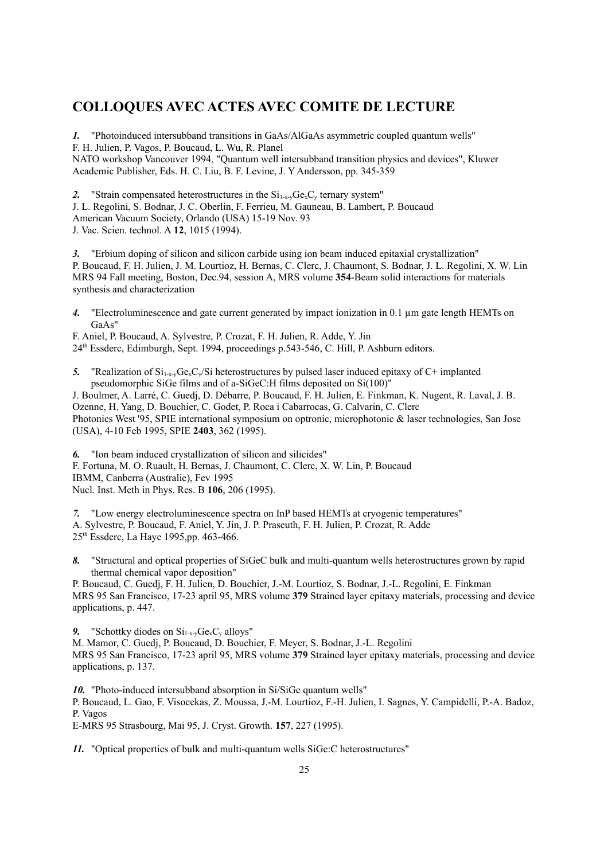### **COLLOQUES AVEC ACTES AVEC COMITE DE LECTURE**

*1.* "Photoinduced intersubband transitions in GaAs/AlGaAs asymmetric coupled quantum wells" F. H. Julien, P. Vagos, P. Boucaud, L. Wu, R. Planel NATO workshop Vancouver 1994, "Quantum well intersubband transition physics and devices", Kluwer Academic Publisher, Eds. H. C. Liu, B. F. Levine, J. Y Andersson, pp. 345-359

2. "Strain compensated heterostructures in the  $Si<sub>1-x-y</sub>Ge<sub>x</sub>C<sub>y</sub>$  ternary system"

J. L. Regolini, S. Bodnar, J. C. Oberlin, F. Ferrieu, M. Gauneau, B. Lambert, P. Boucaud American Vacuum Society, Orlando (USA) 15-19 Nov. 93

J. Vac. Scien. technol. A **12**, 1015 (1994).

*3.* "Erbium doping of silicon and silicon carbide using ion beam induced epitaxial crystallization" P. Boucaud, F. H. Julien, J. M. Lourtioz, H. Bernas, C. Clerc, J. Chaumont, S. Bodnar, J. L. Regolini, X. W. Lin MRS 94 Fall meeting, Boston, Dec.94, session A, MRS volume **354**-Beam solid interactions for materials synthesis and characterization

*4.* "Electroluminescence and gate current generated by impact ionization in 0.1 µm gate length HEMTs on GaAs"

F. Aniel, P. Boucaud, A. Sylvestre, P. Crozat, F. H. Julien, R. Adde, Y. Jin 24th Essderc, Edimburgh, Sept. 1994, proceedings p.543-546, C. Hill, P. Ashburn editors.

5. "Realization of  $Si<sub>1-x</sub>Ge<sub>x</sub>C<sub>y</sub>/Si$  heterostructures by pulsed laser induced epitaxy of C+ implanted pseudomorphic SiGe films and of a-SiGeC:H films deposited on Si(100)"

J. Boulmer, A. Larré, C. Guedj, D. Débarre, P. Boucaud, F. H. Julien, E. Finkman, K. Nugent, R. Laval, J. B. Ozenne, H. Yang, D. Bouchier, C. Godet, P. Roca i Cabarrocas, G. Calvarin, C. Clerc Photonics West '95, SPIE international symposium on optronic, microphotonic & laser technologies, San Jose (USA), 4-10 Feb 1995, SPIE **2403**, 362 (1995).

*6.* "Ion beam induced crystallization of silicon and silicides" F. Fortuna, M. O. Ruault, H. Bernas, J. Chaumont, C. Clerc, X. W. Lin, P. Boucaud IBMM, Canberra (Australie), Fev 1995 Nucl. Inst. Meth in Phys. Res. B **106**, 206 (1995).

*7.* "Low energy electroluminescence spectra on InP based HEMTs at cryogenic temperatures" A. Sylvestre, P. Boucaud, F. Aniel, Y. Jin, J. P. Praseuth, F. H. Julien, P. Crozat, R. Adde 25th Essderc, La Haye 1995,pp. 463-466.

*8.* "Structural and optical properties of SiGeC bulk and multi-quantum wells heterostructures grown by rapid thermal chemical vapor deposition"

P. Boucaud, C. Guedj, F. H. Julien, D. Bouchier, J.-M. Lourtioz, S. Bodnar, J.-L. Regolini, E. Finkman MRS 95 San Francisco, 17-23 april 95, MRS volume **379** Strained layer epitaxy materials, processing and device applications, p. 447.

9. "Schottky diodes on  $Si_{1-xv}Ge_xC_v$  alloys"

M. Mamor, C. Guedj, P. Boucaud, D. Bouchier, F. Meyer, S. Bodnar, J.-L. Regolini MRS 95 San Francisco, 17-23 april 95, MRS volume **379** Strained layer epitaxy materials, processing and device applications, p. 137.

*10.* "Photo-induced intersubband absorption in Si/SiGe quantum wells"

P. Boucaud, L. Gao, F. Visocekas, Z. Moussa, J.-M. Lourtioz, F.-H. Julien, I. Sagnes, Y. Campidelli, P.-A. Badoz, P. Vagos

E-MRS 95 Strasbourg, Mai 95, J. Cryst. Growth. **157**, 227 (1995).

*11.* "Optical properties of bulk and multi-quantum wells SiGe:C heterostructures"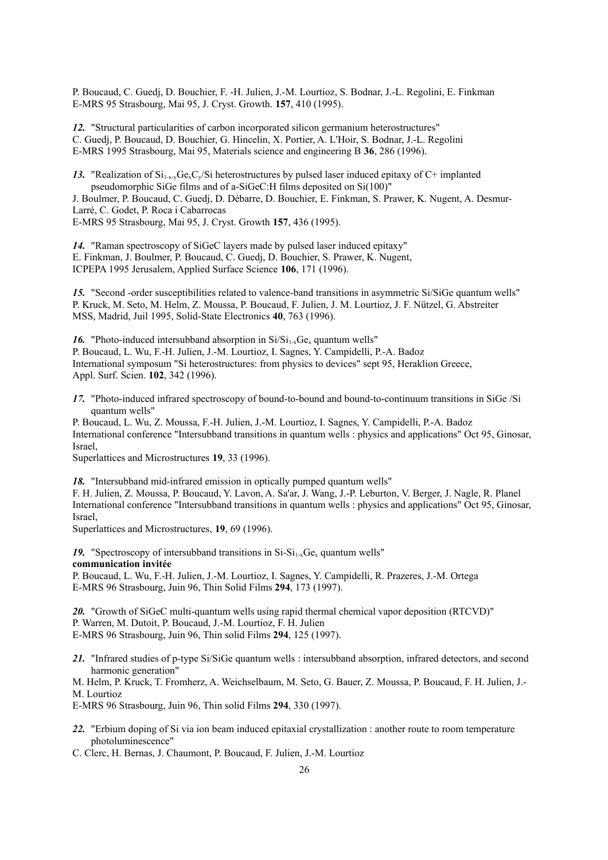P. Boucaud, C. Guedj, D. Bouchier, F. -H. Julien, J.-M. Lourtioz, S. Bodnar, J.-L. Regolini, E. Finkman E-MRS 95 Strasbourg, Mai 95, J. Cryst. Growth. **157**, 410 (1995).

*12.* "Structural particularities of carbon incorporated silicon germanium heterostructures" C. Guedj, P. Boucaud, D. Bouchier, G. Hincelin, X. Portier, A. L'Hoir, S. Bodnar, J.-L. Regolini E-MRS 1995 Strasbourg, Mai 95, Materials science and engineering B **36**, 286 (1996).

13. "Realization of  $Si_{1-x}Ge<sub>x</sub>Ce<sub>y</sub>/Si$  heterostructures by pulsed laser induced epitaxy of C+ implanted pseudomorphic SiGe films and of a-SiGeC:H films deposited on Si(100)"

J. Boulmer, P. Boucaud, C. Guedj, D. Débarre, D. Bouchier, E. Finkman, S. Prawer, K. Nugent, A. Desmur-Larré, C. Godet, P. Roca i Cabarrocas E-MRS 95 Strasbourg, Mai 95, J. Cryst. Growth **157**, 436 (1995).

*14.* "Raman spectroscopy of SiGeC layers made by pulsed laser induced epitaxy" E. Finkman, J. Boulmer, P. Boucaud, C. Guedj, D. Bouchier, S. Prawer, K. Nugent, ICPEPA 1995 Jerusalem, Applied Surface Science **106**, 171 (1996).

*15.* "Second -order susceptibilities related to valence-band transitions in asymmetric Si/SiGe quantum wells" P. Kruck, M. Seto, M. Helm, Z. Moussa, P. Boucaud, F. Julien, J. M. Lourtioz, J. F. Nützel, G. Abstreiter MSS, Madrid, Juil 1995, Solid-State Electronics **40**, 763 (1996).

16. "Photo-induced intersubband absorption in  $Si/Si_{1-x}Ge_x$  quantum wells" P. Boucaud, L. Wu, F.-H. Julien, J.-M. Lourtioz, I. Sagnes, Y. Campidelli, P.-A. Badoz International symposum "Si heterostructures: from physics to devices" sept 95, Heraklion Greece, Appl. Surf. Scien. **102**, 342 (1996).

*17.* "Photo-induced infrared spectroscopy of bound-to-bound and bound-to-continuum transitions in SiGe /Si quantum wells"

P. Boucaud, L. Wu, Z. Moussa, F.-H. Julien, J.-M. Lourtioz, I. Sagnes, Y. Campidelli, P.-A. Badoz International conference "Intersubband transitions in quantum wells : physics and applications" Oct 95, Ginosar, Israel,

Superlattices and Microstructures **19**, 33 (1996).

*18.* "Intersubband mid-infrared emission in optically pumped quantum wells"

F. H. Julien, Z. Moussa, P. Boucaud, Y. Lavon, A. Sa'ar, J. Wang, J.-P. Leburton, V. Berger, J. Nagle, R. Planel International conference "Intersubband transitions in quantum wells : physics and applications" Oct 95, Ginosar, Israel,

Superlattices and Microstructures, **19**, 69 (1996).

19. "Spectroscopy of intersubband transitions in  $Si-Si_{1-x}Ge_x$  quantum wells" **communication invitée** P. Boucaud, L. Wu, F.-H. Julien, J.-M. Lourtioz, I. Sagnes, Y. Campidelli, R. Prazeres, J.-M. Ortega

E-MRS 96 Strasbourg, Juin 96, Thin Solid Films **294**, 173 (1997).

*20.* "Growth of SiGeC multi-quantum wells using rapid thermal chemical vapor deposition (RTCVD)" P. Warren, M. Dutoit, P. Boucaud, J.-M. Lourtioz, F. H. Julien E-MRS 96 Strasbourg, Juin 96, Thin solid Films **294**, 125 (1997).

*21.* "Infrared studies of p-type Si/SiGe quantum wells : intersubband absorption, infrared detectors, and second harmonic generation"

M. Helm, P. Kruck, T. Fromherz, A. Weichselbaum, M. Seto, G. Bauer, Z. Moussa, P. Boucaud, F. H. Julien, J.- M. Lourtioz

E-MRS 96 Strasbourg, Juin 96, Thin solid Films **294**, 330 (1997).

*22.* "Erbium doping of Si via ion beam induced epitaxial crystallization : another route to room temperature photoluminescence"

C. Clerc, H. Bernas, J. Chaumont, P. Boucaud, F. Julien, J.-M. Lourtioz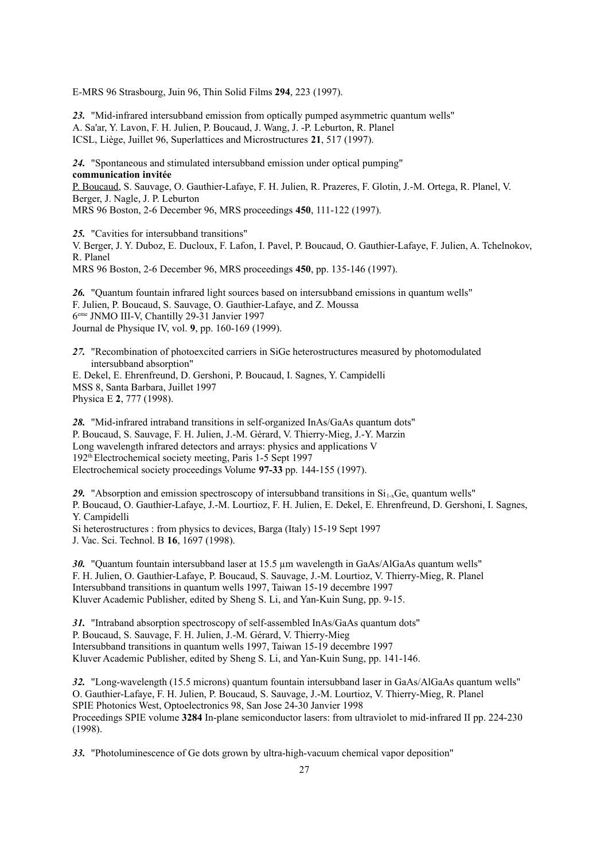E-MRS 96 Strasbourg, Juin 96, Thin Solid Films **294**, 223 (1997).

*23.* "Mid-infrared intersubband emission from optically pumped asymmetric quantum wells" A. Sa'ar, Y. Lavon, F. H. Julien, P. Boucaud, J. Wang, J. -P. Leburton, R. Planel ICSL, Liège, Juillet 96, Superlattices and Microstructures **21**, 517 (1997).

*24.* "Spontaneous and stimulated intersubband emission under optical pumping" **communication invitée** P. Boucaud, S. Sauvage, O. Gauthier-Lafaye, F. H. Julien, R. Prazeres, F. Glotin, J.-M. Ortega, R. Planel, V. Berger, J. Nagle, J. P. Leburton MRS 96 Boston, 2-6 December 96, MRS proceedings **450**, 111-122 (1997).

*25.* "Cavities for intersubband transitions"

V. Berger, J. Y. Duboz, E. Ducloux, F. Lafon, I. Pavel, P. Boucaud, O. Gauthier-Lafaye, F. Julien, A. Tchelnokov, R. Planel

MRS 96 Boston, 2-6 December 96, MRS proceedings **450**, pp. 135-146 (1997).

*26.* "Quantum fountain infrared light sources based on intersubband emissions in quantum wells" F. Julien, P. Boucaud, S. Sauvage, O. Gauthier-Lafaye, and Z. Moussa 6 eme JNMO III-V, Chantilly 29-31 Janvier 1997 Journal de Physique IV, vol. **9**, pp. 160-169 (1999).

*27.* "Recombination of photoexcited carriers in SiGe heterostructures measured by photomodulated intersubband absorption"

E. Dekel, E. Ehrenfreund, D. Gershoni, P. Boucaud, I. Sagnes, Y. Campidelli MSS 8, Santa Barbara, Juillet 1997 Physica E **2**, 777 (1998).

*28.* "Mid-infrared intraband transitions in self-organized InAs/GaAs quantum dots" P. Boucaud, S. Sauvage, F. H. Julien, J.-M. Gérard, V. Thierry-Mieg, J.-Y. Marzin Long wavelength infrared detectors and arrays: physics and applications V 192th Electrochemical society meeting, Paris 1-5 Sept 1997 Electrochemical society proceedings Volume **97-33** pp. 144-155 (1997).

29. "Absorption and emission spectroscopy of intersubband transitions in  $Si<sub>1-x</sub>Ge<sub>x</sub>$  quantum wells" P. Boucaud, O. Gauthier-Lafaye, J.-M. Lourtioz, F. H. Julien, E. Dekel, E. Ehrenfreund, D. Gershoni, I. Sagnes, Y. Campidelli

Si heterostructures : from physics to devices, Barga (Italy) 15-19 Sept 1997

J. Vac. Sci. Technol. B **16**, 1697 (1998).

*30.* "Quantum fountain intersubband laser at 15.5 µm wavelength in GaAs/AlGaAs quantum wells" F. H. Julien, O. Gauthier-Lafaye, P. Boucaud, S. Sauvage, J.-M. Lourtioz, V. Thierry-Mieg, R. Planel Intersubband transitions in quantum wells 1997, Taiwan 15-19 decembre 1997 Kluver Academic Publisher, edited by Sheng S. Li, and Yan-Kuin Sung, pp. 9-15.

*31.* "Intraband absorption spectroscopy of self-assembled InAs/GaAs quantum dots" P. Boucaud, S. Sauvage, F. H. Julien, J.-M. Gérard, V. Thierry-Mieg Intersubband transitions in quantum wells 1997, Taiwan 15-19 decembre 1997 Kluver Academic Publisher, edited by Sheng S. Li, and Yan-Kuin Sung, pp. 141-146.

*32.* "Long-wavelength (15.5 microns) quantum fountain intersubband laser in GaAs/AlGaAs quantum wells" O. Gauthier-Lafaye, F. H. Julien, P. Boucaud, S. Sauvage, J.-M. Lourtioz, V. Thierry-Mieg, R. Planel SPIE Photonics West, Optoelectronics 98, San Jose 24-30 Janvier 1998 Proceedings SPIE volume **3284** In-plane semiconductor lasers: from ultraviolet to mid-infrared II pp. 224-230 (1998).

*33.* "Photoluminescence of Ge dots grown by ultra-high-vacuum chemical vapor deposition"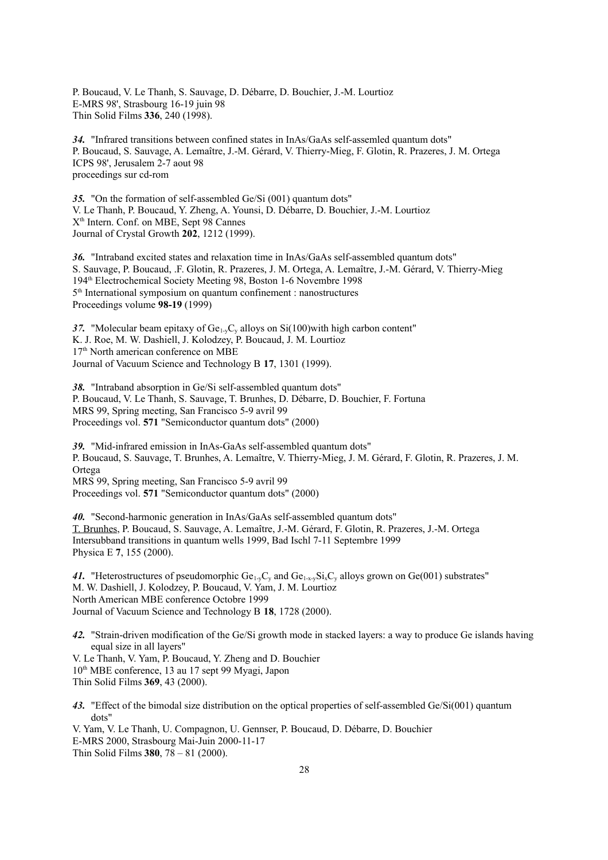P. Boucaud, V. Le Thanh, S. Sauvage, D. Débarre, D. Bouchier, J.-M. Lourtioz E-MRS 98', Strasbourg 16-19 juin 98 Thin Solid Films **336**, 240 (1998).

*34.* "Infrared transitions between confined states in InAs/GaAs self-assemled quantum dots" P. Boucaud, S. Sauvage, A. Lemaître, J.-M. Gérard, V. Thierry-Mieg, F. Glotin, R. Prazeres, J. M. Ortega ICPS 98', Jerusalem 2-7 aout 98 proceedings sur cd-rom

*35.* "On the formation of self-assembled Ge/Si (001) quantum dots" V. Le Thanh, P. Boucaud, Y. Zheng, A. Younsi, D. Débarre, D. Bouchier, J.-M. Lourtioz X th Intern. Conf. on MBE, Sept 98 Cannes Journal of Crystal Growth **202**, 1212 (1999).

*36.* "Intraband excited states and relaxation time in InAs/GaAs self-assembled quantum dots" S. Sauvage, P. Boucaud, .F. Glotin, R. Prazeres, J. M. Ortega, A. Lemaître, J.-M. Gérard, V. Thierry-Mieg 194th Electrochemical Society Meeting 98, Boston 1-6 Novembre 1998 5<sup>th</sup> International symposium on quantum confinement : nanostructures Proceedings volume **98-19** (1999)

37. "Molecular beam epitaxy of  $Ge_{1-v}C_v$  alloys on  $Si(100)$  with high carbon content" K. J. Roe, M. W. Dashiell, J. Kolodzey, P. Boucaud, J. M. Lourtioz 17<sup>th</sup> North american conference on MBE Journal of Vacuum Science and Technology B **17**, 1301 (1999).

*38.* "Intraband absorption in Ge/Si self-assembled quantum dots" P. Boucaud, V. Le Thanh, S. Sauvage, T. Brunhes, D. Débarre, D. Bouchier, F. Fortuna MRS 99, Spring meeting, San Francisco 5-9 avril 99 Proceedings vol. **571** "Semiconductor quantum dots" (2000)

*39.* "Mid-infrared emission in InAs-GaAs self-assembled quantum dots" P. Boucaud, S. Sauvage, T. Brunhes, A. Lemaître, V. Thierry-Mieg, J. M. Gérard, F. Glotin, R. Prazeres, J. M. Ortega MRS 99, Spring meeting, San Francisco 5-9 avril 99 Proceedings vol. **571** "Semiconductor quantum dots" (2000)

*40.* "Second-harmonic generation in InAs/GaAs self-assembled quantum dots" T. Brunhes, P. Boucaud, S. Sauvage, A. Lemaître, J.-M. Gérard, F. Glotin, R. Prazeres, J.-M. Ortega Intersubband transitions in quantum wells 1999, Bad Ischl 7-11 Septembre 1999 Physica E **7**, 155 (2000).

41. "Heterostructures of pseudomorphic  $Ge_{1-x}C_v$  and  $Ge_{1-x}S_iC_v$  alloys grown on  $Ge(001)$  substrates" M. W. Dashiell, J. Kolodzey, P. Boucaud, V. Yam, J. M. Lourtioz North American MBE conference Octobre 1999 Journal of Vacuum Science and Technology B **18**, 1728 (2000).

*42.* "Strain-driven modification of the Ge/Si growth mode in stacked layers: a way to produce Ge islands having equal size in all layers"

V. Le Thanh, V. Yam, P. Boucaud, Y. Zheng and D. Bouchier 10th MBE conference, 13 au 17 sept 99 Myagi, Japon Thin Solid Films **369**, 43 (2000).

*43.* "Effect of the bimodal size distribution on the optical properties of self-assembled Ge/Si(001) quantum dots"

V. Yam, V. Le Thanh, U. Compagnon, U. Gennser, P. Boucaud, D. Débarre, D. Bouchier E-MRS 2000, Strasbourg Mai-Juin 2000-11-17 Thin Solid Films **380**, 78 – 81 (2000).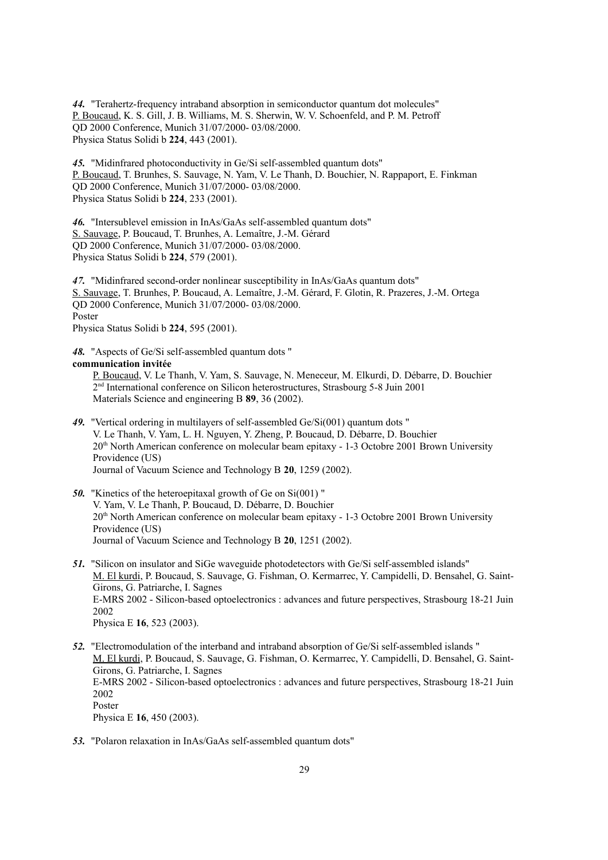*44.* "Terahertz-frequency intraband absorption in semiconductor quantum dot molecules" P. Boucaud, K. S. Gill, J. B. Williams, M. S. Sherwin, W. V. Schoenfeld, and P. M. Petroff QD 2000 Conference, Munich 31/07/2000- 03/08/2000. Physica Status Solidi b **224**, 443 (2001).

*45.* "Midinfrared photoconductivity in Ge/Si self-assembled quantum dots" P. Boucaud, T. Brunhes, S. Sauvage, N. Yam, V. Le Thanh, D. Bouchier, N. Rappaport, E. Finkman QD 2000 Conference, Munich 31/07/2000- 03/08/2000. Physica Status Solidi b **224**, 233 (2001).

*46.* "Intersublevel emission in InAs/GaAs self-assembled quantum dots" S. Sauvage, P. Boucaud, T. Brunhes, A. Lemaître, J.-M. Gérard QD 2000 Conference, Munich 31/07/2000- 03/08/2000. Physica Status Solidi b **224**, 579 (2001).

*47.* "Midinfrared second-order nonlinear susceptibility in InAs/GaAs quantum dots" S. Sauvage, T. Brunhes, P. Boucaud, A. Lemaître, J.-M. Gérard, F. Glotin, R. Prazeres, J.-M. Ortega QD 2000 Conference, Munich 31/07/2000- 03/08/2000. Poster Physica Status Solidi b **224**, 595 (2001).

*48.* "Aspects of Ge/Si self-assembled quantum dots " **communication invitée**

P. Boucaud, V. Le Thanh, V. Yam, S. Sauvage, N. Meneceur, M. Elkurdi, D. Débarre, D. Bouchier 2<sup>nd</sup> International conference on Silicon heterostructures, Strasbourg 5-8 Juin 2001 Materials Science and engineering B **89**, 36 (2002).

- *49.* "Vertical ordering in multilayers of self-assembled Ge/Si(001) quantum dots " V. Le Thanh, V. Yam, L. H. Nguyen, Y. Zheng, P. Boucaud, D. Débarre, D. Bouchier 20th North American conference on molecular beam epitaxy - 1-3 Octobre 2001 Brown University Providence (US) Journal of Vacuum Science and Technology B **20**, 1259 (2002).
- *50.* "Kinetics of the heteroepitaxal growth of Ge on Si(001) " V. Yam, V. Le Thanh, P. Boucaud, D. Débarre, D. Bouchier 20th North American conference on molecular beam epitaxy - 1-3 Octobre 2001 Brown University Providence (US) Journal of Vacuum Science and Technology B **20**, 1251 (2002).
- *51.* "Silicon on insulator and SiGe waveguide photodetectors with Ge/Si self-assembled islands" M. El kurdi, P. Boucaud, S. Sauvage, G. Fishman, O. Kermarrec, Y. Campidelli, D. Bensahel, G. Saint-Girons, G. Patriarche, I. Sagnes E-MRS 2002 - Silicon-based optoelectronics : advances and future perspectives, Strasbourg 18-21 Juin 2002 Physica E **16**, 523 (2003).
- *52.* "Electromodulation of the interband and intraband absorption of Ge/Si self-assembled islands " M. El kurdi, P. Boucaud, S. Sauvage, G. Fishman, O. Kermarrec, Y. Campidelli, D. Bensahel, G. Saint-Girons, G. Patriarche, I. Sagnes E-MRS 2002 - Silicon-based optoelectronics : advances and future perspectives, Strasbourg 18-21 Juin 2002 Poster Physica E **16**, 450 (2003).
- *53.* "Polaron relaxation in InAs/GaAs self-assembled quantum dots"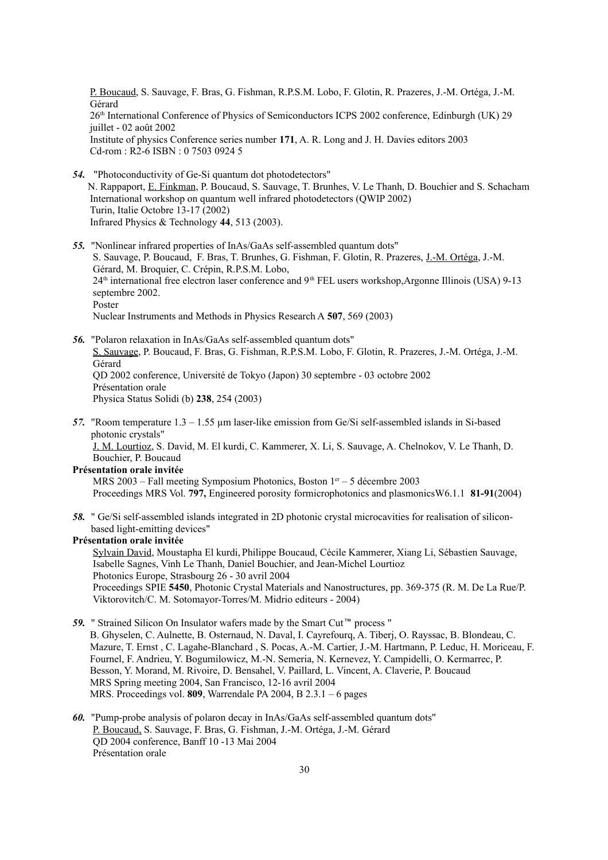P. Boucaud, S. Sauvage, F. Bras, G. Fishman, R.P.S.M. Lobo, F. Glotin, R. Prazeres, J.-M. Ortéga, J.-M. Gérard 26<sup>th</sup> International Conference of Physics of Semiconductors ICPS 2002 conference, Edinburgh (UK) 29 juillet - 02 août 2002 Institute of physics Conference series number **171**, A. R. Long and J. H. Davies editors 2003 Cd-rom : R2-6 ISBN : 0 7503 0924 5

- *54.* "Photoconductivity of Ge-Si quantum dot photodetectors" N. Rappaport, E. Finkman, P. Boucaud, S. Sauvage, T. Brunhes, V. Le Thanh, D. Bouchier and S. Schacham International workshop on quantum well infrared photodetectors (QWIP 2002) Turin, Italie Octobre 13-17 (2002) Infrared Physics & Technology **44**, 513 (2003).
- *55.* "Nonlinear infrared properties of InAs/GaAs self-assembled quantum dots" S. Sauvage, P. Boucaud, F. Bras, T. Brunhes, G. Fishman, F. Glotin, R. Prazeres, J.-M. Ortéga, J.-M. Gérard, M. Broquier, C. Crépin, R.P.S.M. Lobo,  $24<sup>th</sup>$  international free electron laser conference and  $9<sup>th</sup> FEL$  users workshop.Argonne Illinois (USA) 9-13 septembre 2002. Poster Nuclear Instruments and Methods in Physics Research A **507**, 569 (2003)
- *56.* "Polaron relaxation in InAs/GaAs self-assembled quantum dots" S. Sauvage, P. Boucaud, F. Bras, G. Fishman, R.P.S.M. Lobo, F. Glotin, R. Prazeres, J.-M. Ortéga, J.-M. Gérard QD 2002 conference, Université de Tokyo (Japon) 30 septembre - 03 octobre 2002 Présentation orale Physica Status Solidi (b) **238**, 254 (2003)
- *57.* "Room temperature 1.3 1.55 µm laser-like emission from Ge/Si self-assembled islands in Si-based photonic crystals"

J. M. Lourtioz, S. David, M. El kurdi, C. Kammerer, X. Li, S. Sauvage, A. Chelnokov, V. Le Thanh, D. Bouchier, P. Boucaud

#### **Présentation orale invitée**

MRS 2003 – Fall meeting Symposium Photonics, Boston  $1<sup>er</sup> - 5$  décembre 2003 Proceedings MRS Vol. **797,** Engineered porosity formicrophotonics and plasmonicsW6.1.1 **81-91**(2004)

*58.* " Ge/Si self-assembled islands integrated in 2D photonic crystal microcavities for realisation of siliconbased light-emitting devices"

#### **Présentation orale invitée**

Sylvain David, Moustapha El kurdi,Philippe Boucaud, Cécile Kammerer, Xiang Li, Sébastien Sauvage, Isabelle Sagnes, Vinh Le Thanh, Daniel Bouchier, and Jean-Michel Lourtioz Photonics Europe, Strasbourg 26 - 30 avril 2004 Proceedings SPIE **5450**, Photonic Crystal Materials and Nanostructures, pp. 369-375 (R. M. De La Rue/P. Viktorovitch/C. M. Sotomayor-Torres/M. Midrio editeurs - 2004)

- **59.** " Strained Silicon On Insulator wafers made by the Smart Cut™ process " B. Ghyselen, C. Aulnette, B. Osternaud, N. Daval, I. Cayrefourq, A. Tiberj, O. Rayssac, B. Blondeau, C. Mazure, T. Ernst , C. Lagahe-Blanchard , S. Pocas, A.-M. Cartier, J.-M. Hartmann, P. Leduc, H. Moriceau, F. Fournel, F. Andrieu, Y. Bogumilowicz, M.-N. Semeria, N. Kernevez, Y. Campidelli, O. Kermarrec, P. Besson, Y. Morand, M. Rivoire, D. Bensahel, V. Paillard, L. Vincent, A. Claverie, P. Boucaud MRS Spring meeting 2004, San Francisco, 12-16 avril 2004 MRS. Proceedings vol. **809**, Warrendale PA 2004, B 2.3.1 – 6 pages
- *60.* "Pump-probe analysis of polaron decay in InAs/GaAs self-assembled quantum dots" P. Boucaud, S. Sauvage, F. Bras, G. Fishman, J.-M. Ortéga, J.-M. Gérard QD 2004 conference, Banff 10 -13 Mai 2004 Présentation orale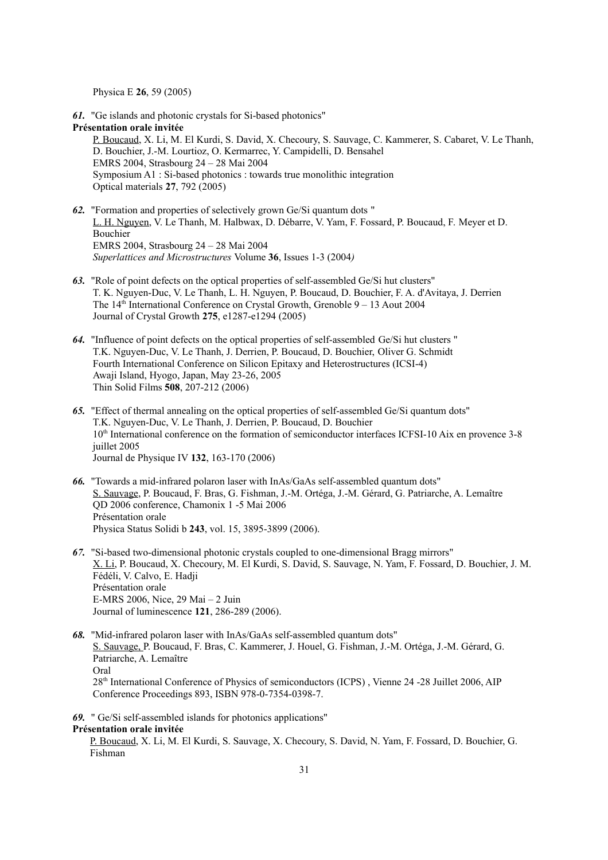Physica E **26**, 59 (2005)

*61.* "Ge islands and photonic crystals for Si-based photonics" **Présentation orale invitée** P. Boucaud, X. Li, M. El Kurdi, S. David, X. Checoury, S. Sauvage, C. Kammerer, S. Cabaret, V. Le Thanh, D. Bouchier, J.-M. Lourtioz, O. Kermarrec, Y. Campidelli, D. Bensahel EMRS 2004, Strasbourg 24 – 28 Mai 2004 Symposium A1 : Si-based photonics : towards true monolithic integration Optical materials **27**, 792 (2005)

- *62.* "Formation and properties of selectively grown Ge/Si quantum dots " L. H. Nguyen, V. Le Thanh, M. Halbwax, D. Débarre, V. Yam, F. Fossard, P. Boucaud, F. Meyer et D. Bouchier EMRS 2004, Strasbourg 24 – 28 Mai 2004 *Superlattices and Microstructures* Volume **36**, Issues 1-3 (2004*)*
- *63.* "Role of point defects on the optical properties of self-assembled Ge/Si hut clusters" T. K. Nguyen-Duc, V. Le Thanh, L. H. Nguyen, P. Boucaud, D. Bouchier, F. A. d'Avitaya, J. Derrien The  $14<sup>th</sup>$  International Conference on Crystal Growth, Grenoble  $9 - 13$  Aout 2004 Journal of Crystal Growth **275**, e1287-e1294 (2005)
- *64.* "Influence of point defects on the optical properties of self-assembled Ge/Si hut clusters " T.K. Nguyen-Duc, V. Le Thanh, J. Derrien, P. Boucaud, D. Bouchier, Oliver G. Schmidt Fourth International Conference on Silicon Epitaxy and Heterostructures (ICSI-4) Awaji Island, Hyogo, Japan, May 23-26, 2005 Thin Solid Films **508**, 207-212 (2006)
- *65.* "Effect of thermal annealing on the optical properties of self-assembled Ge/Si quantum dots" T.K. Nguyen-Duc, V. Le Thanh, J. Derrien, P. Boucaud, D. Bouchier 10<sup>th</sup> International conference on the formation of semiconductor interfaces ICFSI-10 Aix en provence 3-8 juillet 2005 Journal de Physique IV **132**, 163-170 (2006)
- *66.* "Towards a mid-infrared polaron laser with InAs/GaAs self-assembled quantum dots" S. Sauvage, P. Boucaud, F. Bras, G. Fishman, J.-M. Ortéga, J.-M. Gérard, G. Patriarche, A. Lemaître QD 2006 conference, Chamonix 1 -5 Mai 2006 Présentation orale Physica Status Solidi b **243**, vol. 15, 3895-3899 (2006).
- *67.* "Si-based two-dimensional photonic crystals coupled to one-dimensional Bragg mirrors" X. Li, P. Boucaud, X. Checoury, M. El Kurdi, S. David, S. Sauvage, N. Yam, F. Fossard, D. Bouchier, J. M. Fédéli, V. Calvo, E. Hadji Présentation orale E-MRS 2006, Nice, 29 Mai – 2 Juin Journal of luminescence **121**, 286-289 (2006).
- *68.* "Mid-infrared polaron laser with InAs/GaAs self-assembled quantum dots" S. Sauvage, P. Boucaud, F. Bras, C. Kammerer, J. Houel, G. Fishman, J.-M. Ortéga, J.-M. Gérard, G. Patriarche, A. Lemaître Oral 28th International Conference of Physics of semiconductors (ICPS) , Vienne 24 -28 Juillet 2006, AIP Conference Proceedings 893, ISBN 978-0-7354-0398-7.
- *69.* " Ge/Si self-assembled islands for photonics applications"

**Présentation orale invitée**

P. Boucaud, X. Li, M. El Kurdi, S. Sauvage, X. Checoury, S. David, N. Yam, F. Fossard, D. Bouchier, G. Fishman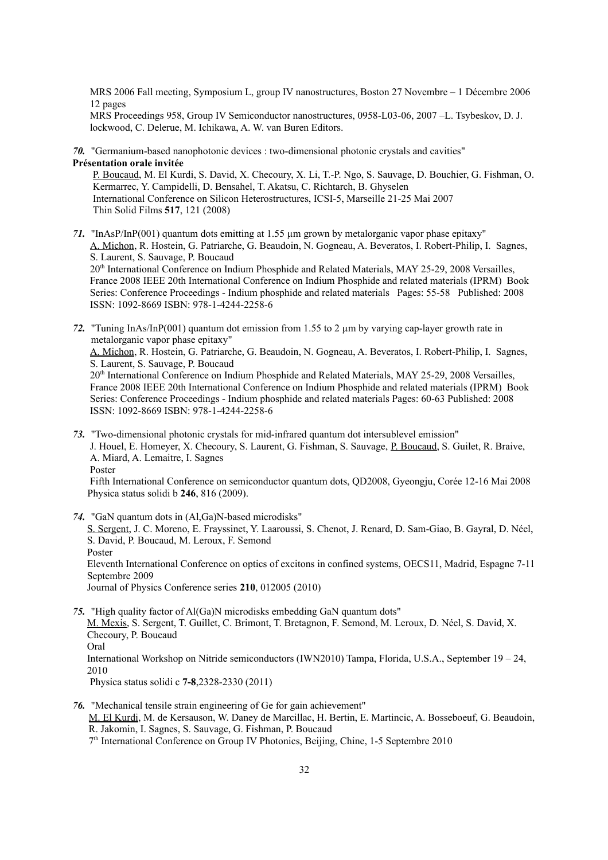MRS 2006 Fall meeting, Symposium L, group IV nanostructures, Boston 27 Novembre – 1 Décembre 2006 12 pages

MRS Proceedings 958, Group IV Semiconductor nanostructures, 0958-L03-06, 2007 –L. Tsybeskov, D. J. lockwood, C. Delerue, M. Ichikawa, A. W. van Buren Editors.

*70.* "Germanium-based nanophotonic devices : two-dimensional photonic crystals and cavities" **Présentation orale invitée**

P. Boucaud, M. El Kurdi, S. David, X. Checoury, X. Li, T.-P. Ngo, S. Sauvage, D. Bouchier, G. Fishman, O. Kermarrec, Y. Campidelli, D. Bensahel, T. Akatsu, C. Richtarch, B. Ghyselen International Conference on Silicon Heterostructures, ICSI-5, Marseille 21-25 Mai 2007 Thin Solid Films **517**, 121 (2008)

*71.* "InAsP/InP(001) quantum dots emitting at 1.55 µm grown by metalorganic vapor phase epitaxy" A. Michon, R. Hostein, G. Patriarche, G. Beaudoin, N. Gogneau, A. Beveratos, I. Robert-Philip, I. Sagnes, S. Laurent, S. Sauvage, P. Boucaud

20th International Conference on Indium Phosphide and Related Materials, MAY 25-29, 2008 Versailles, France 2008 IEEE 20th International Conference on Indium Phosphide and related materials (IPRM) Book Series: Conference Proceedings - Indium phosphide and related materials Pages: 55-58 Published: 2008 ISSN: 1092-8669 ISBN: 978-1-4244-2258-6

*72.* "Tuning InAs/InP(001) quantum dot emission from 1.55 to 2 µm by varying cap-layer growth rate in metalorganic vapor phase epitaxy"

A. Michon, R. Hostein, G. Patriarche, G. Beaudoin, N. Gogneau, A. Beveratos, I. Robert-Philip, I. Sagnes, S. Laurent, S. Sauvage, P. Boucaud

20th International Conference on Indium Phosphide and Related Materials, MAY 25-29, 2008 Versailles, France 2008 IEEE 20th International Conference on Indium Phosphide and related materials (IPRM) Book Series: Conference Proceedings - Indium phosphide and related materials Pages: 60-63 Published: 2008 ISSN: 1092-8669 ISBN: 978-1-4244-2258-6

*73.* "Two-dimensional photonic crystals for mid-infrared quantum dot intersublevel emission" J. Houel, E. Homeyer, X. Checoury, S. Laurent, G. Fishman, S. Sauvage, P. Boucaud, S. Guilet, R. Braive, A. Miard, A. Lemaitre, I. Sagnes Poster

Fifth International Conference on semiconductor quantum dots, QD2008, Gyeongju, Corée 12-16 Mai 2008 Physica status solidi b **246**, 816 (2009).

*74.* "GaN quantum dots in (Al,Ga)N-based microdisks"

S. Sergent, J. C. Moreno, E. Frayssinet, Y. Laaroussi, S. Chenot, J. Renard, D. Sam-Giao, B. Gayral, D. Néel, S. David, P. Boucaud, M. Leroux, F. Semond Poster Eleventh International Conference on optics of excitons in confined systems, OECS11, Madrid, Espagne 7-11 Septembre 2009

Journal of Physics Conference series **210**, 012005 (2010)

*75.* "High quality factor of Al(Ga)N microdisks embedding GaN quantum dots" M. Mexis, S. Sergent, T. Guillet, C. Brimont, T. Bretagnon, F. Semond, M. Leroux, D. Néel, S. David, X. Checoury, P. Boucaud Oral International Workshop on Nitride semiconductors (IWN2010) Tampa, Florida, U.S.A., September 19 – 24, 2010

Physica status solidi c **7-8**,2328-2330 (2011)

*76.* "Mechanical tensile strain engineering of Ge for gain achievement" M. El Kurdi, M. de Kersauson, W. Daney de Marcillac, H. Bertin, E. Martincic, A. Bosseboeuf, G. Beaudoin, R. Jakomin, I. Sagnes, S. Sauvage, G. Fishman, P. Boucaud 7 th International Conference on Group IV Photonics, Beijing, Chine, 1-5 Septembre 2010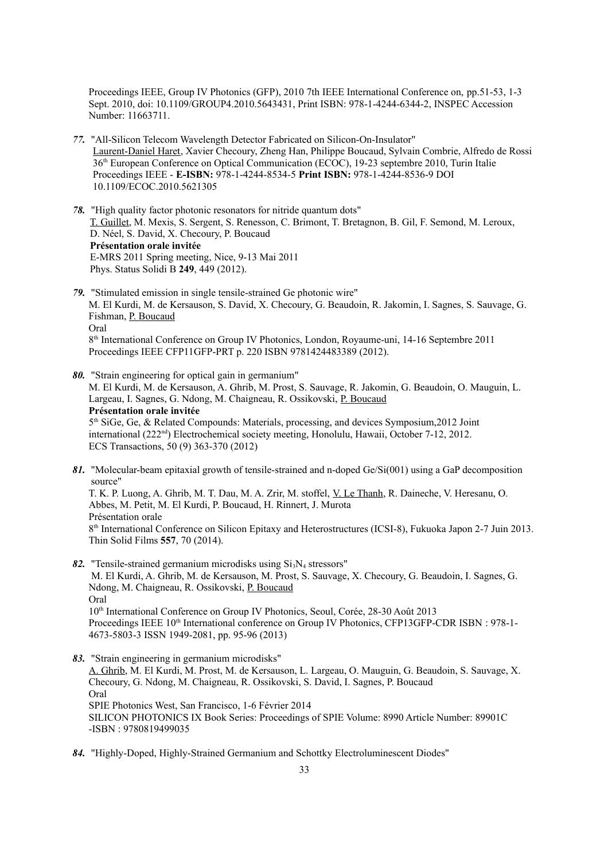Proceedings IEEE, Group IV Photonics (GFP), 2010 7th IEEE International Conference on, pp.51-53, 1-3 Sept. 2010, doi: 10.1109/GROUP4.2010.5643431, Print ISBN: 978-1-4244-6344-2, INSPEC Accession Number: 11663711.

- *77.* "All-Silicon Telecom Wavelength Detector Fabricated on Silicon-On-Insulator" Laurent-Daniel Haret, Xavier Checoury, Zheng Han, Philippe Boucaud, Sylvain Combrie, Alfredo de Rossi 36th European Conference on Optical Communication (ECOC), 19-23 septembre 2010, Turin Italie Proceedings IEEE - **E-ISBN:** 978-1-4244-8534-5 **Print ISBN:** 978-1-4244-8536-9 DOI 10.1109/ECOC.2010.5621305
- *78.* "High quality factor photonic resonators for nitride quantum dots" T. Guillet, M. Mexis, S. Sergent, S. Renesson, C. Brimont, T. Bretagnon, B. Gil, F. Semond, M. Leroux, D. Néel, S. David, X. Checoury, P. Boucaud **Présentation orale invitée**  E-MRS 2011 Spring meeting, Nice, 9-13 Mai 2011 Phys. Status Solidi B **249**, 449 (2012).
- *79.* "Stimulated emission in single tensile-strained Ge photonic wire" M. El Kurdi, M. de Kersauson, S. David, X. Checoury, G. Beaudoin, R. Jakomin, I. Sagnes, S. Sauvage, G. Fishman, P. Boucaud Oral 8 th International Conference on Group IV Photonics, London, Royaume-uni, 14-16 Septembre 2011 Proceedings IEEE CFP11GFP-PRT p. 220 ISBN 9781424483389 (2012).

*80.* "Strain engineering for optical gain in germanium" M. El Kurdi, M. de Kersauson, A. Ghrib, M. Prost, S. Sauvage, R. Jakomin, G. Beaudoin, O. Mauguin, L. Largeau, I. Sagnes, G. Ndong, M. Chaigneau, R. Ossikovski, P. Boucaud **Présentation orale invitée** 5<sup>th</sup> SiGe, Ge, & Related Compounds: Materials, processing, and devices Symposium, 2012 Joint international (222<sup>nd</sup>) Electrochemical society meeting, Honolulu, Hawaii, October 7-12, 2012. ECS Transactions, 50 (9) 363-370 (2012)

- *81.* "Molecular-beam epitaxial growth of tensile-strained and n-doped Ge/Si(001) using a GaP decomposition source" T. K. P. Luong, A. Ghrib, M. T. Dau, M. A. Zrir, M. stoffel, V. Le Thanh, R. Daineche, V. Heresanu, O. Abbes, M. Petit, M. El Kurdi, P. Boucaud, H. Rinnert, J. Murota Présentation orale 8<sup>th</sup> International Conference on Silicon Epitaxy and Heterostructures (ICSI-8), Fukuoka Japon 2-7 Juin 2013. Thin Solid Films **557**, 70 (2014).
- 82. "Tensile-strained germanium microdisks using  $Si<sub>3</sub>N<sub>4</sub>$  stressors" M. El Kurdi, A. Ghrib, M. de Kersauson, M. Prost, S. Sauvage, X. Checoury, G. Beaudoin, I. Sagnes, G. Ndong, M. Chaigneau, R. Ossikovski, P. Boucaud Oral 10<sup>th</sup> International Conference on Group IV Photonics, Seoul, Corée, 28-30 Août 2013 Proceedings IEEE 10<sup>th</sup> International conference on Group IV Photonics, CFP13GFP-CDR ISBN : 978-1-4673-5803-3 ISSN 1949-2081, pp. 95-96 (2013)
- *83.* "Strain engineering in germanium microdisks" A. Ghrib, M. El Kurdi, M. Prost, M. de Kersauson, L. Largeau, O. Mauguin, G. Beaudoin, S. Sauvage, X. Checoury, G. Ndong, M. Chaigneau, R. Ossikovski, S. David, I. Sagnes, P. Boucaud Oral SPIE Photonics West, San Francisco, 1-6 Février 2014 SILICON PHOTONICS IX Book Series: Proceedings of SPIE Volume: 8990 Article Number: 89901C -ISBN : 9780819499035
- *84.* "Highly-Doped, Highly-Strained Germanium and Schottky Electroluminescent Diodes"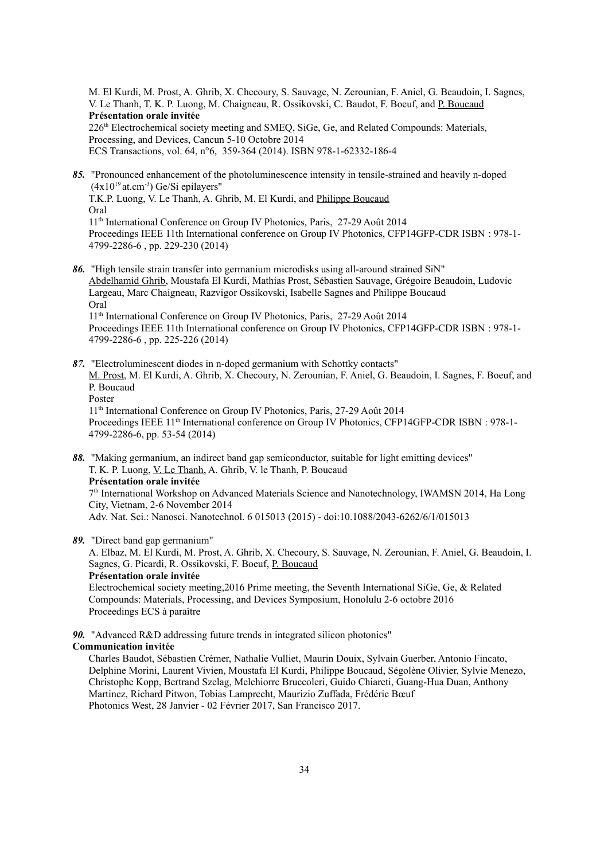M. El Kurdi, M. Prost, A. Ghrib, X. Checoury, S. Sauvage, N. Zerounian, F. Aniel, G. Beaudoin, I. Sagnes, V. Le Thanh, T. K. P. Luong, M. Chaigneau, R. Ossikovski, C. Baudot, F. Boeuf, and P. Boucaud **Présentation orale invitée** 226th Electrochemical society meeting and SMEQ, SiGe, Ge, and Related Compounds: Materials, Processing, and Devices, Cancun 5-10 Octobre 2014 ECS Transactions, vol. 64, n°6, 359-364 (2014). ISBN 978-1-62332-186-4

- *85.* "Pronounced enhancement of the photoluminescence intensity in tensile-strained and heavily n-doped  $(4x10^{19}$  at.cm<sup>-3</sup>) Ge/Si epilayers" T.K.P. Luong, V. Le Thanh, A. Ghrib, M. El Kurdi, and Philippe Boucaud Oral 11th International Conference on Group IV Photonics, Paris, 27-29 Août 2014 Proceedings IEEE 11th International conference on Group IV Photonics, CFP14GFP-CDR ISBN : 978-1- 4799-2286-6 , pp. 229-230 (2014)
- *86.* "High tensile strain transfer into germanium microdisks using all-around strained SiN" Abdelhamid Ghrib, Moustafa El Kurdi, Mathias Prost, Sébastien Sauvage, Grégoire Beaudoin, Ludovic Largeau, Marc Chaigneau, Razvigor Ossikovski, Isabelle Sagnes and Philippe Boucaud Oral 11th International Conference on Group IV Photonics, Paris, 27-29 Août 2014 Proceedings IEEE 11th International conference on Group IV Photonics, CFP14GFP-CDR ISBN : 978-1-
- 4799-2286-6 , pp. 225-226 (2014) *87.* "Electroluminescent diodes in n-doped germanium with Schottky contacts"
	- M. Prost, M. El Kurdi, A. Ghrib, X. Checoury, N. Zerounian, F. Aniel, G. Beaudoin, I. Sagnes, F. Boeuf, and P. Boucaud Poster

11th International Conference on Group IV Photonics, Paris, 27-29 Août 2014 Proceedings IEEE 11<sup>th</sup> International conference on Group IV Photonics, CFP14GFP-CDR ISBN : 978-1-4799-2286-6, pp. 53-54 (2014)

- *88.* "Making germanium, an indirect band gap semiconductor, suitable for light emitting devices" T. K. P. Luong, V. Le Thanh, A. Ghrib, V. le Thanh, P. Boucaud **Présentation orale invitée** 7<sup>th</sup> International Workshop on Advanced Materials Science and Nanotechnology, IWAMSN 2014, Ha Long City, Vietnam, 2-6 November 2014 Adv. Nat. Sci.: Nanosci. Nanotechnol. 6 015013 (2015) - doi:10.1088/2043-6262/6/1/015013
- *89.* "Direct band gap germanium"

A. Elbaz, M. El Kurdi, M. Prost, A. Ghrib, X. Checoury, S. Sauvage, N. Zerounian, F. Aniel, G. Beaudoin, I. Sagnes, G. Picardi, R. Ossikovski, F. Boeuf, P. Boucaud **Présentation orale invitée**

Electrochemical society meeting,2016 Prime meeting, the Seventh International SiGe, Ge, & Related Compounds: Materials, Processing, and Devices Symposium, Honolulu 2-6 octobre 2016 Proceedings ECS à paraître

*90.* "Advanced R&D addressing future trends in integrated silicon photonics"

#### **Communication invitée**

Charles Baudot, Sébastien Crémer, Nathalie Vulliet, Maurin Douix, Sylvain Guerber, Antonio Fincato, Delphine Morini, Laurent Vivien, Moustafa El Kurdi, Philippe Boucaud, Ségolène Olivier, Sylvie Menezo, Christophe Kopp, Bertrand Szelag, Melchiorre Bruccoleri, Guido Chiareti, Guang-Hua Duan, Anthony Martinez, Richard Pitwon, Tobias Lamprecht, Maurizio Zuffada, Frédéric Bœuf Photonics West, 28 Janvier - 02 Février 2017, San Francisco 2017.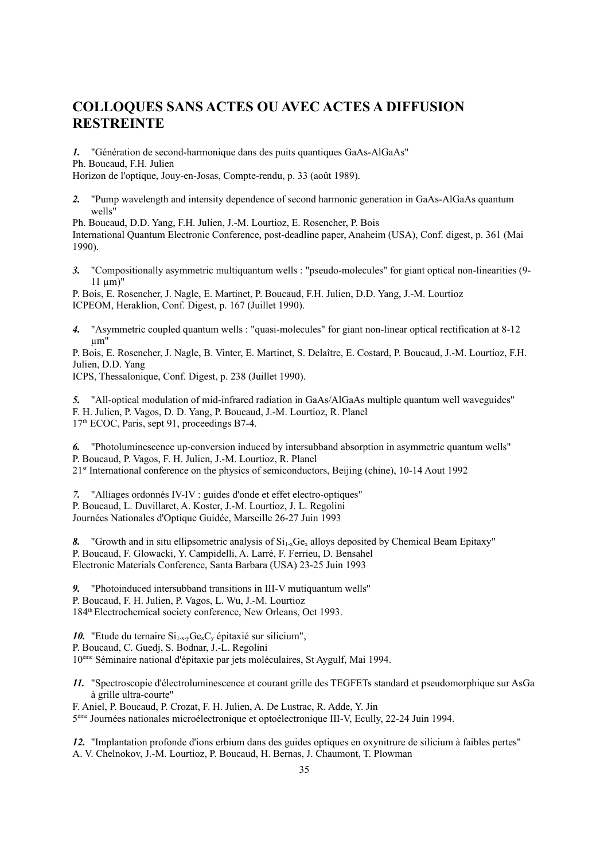### **COLLOQUES SANS ACTES OU AVEC ACTES A DIFFUSION RESTREINTE**

*1.* "Génération de second-harmonique dans des puits quantiques GaAs-AlGaAs" Ph. Boucaud, F.H. Julien

Horizon de l'optique, Jouy-en-Josas, Compte-rendu, p. 33 (août 1989).

*2.* "Pump wavelength and intensity dependence of second harmonic generation in GaAs-AlGaAs quantum wells"

Ph. Boucaud, D.D. Yang, F.H. Julien, J.-M. Lourtioz, E. Rosencher, P. Bois International Quantum Electronic Conference, post-deadline paper, Anaheim (USA), Conf. digest, p. 361 (Mai 1990).

*3.* "Compositionally asymmetric multiquantum wells : "pseudo-molecules" for giant optical non-linearities (9-  $11 \mu m$ "

P. Bois, E. Rosencher, J. Nagle, E. Martinet, P. Boucaud, F.H. Julien, D.D. Yang, J.-M. Lourtioz ICPEOM, Heraklion, Conf. Digest, p. 167 (Juillet 1990).

*4.* "Asymmetric coupled quantum wells : "quasi-molecules" for giant non-linear optical rectification at 8-12 µm"

P. Bois, E. Rosencher, J. Nagle, B. Vinter, E. Martinet, S. Delaître, E. Costard, P. Boucaud, J.-M. Lourtioz, F.H. Julien, D.D. Yang

ICPS, Thessalonique, Conf. Digest, p. 238 (Juillet 1990).

*5.* "All-optical modulation of mid-infrared radiation in GaAs/AlGaAs multiple quantum well waveguides" F. H. Julien, P. Vagos, D. D. Yang, P. Boucaud, J.-M. Lourtioz, R. Planel 17<sup>th</sup> ECOC, Paris, sept 91, proceedings B7-4.

*6.* "Photoluminescence up-conversion induced by intersubband absorption in asymmetric quantum wells" P. Boucaud, P. Vagos, F. H. Julien, J.-M. Lourtioz, R. Planel 21st International conference on the physics of semiconductors, Beijing (chine), 10-14 Aout 1992

*7.* "Alliages ordonnés IV-IV : guides d'onde et effet electro-optiques" P. Boucaud, L. Duvillaret, A. Koster, J.-M. Lourtioz, J. L. Regolini Journées Nationales d'Optique Guidée, Marseille 26-27 Juin 1993

8. "Growth and in situ ellipsometric analysis of  $Si<sub>1-x</sub>Ge<sub>x</sub>$  alloys deposited by Chemical Beam Epitaxy" P. Boucaud, F. Glowacki, Y. Campidelli, A. Larré, F. Ferrieu, D. Bensahel Electronic Materials Conference, Santa Barbara (USA) 23-25 Juin 1993

*9.* "Photoinduced intersubband transitions in III-V mutiquantum wells" P. Boucaud, F. H. Julien, P. Vagos, L. Wu, J.-M. Lourtioz 184<sup>th</sup> Electrochemical society conference, New Orleans, Oct 1993.

10. "Etude du ternaire  $Si_{1-x}$ ,  $Ge_{x}C_{y}$  épitaxié sur silicium", P. Boucaud, C. Guedj, S. Bodnar, J.-L. Regolini 10ème Séminaire national d'épitaxie par jets moléculaires, St Aygulf, Mai 1994.

*11.* "Spectroscopie d'électroluminescence et courant grille des TEGFETs standard et pseudomorphique sur AsGa à grille ultra-courte"

F. Aniel, P. Boucaud, P. Crozat, F. H. Julien, A. De Lustrac, R. Adde, Y. Jin 5 ème Journées nationales microélectronique et optoélectronique III-V, Ecully, 22-24 Juin 1994.

*12.* "Implantation profonde d'ions erbium dans des guides optiques en oxynitrure de silicium à faibles pertes" A. V. Chelnokov, J.-M. Lourtioz, P. Boucaud, H. Bernas, J. Chaumont, T. Plowman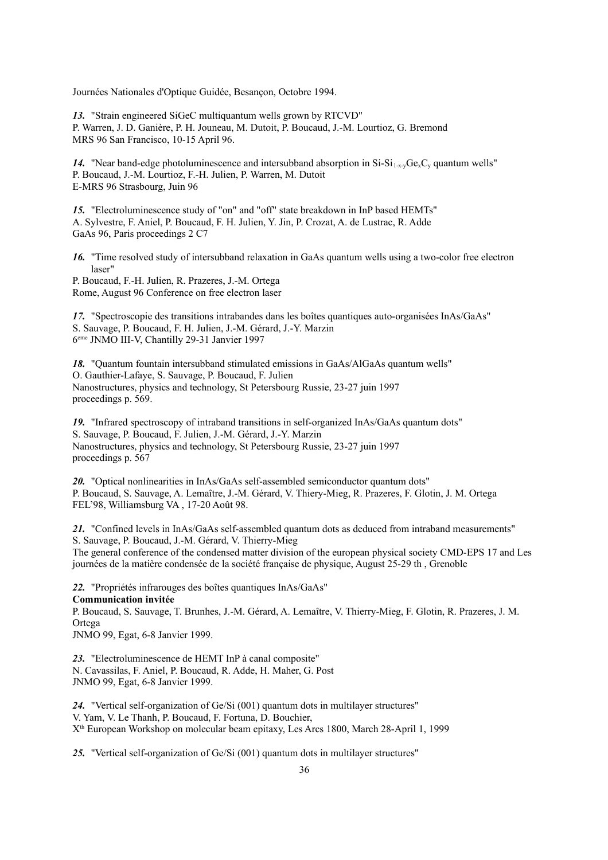Journées Nationales d'Optique Guidée, Besançon, Octobre 1994.

*13.* "Strain engineered SiGeC multiquantum wells grown by RTCVD" P. Warren, J. D. Ganière, P. H. Jouneau, M. Dutoit, P. Boucaud, J.-M. Lourtioz, G. Bremond MRS 96 San Francisco, 10-15 April 96.

14. "Near band-edge photoluminescence and intersubband absorption in  $Si-Si_{1-x}Ge<sub>x</sub>C<sub>y</sub>$  quantum wells" P. Boucaud, J.-M. Lourtioz, F.-H. Julien, P. Warren, M. Dutoit E-MRS 96 Strasbourg, Juin 96

*15.* "Electroluminescence study of "on" and "off" state breakdown in InP based HEMTs" A. Sylvestre, F. Aniel, P. Boucaud, F. H. Julien, Y. Jin, P. Crozat, A. de Lustrac, R. Adde GaAs 96, Paris proceedings 2 C7

*16.* "Time resolved study of intersubband relaxation in GaAs quantum wells using a two-color free electron laser"

P. Boucaud, F.-H. Julien, R. Prazeres, J.-M. Ortega Rome, August 96 Conference on free electron laser

*17.* "Spectroscopie des transitions intrabandes dans les boîtes quantiques auto-organisées InAs/GaAs" S. Sauvage, P. Boucaud, F. H. Julien, J.-M. Gérard, J.-Y. Marzin 6 eme JNMO III-V, Chantilly 29-31 Janvier 1997

*18.* "Quantum fountain intersubband stimulated emissions in GaAs/AlGaAs quantum wells" O. Gauthier-Lafaye, S. Sauvage, P. Boucaud, F. Julien Nanostructures, physics and technology, St Petersbourg Russie, 23-27 juin 1997 proceedings p. 569.

*19.* "Infrared spectroscopy of intraband transitions in self-organized InAs/GaAs quantum dots" S. Sauvage, P. Boucaud, F. Julien, J.-M. Gérard, J.-Y. Marzin Nanostructures, physics and technology, St Petersbourg Russie, 23-27 juin 1997 proceedings p. 567

*20.* "Optical nonlinearities in InAs/GaAs self-assembled semiconductor quantum dots" P. Boucaud, S. Sauvage, A. Lemaître, J.-M. Gérard, V. Thiery-Mieg, R. Prazeres, F. Glotin, J. M. Ortega FEL'98, Williamsburg VA , 17-20 Août 98.

*21.* "Confined levels in InAs/GaAs self-assembled quantum dots as deduced from intraband measurements" S. Sauvage, P. Boucaud, J.-M. Gérard, V. Thierry-Mieg The general conference of the condensed matter division of the european physical society CMD-EPS 17 and Les journées de la matière condensée de la société française de physique, August 25-29 th , Grenoble

*22.* "Propriétés infrarouges des boîtes quantiques InAs/GaAs" **Communication invitée** P. Boucaud, S. Sauvage, T. Brunhes, J.-M. Gérard, A. Lemaître, V. Thierry-Mieg, F. Glotin, R. Prazeres, J. M. Ortega

JNMO 99, Egat, 6-8 Janvier 1999.

*23.* "Electroluminescence de HEMT InP à canal composite" N. Cavassilas, F. Aniel, P. Boucaud, R. Adde, H. Maher, G. Post JNMO 99, Egat, 6-8 Janvier 1999.

*24.* "Vertical self-organization of Ge/Si (001) quantum dots in multilayer structures" V. Yam, V. Le Thanh, P. Boucaud, F. Fortuna, D. Bouchier, X th European Workshop on molecular beam epitaxy, Les Arcs 1800, March 28-April 1, 1999

*25.* "Vertical self-organization of Ge/Si (001) quantum dots in multilayer structures"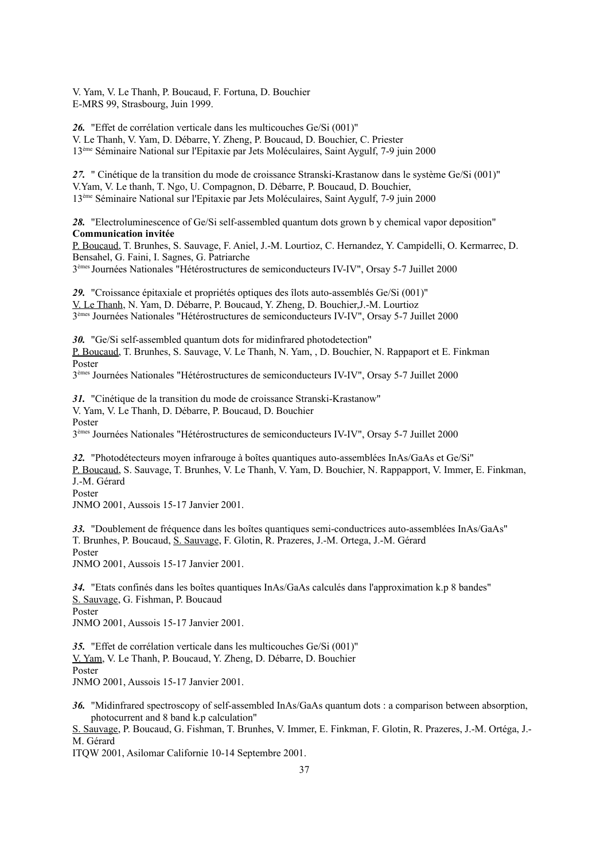V. Yam, V. Le Thanh, P. Boucaud, F. Fortuna, D. Bouchier E-MRS 99, Strasbourg, Juin 1999.

*26.* "Effet de corrélation verticale dans les multicouches Ge/Si (001)" V. Le Thanh, V. Yam, D. Débarre, Y. Zheng, P. Boucaud, D. Bouchier, C. Priester 13ème Séminaire National sur l'Epitaxie par Jets Moléculaires, Saint Aygulf, 7-9 juin 2000

*27.* " Cinétique de la transition du mode de croissance Stranski-Krastanow dans le système Ge/Si (001)" V.Yam, V. Le thanh, T. Ngo, U. Compagnon, D. Débarre, P. Boucaud, D. Bouchier, 13ème Séminaire National sur l'Epitaxie par Jets Moléculaires, Saint Aygulf, 7-9 juin 2000

*28.* "Electroluminescence of Ge/Si self-assembled quantum dots grown b y chemical vapor deposition" **Communication invitée**

P. Boucaud, T. Brunhes, S. Sauvage, F. Aniel, J.-M. Lourtioz, C. Hernandez, Y. Campidelli, O. Kermarrec, D. Bensahel, G. Faini, I. Sagnes, G. Patriarche

3 èmes Journées Nationales "Hétérostructures de semiconducteurs IV-IV", Orsay 5-7 Juillet 2000

*29.* "Croissance épitaxiale et propriétés optiques des îlots auto-assemblés Ge/Si (001)" V. Le Thanh, N. Yam, D. Débarre, P. Boucaud, Y. Zheng, D. Bouchier,J.-M. Lourtioz 3 èmes Journées Nationales "Hétérostructures de semiconducteurs IV-IV", Orsay 5-7 Juillet 2000

*30.* "Ge/Si self-assembled quantum dots for midinfrared photodetection" P. Boucaud, T. Brunhes, S. Sauvage, V. Le Thanh, N. Yam, , D. Bouchier, N. Rappaport et E. Finkman Poster

3 èmes Journées Nationales "Hétérostructures de semiconducteurs IV-IV", Orsay 5-7 Juillet 2000

*31.* "Cinétique de la transition du mode de croissance Stranski-Krastanow" V. Yam, V. Le Thanh, D. Débarre, P. Boucaud, D. Bouchier Poster

3 èmes Journées Nationales "Hétérostructures de semiconducteurs IV-IV", Orsay 5-7 Juillet 2000

*32.* "Photodétecteurs moyen infrarouge à boîtes quantiques auto-assemblées InAs/GaAs et Ge/Si" P. Boucaud, S. Sauvage, T. Brunhes, V. Le Thanh, V. Yam, D. Bouchier, N. Rappapport, V. Immer, E. Finkman, J.-M. Gérard Poster

JNMO 2001, Aussois 15-17 Janvier 2001.

*33.* "Doublement de fréquence dans les boîtes quantiques semi-conductrices auto-assemblées InAs/GaAs" T. Brunhes, P. Boucaud, S. Sauvage, F. Glotin, R. Prazeres, J.-M. Ortega, J.-M. Gérard Poster

JNMO 2001, Aussois 15-17 Janvier 2001.

*34.* "Etats confinés dans les boîtes quantiques InAs/GaAs calculés dans l'approximation k.p 8 bandes" S. Sauvage, G. Fishman, P. Boucaud Poster JNMO 2001, Aussois 15-17 Janvier 2001.

*35.* "Effet de corrélation verticale dans les multicouches Ge/Si (001)" V. Yam, V. Le Thanh, P. Boucaud, Y. Zheng, D. Débarre, D. Bouchier Poster JNMO 2001, Aussois 15-17 Janvier 2001.

*36.* "Midinfrared spectroscopy of self-assembled InAs/GaAs quantum dots : a comparison between absorption, photocurrent and 8 band k.p calculation"

S. Sauvage, P. Boucaud, G. Fishman, T. Brunhes, V. Immer, E. Finkman, F. Glotin, R. Prazeres, J.-M. Ortéga, J.- M. Gérard

ITQW 2001, Asilomar Californie 10-14 Septembre 2001.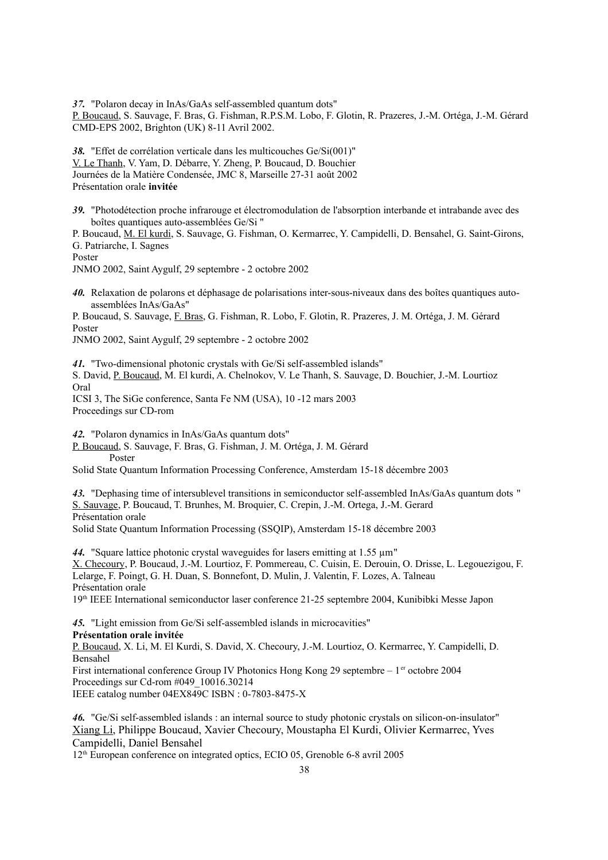*37.* "Polaron decay in InAs/GaAs self-assembled quantum dots" P. Boucaud, S. Sauvage, F. Bras, G. Fishman, R.P.S.M. Lobo, F. Glotin, R. Prazeres, J.-M. Ortéga, J.-M. Gérard CMD-EPS 2002, Brighton (UK) 8-11 Avril 2002.

*38.* "Effet de corrélation verticale dans les multicouches Ge/Si(001)" V. Le Thanh, V. Yam, D. Débarre, Y. Zheng, P. Boucaud, D. Bouchier Journées de la Matière Condensée, JMC 8, Marseille 27-31 août 2002 Présentation orale **invitée** 

*39.* "Photodétection proche infrarouge et électromodulation de l'absorption interbande et intrabande avec des boîtes quantiques auto-assemblées Ge/Si "

P. Boucaud, M. El kurdi, S. Sauvage, G. Fishman, O. Kermarrec, Y. Campidelli, D. Bensahel, G. Saint-Girons, G. Patriarche, I. Sagnes

Poster

JNMO 2002, Saint Aygulf, 29 septembre - 2 octobre 2002

*40.* Relaxation de polarons et déphasage de polarisations inter-sous-niveaux dans des boîtes quantiques autoassemblées InAs/GaAs"

P. Boucaud, S. Sauvage, F. Bras, G. Fishman, R. Lobo, F. Glotin, R. Prazeres, J. M. Ortéga, J. M. Gérard Poster

JNMO 2002, Saint Aygulf, 29 septembre - 2 octobre 2002

*41.* "Two-dimensional photonic crystals with Ge/Si self-assembled islands" S. David, P. Boucaud, M. El kurdi, A. Chelnokov, V. Le Thanh, S. Sauvage, D. Bouchier, J.-M. Lourtioz Oral ICSI 3, The SiGe conference, Santa Fe NM (USA), 10 -12 mars 2003 Proceedings sur CD-rom

*42.* "Polaron dynamics in InAs/GaAs quantum dots"

P. Boucaud, S. Sauvage, F. Bras, G. Fishman, J. M. Ortéga, J. M. Gérard Poster

Solid State Quantum Information Processing Conference, Amsterdam 15-18 décembre 2003

*43.* "Dephasing time of intersublevel transitions in semiconductor self-assembled InAs/GaAs quantum dots " S. Sauvage, P. Boucaud, T. Brunhes, M. Broquier, C. Crepin, J.-M. Ortega, J.-M. Gerard Présentation orale Solid State Quantum Information Processing (SSQIP), Amsterdam 15-18 décembre 2003

*44.* "Square lattice photonic crystal waveguides for lasers emitting at 1.55 µm" X. Checoury, P. Boucaud, J.-M. Lourtioz, F. Pommereau, C. Cuisin, E. Derouin, O. Drisse, L. Legouezigou, F. Lelarge, F. Poingt, G. H. Duan, S. Bonnefont, D. Mulin, J. Valentin, F. Lozes, A. Talneau Présentation orale

19th IEEE International semiconductor laser conference 21-25 septembre 2004, Kunibibki Messe Japon

*45.* "Light emission from Ge/Si self-assembled islands in microcavities" **Présentation orale invitée**

P. Boucaud, X. Li, M. El Kurdi, S. David, X. Checoury, J.-M. Lourtioz, O. Kermarrec, Y. Campidelli, D. Bensahel

First international conference Group IV Photonics Hong Kong 29 septembre – 1er octobre 2004 Proceedings sur Cd-rom #049\_10016.30214

IEEE catalog number 04EX849C ISBN : 0-7803-8475-X

*46.* "Ge/Si self-assembled islands : an internal source to study photonic crystals on silicon-on-insulator" Xiang Li, Philippe Boucaud, Xavier Checoury, Moustapha El Kurdi, Olivier Kermarrec, Yves Campidelli, Daniel Bensahel

12th European conference on integrated optics, ECIO 05, Grenoble 6-8 avril 2005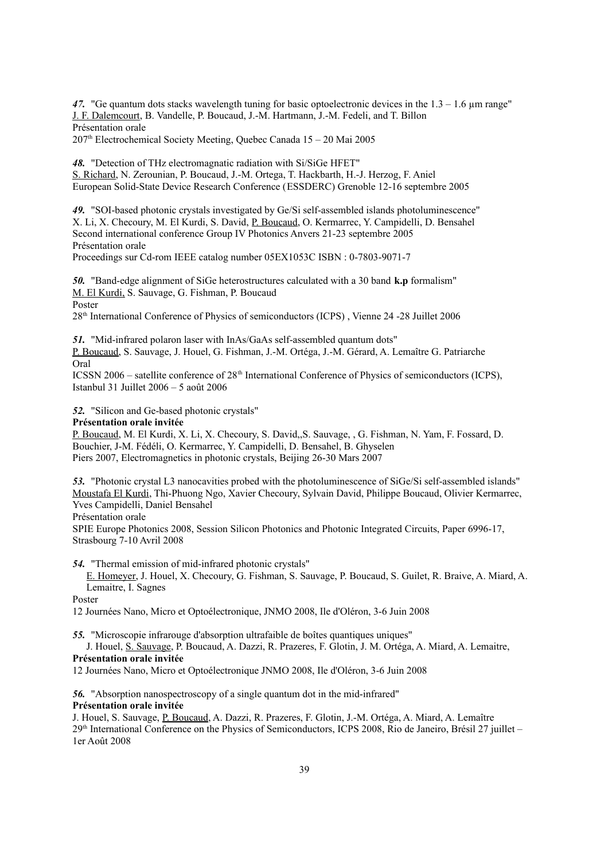47. "Ge quantum dots stacks wavelength tuning for basic optoelectronic devices in the  $1.3 - 1.6$  µm range" J. F. Dalemcourt, B. Vandelle, P. Boucaud, J.-M. Hartmann, J.-M. Fedeli, and T. Billon Présentation orale

 $207<sup>th</sup>$  Electrochemical Society Meeting, Quebec Canada  $15 - 20$  Mai 2005

*48.* "Detection of THz electromagnatic radiation with Si/SiGe HFET"

S. Richard, N. Zerounian, P. Boucaud, J.-M. Ortega, T. Hackbarth, H.-J. Herzog, F. Aniel European Solid-State Device Research Conference (ESSDERC) Grenoble 12-16 septembre 2005

*49.* "SOI-based photonic crystals investigated by Ge/Si self-assembled islands photoluminescence" X. Li, X. Checoury, M. El Kurdi, S. David, P. Boucaud, O. Kermarrec, Y. Campidelli, D. Bensahel Second international conference Group IV Photonics Anvers 21-23 septembre 2005 Présentation orale

Proceedings sur Cd-rom IEEE catalog number 05EX1053C ISBN : 0-7803-9071-7

*50.* "Band-edge alignment of SiGe heterostructures calculated with a 30 band **k.p** formalism" M. El Kurdi, S. Sauvage, G. Fishman, P. Boucaud Poster

28th International Conference of Physics of semiconductors (ICPS) , Vienne 24 -28 Juillet 2006

*51.* "Mid-infrared polaron laser with InAs/GaAs self-assembled quantum dots"

P. Boucaud, S. Sauvage, J. Houel, G. Fishman, J.-M. Ortéga, J.-M. Gérard, A. Lemaître G. Patriarche Oral

ICSSN 2006 – satellite conference of  $28<sup>th</sup>$  International Conference of Physics of semiconductors (ICPS), Istanbul 31 Juillet 2006 – 5 août 2006

*52.* "Silicon and Ge-based photonic crystals"

#### **Présentation orale invitée**

P. Boucaud, M. El Kurdi, X. Li, X. Checoury, S. David,,S. Sauvage, , G. Fishman, N. Yam, F. Fossard, D. Bouchier, J-M. Fédéli, O. Kermarrec, Y. Campidelli, D. Bensahel, B. Ghyselen Piers 2007, Electromagnetics in photonic crystals, Beijing 26-30 Mars 2007

*53.* "Photonic crystal L3 nanocavities probed with the photoluminescence of SiGe/Si self-assembled islands" Moustafa El Kurdi, Thi-Phuong Ngo, Xavier Checoury, Sylvain David, Philippe Boucaud, Olivier Kermarrec, Yves Campidelli, Daniel Bensahel

Présentation orale

SPIE Europe Photonics 2008, Session Silicon Photonics and Photonic Integrated Circuits, Paper 6996-17, Strasbourg 7-10 Avril 2008

*54.* "Thermal emission of mid-infrared photonic crystals"

E. Homeyer, J. Houel, X. Checoury, G. Fishman, S. Sauvage, P. Boucaud, S. Guilet, R. Braive, A. Miard, A. Lemaitre, I. Sagnes

Poster

12 Journées Nano, Micro et Optoélectronique, JNMO 2008, Ile d'Oléron, 3-6 Juin 2008

*55.* "Microscopie infrarouge d'absorption ultrafaible de boîtes quantiques uniques"

J. Houel, S. Sauvage, P. Boucaud, A. Dazzi, R. Prazeres, F. Glotin, J. M. Ortéga, A. Miard, A. Lemaitre, **Présentation orale invitée**

12 Journées Nano, Micro et Optoélectronique JNMO 2008, Ile d'Oléron, 3-6 Juin 2008

*56.* "Absorption nanospectroscopy of a single quantum dot in the mid-infrared" **Présentation orale invitée**

J. Houel, S. Sauvage, P. Boucaud, A. Dazzi, R. Prazeres, F. Glotin, J.-M. Ortéga, A. Miard, A. Lemaître 29th International Conference on the Physics of Semiconductors, ICPS 2008, Rio de Janeiro, Brésil 27 juillet – 1er Août 2008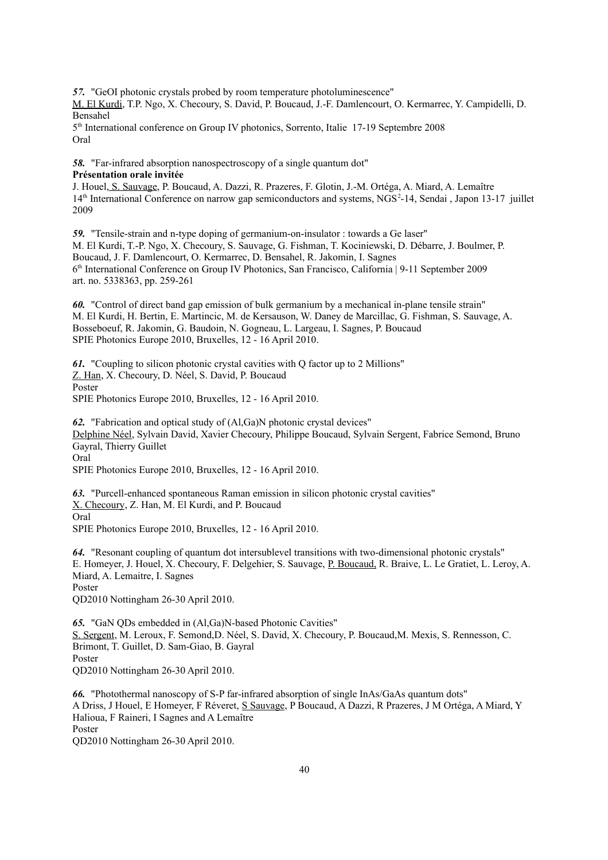*57.* "GeOI photonic crystals probed by room temperature photoluminescence"

M. El Kurdi, T.P. Ngo, X. Checoury, S. David, P. Boucaud, J.-F. Damlencourt, O. Kermarrec, Y. Campidelli, D. Bensahel

5<sup>th</sup> International conference on Group IV photonics, Sorrento, Italie 17-19 Septembre 2008 Oral

*58.* "Far-infrared absorption nanospectroscopy of a single quantum dot" **Présentation orale invitée**

J. Houel, S. Sauvage, P. Boucaud, A. Dazzi, R. Prazeres, F. Glotin, J.-M. Ortéga, A. Miard, A. Lemaître 14<sup>th</sup> International Conference on narrow gap semiconductors and systems, NGS<sup>2</sup>-14, Sendai , Japon 13-17 juillet 2009

*59.* "Tensile-strain and n-type doping of germanium-on-insulator : towards a Ge laser" M. El Kurdi, T.-P. Ngo, X. Checoury, S. Sauvage, G. Fishman, T. Kociniewski, D. Débarre, J. Boulmer, P. Boucaud, J. F. Damlencourt, O. Kermarrec, D. Bensahel, R. Jakomin, I. Sagnes 6 th International Conference on Group IV Photonics, San Francisco, California | 9-11 September 2009 art. no. 5338363, pp. 259-261

*60.* "Control of direct band gap emission of bulk germanium by a mechanical in-plane tensile strain" M. El Kurdi, H. Bertin, E. Martincic, M. de Kersauson, W. Daney de Marcillac, G. Fishman, S. Sauvage, A. Bosseboeuf, R. Jakomin, G. Baudoin, N. Gogneau, L. Largeau, I. Sagnes, P. Boucaud SPIE Photonics Europe 2010, Bruxelles, 12 - 16 April 2010.

*61.* "Coupling to silicon photonic crystal cavities with Q factor up to 2 Millions" Z. Han, X. Checoury, D. Néel, S. David, P. Boucaud Poster SPIE Photonics Europe 2010, Bruxelles, 12 - 16 April 2010.

*62.* "Fabrication and optical study of (Al,Ga)N photonic crystal devices" Delphine Néel, Sylvain David, Xavier Checoury, Philippe Boucaud, Sylvain Sergent, Fabrice Semond, Bruno Gayral, Thierry Guillet Oral

SPIE Photonics Europe 2010, Bruxelles, 12 - 16 April 2010.

*63.* "Purcell-enhanced spontaneous Raman emission in silicon photonic crystal cavities" X. Checoury, Z. Han, M. El Kurdi, and P. Boucaud Oral SPIE Photonics Europe 2010, Bruxelles, 12 - 16 April 2010.

*64.* "Resonant coupling of quantum dot intersublevel transitions with two-dimensional photonic crystals" E. Homeyer, J. Houel, X. Checoury, F. Delgehier, S. Sauvage, P. Boucaud, R. Braive, L. Le Gratiet, L. Leroy, A. Miard, A. Lemaitre, I. Sagnes Poster

QD2010 Nottingham 26-30 April 2010.

*65.* "GaN QDs embedded in (Al,Ga)N-based Photonic Cavities" S. Sergent, M. Leroux, F. Semond,D. Néel, S. David, X. Checoury, P. Boucaud,M. Mexis, S. Rennesson, C. Brimont, T. Guillet, D. Sam-Giao, B. Gayral Poster QD2010 Nottingham 26-30 April 2010.

*66.* "Photothermal nanoscopy of S-P far-infrared absorption of single InAs/GaAs quantum dots" A Driss, J Houel, E Homeyer, F Réveret, S Sauvage, P Boucaud, A Dazzi, R Prazeres, J M Ortéga, A Miard, Y Halioua, F Raineri, I Sagnes and A Lemaître Poster

QD2010 Nottingham 26-30 April 2010.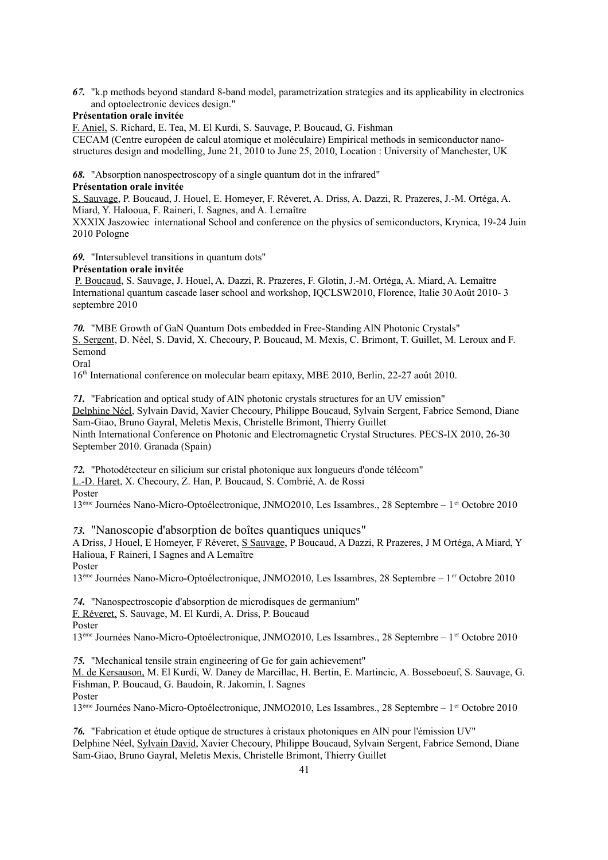*67.* "k.p methods beyond standard 8-band model, parametrization strategies and its applicability in electronics and optoelectronic devices design."

#### **Présentation orale invitée**

F. Aniel, S. Richard, E. Tea, M. El Kurdi, S. Sauvage, P. Boucaud, G. Fishman

CECAM (Centre européen de calcul atomique et moléculaire) Empirical methods in semiconductor nanostructures design and modelling, June 21, 2010 to June 25, 2010, Location : University of Manchester, UK

*68.* "Absorption nanospectroscopy of a single quantum dot in the infrared" **Présentation orale invitée**

S. Sauvage, P. Boucaud, J. Houel, E. Homeyer, F. Réveret, A. Driss, A. Dazzi, R. Prazeres, J.-M. Ortéga, A. Miard, Y. Halooua, F. Raineri, I. Sagnes, and A. Lemaître

XXXIX Jaszowiec international School and conference on the physics of semiconductors, Krynica, 19-24 Juin 2010 Pologne

*69.* "Intersublevel transitions in quantum dots"

#### **Présentation orale invitée**

P. Boucaud, S. Sauvage, J. Houel, A. Dazzi, R. Prazeres, F. Glotin, J.-M. Ortéga, A. Miard, A. Lemaître International quantum cascade laser school and workshop, IQCLSW2010, Florence, Italie 30 Août 2010- 3 septembre 2010

*70.* "MBE Growth of GaN Quantum Dots embedded in Free-Standing AlN Photonic Crystals" S. Sergent, D. Néel, S. David, X. Checoury, P. Boucaud, M. Mexis, C. Brimont, T. Guillet, M. Leroux and F. Semond

Oral

16th International conference on molecular beam epitaxy, MBE 2010, Berlin, 22-27 août 2010.

*71.* "Fabrication and optical study of AlN photonic crystals structures for an UV emission" Delphine Néel, Sylvain David, Xavier Checoury, Philippe Boucaud, Sylvain Sergent, Fabrice Semond, Diane Sam-Giao, Bruno Gayral, Meletis Mexis, Christelle Brimont, Thierry Guillet Ninth International Conference on Photonic and Electromagnetic Crystal Structures. PECS-IX 2010, 26-30 September 2010. Granada (Spain)

*72.* "Photodétecteur en silicium sur cristal photonique aux longueurs d'onde télécom" L.-D. Haret, X. Checoury, Z. Han, P. Boucaud, S. Combrié, A. de Rossi

Poster

13<sup>ème</sup> Journées Nano-Micro-Optoélectronique, JNMO2010, Les Issambres., 28 Septembre – 1<sup>er</sup> Octobre 2010

*73.* "Nanoscopie d'absorption de boîtes quantiques uniques"

A Driss, J Houel, E Homeyer, F Réveret, S Sauvage, P Boucaud, A Dazzi, R Prazeres, J M Ortéga, A Miard, Y Halioua, F Raineri, I Sagnes and A Lemaître

Poster

13ème Journées Nano-Micro-Optoélectronique, JNMO2010, Les Issambres, 28 Septembre – 1er Octobre 2010

*74.* "Nanospectroscopie d'absorption de microdisques de germanium"

F. Réveret, S. Sauvage, M. El Kurdi, A. Driss, P. Boucaud

Poster

13<sup>ème</sup> Journées Nano-Micro-Optoélectronique, JNMO2010, Les Issambres., 28 Septembre – 1<sup>er</sup> Octobre 2010

*75.* "Mechanical tensile strain engineering of Ge for gain achievement"

M. de Kersauson, M. El Kurdi, W. Daney de Marcillac, H. Bertin, E. Martincic, A. Bosseboeuf, S. Sauvage, G. Fishman, P. Boucaud, G. Baudoin, R. Jakomin, I. Sagnes

Poster

13<sup>ème</sup> Journées Nano-Micro-Optoélectronique, JNMO2010, Les Issambres., 28 Septembre – 1<sup>er</sup> Octobre 2010

*76.* "Fabrication et étude optique de structures à cristaux photoniques en AlN pour l'émission UV" Delphine Néel, Sylvain David, Xavier Checoury, Philippe Boucaud, Sylvain Sergent, Fabrice Semond, Diane Sam-Giao, Bruno Gayral, Meletis Mexis, Christelle Brimont, Thierry Guillet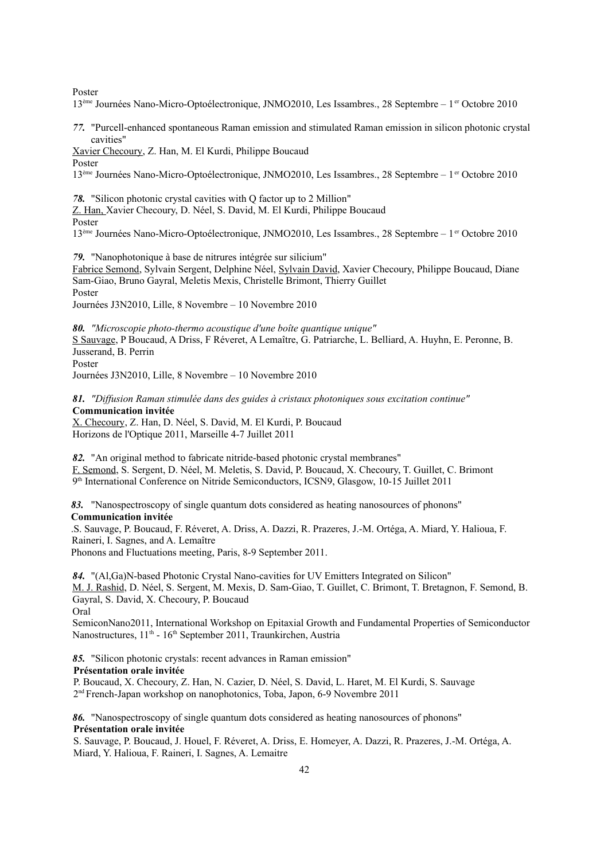Poster

13<sup>ème</sup> Journées Nano-Micro-Optoélectronique, JNMO2010, Les Issambres., 28 Septembre – 1<sup>er</sup> Octobre 2010

*77.* "Purcell-enhanced spontaneous Raman emission and stimulated Raman emission in silicon photonic crystal cavities"

Xavier Checoury, Z. Han, M. El Kurdi, Philippe Boucaud Poster

13<sup>ème</sup> Journées Nano-Micro-Optoélectronique, JNMO2010, Les Issambres., 28 Septembre – 1<sup>er</sup> Octobre 2010

*78.* "Silicon photonic crystal cavities with Q factor up to 2 Million"

Z. Han, Xavier Checoury, D. Néel, S. David, M. El Kurdi, Philippe Boucaud

Poster

13<sup>ème</sup> Journées Nano-Micro-Optoélectronique, JNMO2010, Les Issambres., 28 Septembre – 1<sup>er</sup> Octobre 2010

*79.* "Nanophotonique à base de nitrures intégrée sur silicium"

Fabrice Semond, Sylvain Sergent, Delphine Néel, Sylvain David, Xavier Checoury, Philippe Boucaud, Diane Sam-Giao, Bruno Gayral, Meletis Mexis, Christelle Brimont, Thierry Guillet Poster

Journées J3N2010, Lille, 8 Novembre – 10 Novembre 2010

*80. "Microscopie photo-thermo acoustique d'une boîte quantique unique"* S Sauvage, P Boucaud, A Driss, F Réveret, A Lemaître, G. Patriarche, L. Belliard, A. Huyhn, E. Peronne, B. Jusserand, B. Perrin Poster

Journées J3N2010, Lille, 8 Novembre – 10 Novembre 2010

*81. "Diffusion Raman stimulée dans des guides à cristaux photoniques sous excitation continue"* **Communication invitée**

X. Checoury, Z. Han, D. Néel, S. David, M. El Kurdi, P. Boucaud Horizons de l'Optique 2011, Marseille 4-7 Juillet 2011

*82.* "An original method to fabricate nitride-based photonic crystal membranes" F. Semond, S. Sergent, D. Néel, M. Meletis, S. David, P. Boucaud, X. Checoury, T. Guillet, C. Brimont 9 th International Conference on Nitride Semiconductors, ICSN9, Glasgow, 10-15 Juillet 2011

*83.* "Nanospectroscopy of single quantum dots considered as heating nanosources of phonons" **Communication invitée**

.S. Sauvage, P. Boucaud, F. Réveret, A. Driss, A. Dazzi, R. Prazeres, J.-M. Ortéga, A. Miard, Y. Halioua, F. Raineri, I. Sagnes, and A. Lemaître

Phonons and Fluctuations meeting, Paris, 8-9 September 2011.

*84.* "(Al,Ga)N-based Photonic Crystal Nano-cavities for UV Emitters Integrated on Silicon" M. J. Rashid, D. Néel, S. Sergent, M. Mexis, D. Sam-Giao, T. Guillet, C. Brimont, T. Bretagnon, F. Semond, B. Gayral, S. David, X. Checoury, P. Boucaud Oral

SemiconNano2011, International Workshop on Epitaxial Growth and Fundamental Properties of Semiconductor Nanostructures, 11<sup>th</sup> - 16<sup>th</sup> September 2011, Traunkirchen, Austria

*85.* "Silicon photonic crystals: recent advances in Raman emission" **Présentation orale invitée**

P. Boucaud, X. Checoury, Z. Han, N. Cazier, D. Néel, S. David, L. Haret, M. El Kurdi, S. Sauvage 2 nd French-Japan workshop on nanophotonics, Toba, Japon, 6-9 Novembre 2011

*86.* "Nanospectroscopy of single quantum dots considered as heating nanosources of phonons" **Présentation orale invitée**

S. Sauvage, P. Boucaud, J. Houel, F. Réveret, A. Driss, E. Homeyer, A. Dazzi, R. Prazeres, J.-M. Ortéga, A. Miard, Y. Halioua, F. Raineri, I. Sagnes, A. Lemaitre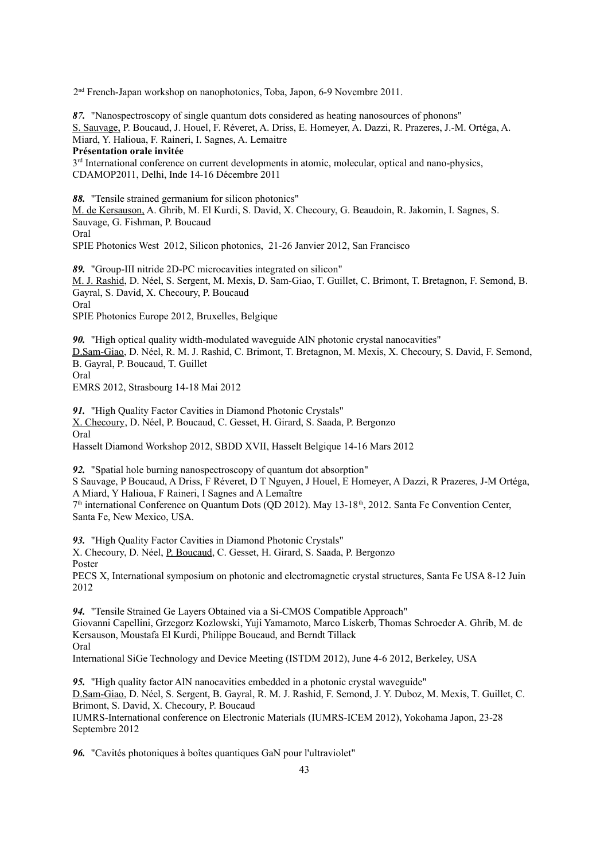2 nd French-Japan workshop on nanophotonics, Toba, Japon, 6-9 Novembre 2011.

*87.* "Nanospectroscopy of single quantum dots considered as heating nanosources of phonons" S. Sauvage, P. Boucaud, J. Houel, F. Réveret, A. Driss, E. Homeyer, A. Dazzi, R. Prazeres, J.-M. Ortéga, A. Miard, Y. Halioua, F. Raineri, I. Sagnes, A. Lemaitre

### **Présentation orale invitée**

 $3<sup>rd</sup>$  International conference on current developments in atomic, molecular, optical and nano-physics, CDAMOP2011, Delhi, Inde 14-16 Décembre 2011

*88.* "Tensile strained germanium for silicon photonics"

M. de Kersauson, A. Ghrib, M. El Kurdi, S. David, X. Checoury, G. Beaudoin, R. Jakomin, I. Sagnes, S. Sauvage, G. Fishman, P. Boucaud Oral

SPIE Photonics West 2012, Silicon photonics, 21-26 Janvier 2012, San Francisco

*89.* "Group-III nitride 2D-PC microcavities integrated on silicon" M. J. Rashid, D. Néel, S. Sergent, M. Mexis, D. Sam-Giao, T. Guillet, C. Brimont, T. Bretagnon, F. Semond, B. Gayral, S. David, X. Checoury, P. Boucaud Oral SPIE Photonics Europe 2012, Bruxelles, Belgique

*90.* "High optical quality width-modulated waveguide AlN photonic crystal nanocavities" D.Sam-Giao, D. Néel, R. M. J. Rashid, C. Brimont, T. Bretagnon, M. Mexis, X. Checoury, S. David, F. Semond, B. Gayral, P. Boucaud, T. Guillet Oral

EMRS 2012, Strasbourg 14-18 Mai 2012

*91.* "High Quality Factor Cavities in Diamond Photonic Crystals" X. Checoury, D. Néel, P. Boucaud, C. Gesset, H. Girard, S. Saada, P. Bergonzo Oral Hasselt Diamond Workshop 2012, SBDD XVII, Hasselt Belgique 14-16 Mars 2012

*92.* "Spatial hole burning nanospectroscopy of quantum dot absorption" S Sauvage, P Boucaud, A Driss, F Réveret, D T Nguyen, J Houel, E Homeyer, A Dazzi, R Prazeres, J-M Ortéga, A Miard, Y Halioua, F Raineri, I Sagnes and A Lemaître 7<sup>th</sup> international Conference on Quantum Dots (QD 2012). May 13-18<sup>th</sup>, 2012. Santa Fe Convention Center, Santa Fe, New Mexico, USA.

*93.* "High Quality Factor Cavities in Diamond Photonic Crystals" X. Checoury, D. Néel, P. Boucaud, C. Gesset, H. Girard, S. Saada, P. Bergonzo Poster

PECS X, International symposium on photonic and electromagnetic crystal structures, Santa Fe USA 8-12 Juin 2012

*94.* "Tensile Strained Ge Layers Obtained via a Si-CMOS Compatible Approach" Giovanni Capellini, Grzegorz Kozlowski, Yuji Yamamoto, Marco Liskerb, Thomas Schroeder A. Ghrib, M. de Kersauson, Moustafa El Kurdi, Philippe Boucaud, and Berndt Tillack Oral

International SiGe Technology and Device Meeting (ISTDM 2012), June 4-6 2012, Berkeley, USA

*95.* "High quality factor AlN nanocavities embedded in a photonic crystal waveguide" D.Sam-Giao, D. Néel, S. Sergent, B. Gayral, R. M. J. Rashid, F. Semond, J. Y. Duboz, M. Mexis, T. Guillet, C. Brimont, S. David, X. Checoury, P. Boucaud IUMRS-International conference on Electronic Materials (IUMRS-ICEM 2012), Yokohama Japon, 23-28 Septembre 2012

*96.* "Cavités photoniques à boîtes quantiques GaN pour l'ultraviolet"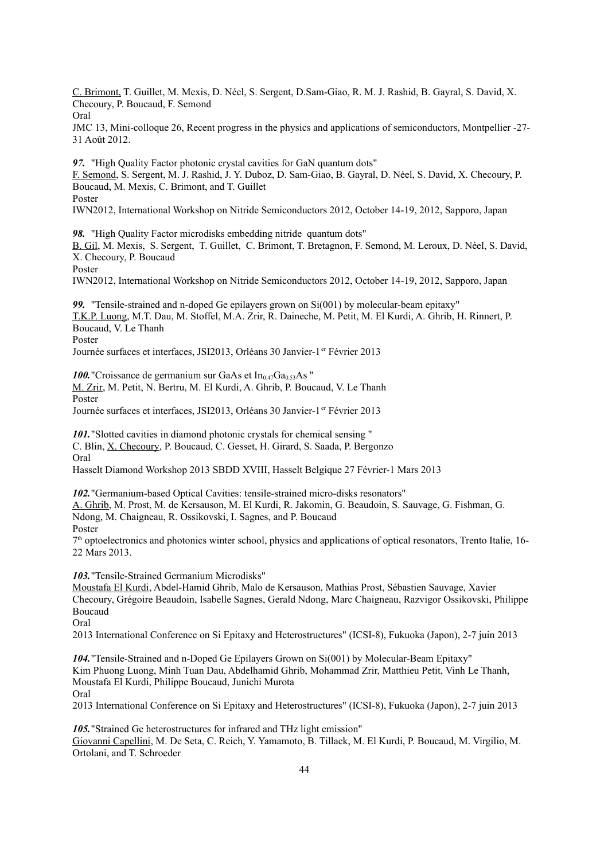C. Brimont, T. Guillet, M. Mexis, D. Néel, S. Sergent, D.Sam-Giao, R. M. J. Rashid, B. Gayral, S. David, X. Checoury, P. Boucaud, F. Semond Oral

JMC 13, Mini-colloque 26, Recent progress in the physics and applications of semiconductors, Montpellier -27- 31 Août 2012.

*97.* "High Quality Factor photonic crystal cavities for GaN quantum dots" F. Semond, S. Sergent, M. J. Rashid, J. Y. Duboz, D. Sam-Giao, B. Gayral, D. Néel, S. David, X. Checoury, P. Boucaud, M. Mexis, C. Brimont, and T. Guillet Poster

IWN2012, International Workshop on Nitride Semiconductors 2012, October 14-19, 2012, Sapporo, Japan

*98.* "High Quality Factor microdisks embedding nitride quantum dots" B. Gil, M. Mexis, S. Sergent, T. Guillet, C. Brimont, T. Bretagnon, F. Semond, M. Leroux, D. Néel, S. David, X. Checoury, P. Boucaud Poster

IWN2012, International Workshop on Nitride Semiconductors 2012, October 14-19, 2012, Sapporo, Japan

*99.* "Tensile-strained and n-doped Ge epilayers grown on Si(001) by molecular-beam epitaxy" T.K.P. Luong, M.T. Dau, M. Stoffel, M.A. Zrir, R. Daineche, M. Petit, M. El Kurdi, A. Ghrib, H. Rinnert, P. Boucaud, V. Le Thanh Poster

Journée surfaces et interfaces, JSI2013, Orléans 30 Janvier-1<sup>er</sup> Février 2013

*100.* "Croissance de germanium sur GaAs et  $In_{0.47}Ga_{0.53}As$ "

M. Zrir, M. Petit, N. Bertru, M. El Kurdi, A. Ghrib, P. Boucaud, V. Le Thanh

Poster

Journée surfaces et interfaces, JSI2013, Orléans 30 Janvier-1<sup>er</sup> Février 2013

*101.*"Slotted cavities in diamond photonic crystals for chemical sensing " C. Blin, X. Checoury, P. Boucaud, C. Gesset, H. Girard, S. Saada, P. Bergonzo Oral

Hasselt Diamond Workshop 2013 SBDD XVIII, Hasselt Belgique 27 Février-1 Mars 2013

*102.*"Germanium-based Optical Cavities: tensile-strained micro-disks resonators" A. Ghrib, M. Prost, M. de Kersauson, M. El Kurdi, R. Jakomin, G. Beaudoin, S. Sauvage, G. Fishman, G. Ndong, M. Chaigneau, R. Ossikovski, I. Sagnes, and P. Boucaud Poster

7 th optoelectronics and photonics winter school, physics and applications of optical resonators, Trento Italie, 16- 22 Mars 2013.

*103.*"Tensile-Strained Germanium Microdisks"

Moustafa El Kurdi, Abdel-Hamid Ghrib, Malo de Kersauson, Mathias Prost, Sébastien Sauvage, Xavier Checoury, Grégoire Beaudoin, Isabelle Sagnes, Gerald Ndong, Marc Chaigneau, Razvigor Ossikovski, Philippe Boucaud

Oral

2013 International Conference on Si Epitaxy and Heterostructures" (ICSI-8), Fukuoka (Japon), 2-7 juin 2013

*104.*"Tensile-Strained and n-Doped Ge Epilayers Grown on Si(001) by Molecular-Beam Epitaxy" Kim Phuong Luong, Minh Tuan Dau, Abdelhamid Ghrib, Mohammad Zrir, Matthieu Petit, Vinh Le Thanh, Moustafa El Kurdi, Philippe Boucaud, Junichi Murota Oral

2013 International Conference on Si Epitaxy and Heterostructures" (ICSI-8), Fukuoka (Japon), 2-7 juin 2013

*105.*"Strained Ge heterostructures for infrared and THz light emission" Giovanni Capellini, M. De Seta, C. Reich, Y. Yamamoto, B. Tillack, M. El Kurdi, P. Boucaud, M. Virgilio, M. Ortolani, and T. Schroeder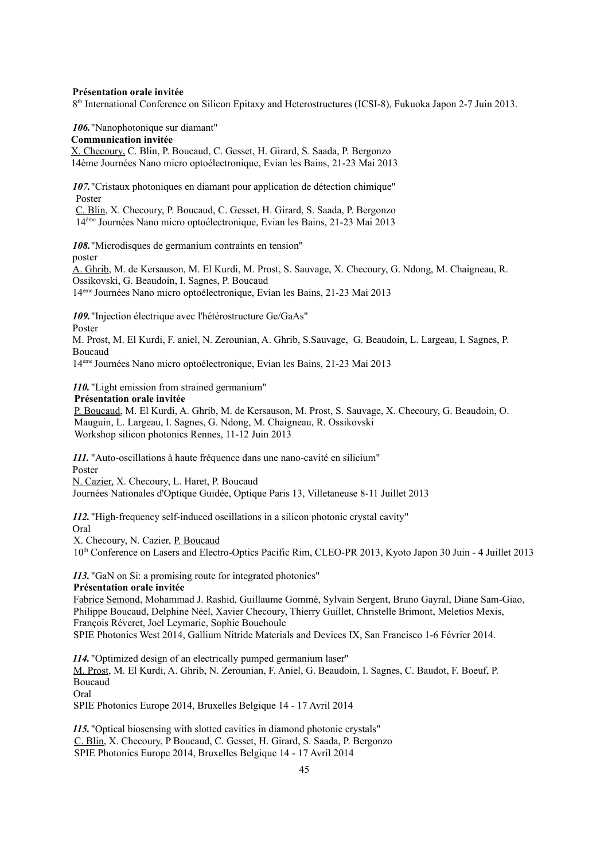#### **Présentation orale invitée**

8<sup>th</sup> International Conference on Silicon Epitaxy and Heterostructures (ICSI-8), Fukuoka Japon 2-7 Juin 2013.

*106.*"Nanophotonique sur diamant"

**Communication invitée**

X. Checoury, C. Blin, P. Boucaud, C. Gesset, H. Girard, S. Saada, P. Bergonzo 14ème Journées Nano micro optoélectronique, Evian les Bains, 21-23 Mai 2013

*107.*"Cristaux photoniques en diamant pour application de détection chimique" Poster

C. Blin, X. Checoury, P. Boucaud, C. Gesset, H. Girard, S. Saada, P. Bergonzo 14ème Journées Nano micro optoélectronique, Evian les Bains, 21-23 Mai 2013

*108.*"Microdisques de germanium contraints en tension" poster A. Ghrib, M. de Kersauson, M. El Kurdi, M. Prost, S. Sauvage, X. Checoury, G. Ndong, M. Chaigneau, R.

Ossikovski, G. Beaudoin, I. Sagnes, P. Boucaud 14ème Journées Nano micro optoélectronique, Evian les Bains, 21-23 Mai 2013

*109.*"Injection électrique avec l'hétérostructure Ge/GaAs" Poster

M. Prost, M. El Kurdi, F. aniel, N. Zerounian, A. Ghrib, S.Sauvage, G. Beaudoin, L. Largeau, I. Sagnes, P. Boucaud

14ème Journées Nano micro optoélectronique, Evian les Bains, 21-23 Mai 2013

*110.* "Light emission from strained germanium"

#### **Présentation orale invitée**

P. Boucaud, M. El Kurdi, A. Ghrib, M. de Kersauson, M. Prost, S. Sauvage, X. Checoury, G. Beaudoin, O. Mauguin, L. Largeau, I. Sagnes, G. Ndong, M. Chaigneau, R. Ossikovski Workshop silicon photonics Rennes, 11-12 Juin 2013

*111.* "Auto-oscillations à haute fréquence dans une nano-cavité en silicium" Poster

N. Cazier, X. Checoury, L. Haret, P. Boucaud Journées Nationales d'Optique Guidée, Optique Paris 13, Villetaneuse 8-11 Juillet 2013

*112.* "High-frequency self-induced oscillations in a silicon photonic crystal cavity" Oral

X. Checoury, N. Cazier, P. Boucaud

10th Conference on Lasers and Electro-Optics Pacific Rim, CLEO-PR 2013, Kyoto Japon 30 Juin - 4 Juillet 2013

*113.* "GaN on Si: a promising route for integrated photonics"

**Présentation orale invitée**

Fabrice Semond, Mohammad J. Rashid, Guillaume Gommé, Sylvain Sergent, Bruno Gayral, Diane Sam-Giao, Philippe Boucaud, Delphine Néel, Xavier Checoury, Thierry Guillet, Christelle Brimont, Meletios Mexis, François Réveret, Joel Leymarie, Sophie Bouchoule SPIE Photonics West 2014, Gallium Nitride Materials and Devices IX, San Francisco 1-6 Février 2014.

*114.* "Optimized design of an electrically pumped germanium laser" M. Prost, M. El Kurdi, A. Ghrib, N. Zerounian, F. Aniel, G. Beaudoin, I. Sagnes, C. Baudot, F. Boeuf, P. Boucaud Oral

SPIE Photonics Europe 2014, Bruxelles Belgique 14 - 17 Avril 2014

*115.* "Optical biosensing with slotted cavities in diamond photonic crystals" C. Blin, X. Checoury, P Boucaud, C. Gesset, H. Girard, S. Saada, P. Bergonzo SPIE Photonics Europe 2014, Bruxelles Belgique 14 - 17 Avril 2014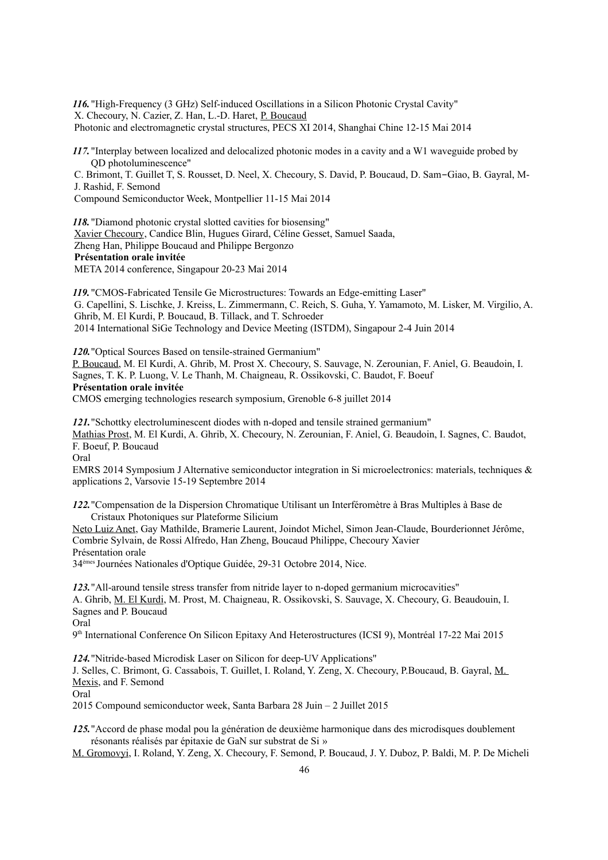*116.* "High-Frequency (3 GHz) Self-induced Oscillations in a Silicon Photonic Crystal Cavity" X. Checoury, N. Cazier, Z. Han, L.-D. Haret, P. Boucaud Photonic and electromagnetic crystal structures, PECS XI 2014, Shanghai Chine 12-15 Mai 2014

*117.* "Interplay between localized and delocalized photonic modes in a cavity and a W1 waveguide probed by QD photoluminescence"

C. Brimont, T. Guillet T, S. Rousset, D. Neel, X. Checoury, S. David, P. Boucaud, D. Sam‐Giao, B. Gayral, M-J. Rashid, F. Semond

Compound Semiconductor Week, Montpellier 11-15 Mai 2014

*118.* "Diamond photonic crystal slotted cavities for biosensing" Xavier Checoury, Candice Blin, Hugues Girard, Céline Gesset, Samuel Saada, Zheng Han, Philippe Boucaud and Philippe Bergonzo **Présentation orale invitée** META 2014 conference, Singapour 20-23 Mai 2014

*119.* "CMOS-Fabricated Tensile Ge Microstructures: Towards an Edge-emitting Laser" G. Capellini, S. Lischke, J. Kreiss, L. Zimmermann, C. Reich, S. Guha, Y. Yamamoto, M. Lisker, M. Virgilio, A. Ghrib, M. El Kurdi, P. Boucaud, B. Tillack, and T. Schroeder 2014 International SiGe Technology and Device Meeting (ISTDM), Singapour 2-4 Juin 2014

*120.*"Optical Sources Based on tensile-strained Germanium" P. Boucaud, M. El Kurdi, A. Ghrib, M. Prost X. Checoury, S. Sauvage, N. Zerounian, F. Aniel, G. Beaudoin, I. Sagnes, T. K. P. Luong, V. Le Thanh, M. Chaigneau, R. Ossikovski, C. Baudot, F. Boeuf **Présentation orale invitée** CMOS emerging technologies research symposium, Grenoble 6-8 juillet 2014

*121.*"Schottky electroluminescent diodes with n-doped and tensile strained germanium" Mathias Prost, M. El Kurdi, A. Ghrib, X. Checoury, N. Zerounian, F. Aniel, G. Beaudoin, I. Sagnes, C. Baudot,

F. Boeuf, P. Boucaud

Oral

EMRS 2014 Symposium J Alternative semiconductor integration in Si microelectronics: materials, techniques & applications 2, Varsovie 15-19 Septembre 2014

*122.*"Compensation de la Dispersion Chromatique Utilisant un Interféromètre à Bras Multiples à Base de Cristaux Photoniques sur Plateforme Silicium

Neto Luiz Anet, Gay Mathilde, Bramerie Laurent, Joindot Michel, Simon Jean-Claude, Bourderionnet Jérôme, Combrie Sylvain, de Rossi Alfredo, Han Zheng, Boucaud Philippe, Checoury Xavier Présentation orale

34èmes Journées Nationales d'Optique Guidée, 29-31 Octobre 2014, Nice.

*123.*"All-around tensile stress transfer from nitride layer to n-doped germanium microcavities" A. Ghrib, M. El Kurdi, M. Prost, M. Chaigneau, R. Ossikovski, S. Sauvage, X. Checoury, G. Beaudouin, I. Sagnes and P. Boucaud Oral

9 th International Conference On Silicon Epitaxy And Heterostructures (ICSI 9), Montréal 17-22 Mai 2015

*124.*"Nitride-based Microdisk Laser on Silicon for deep-UV Applications" J. Selles, C. Brimont, G. Cassabois, T. Guillet, I. Roland, Y. Zeng, X. Checoury, P.Boucaud, B. Gayral, M. Mexis, and F. Semond Oral

2015 Compound semiconductor week, Santa Barbara 28 Juin – 2 Juillet 2015

*125.*"Accord de phase modal pou la génération de deuxième harmonique dans des microdisques doublement résonants réalisés par épitaxie de GaN sur substrat de Si »

M. Gromovyi, I. Roland, Y. Zeng, X. Checoury, F. Semond, P. Boucaud, J. Y. Duboz, P. Baldi, M. P. De Micheli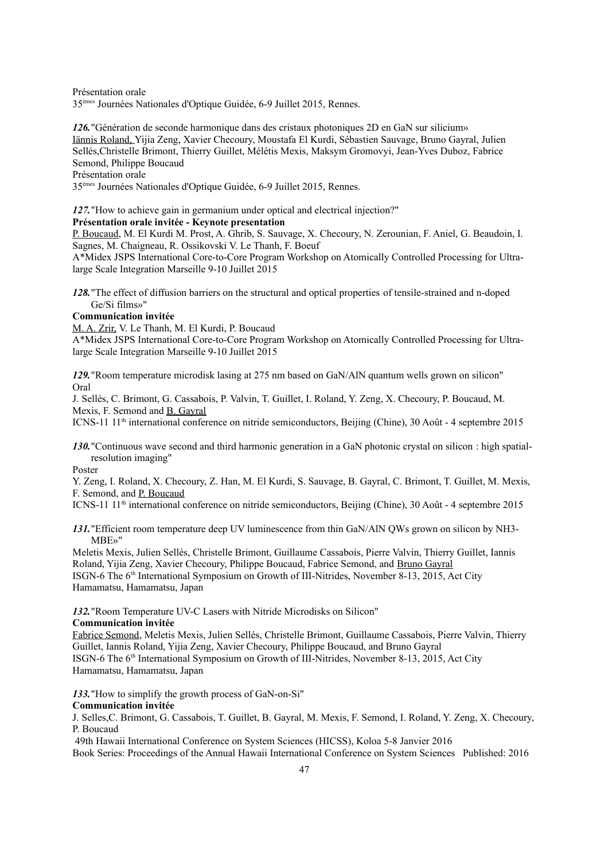Présentation orale 35èmes Journées Nationales d'Optique Guidée, 6-9 Juillet 2015, Rennes.

*126.*"Génération de seconde harmonique dans des cristaux photoniques 2D en GaN sur silicium» Iännis Roland, Yijia Zeng, Xavier Checoury, Moustafa El Kurdi, Sébastien Sauvage, Bruno Gayral, Julien Sellés,Christelle Brimont, Thierry Guillet, Mélétis Mexis, Maksym Gromovyi, Jean-Yves Duboz, Fabrice Semond, Philippe Boucaud Présentation orale

35èmes Journées Nationales d'Optique Guidée, 6-9 Juillet 2015, Rennes.

#### *127.*"How to achieve gain in germanium under optical and electrical injection?" **Présentation orale invitée - Keynote presentation**

P. Boucaud, M. El Kurdi M. Prost, A. Ghrib, S. Sauvage, X. Checoury, N. Zerounian, F. Aniel, G. Beaudoin, I. Sagnes, M. Chaigneau, R. Ossikovski V. Le Thanh, F. Boeuf

A\*Midex JSPS International Core-to-Core Program Workshop on Atomically Controlled Processing for Ultralarge Scale Integration Marseille 9-10 Juillet 2015

*128.*"The effect of diffusion barriers on the structural and optical properties of tensile-strained and n-doped Ge/Si films»"

#### **Communication invitée**

M. A. Zrir, V. Le Thanh, M. El Kurdi, P. Boucaud

A\*Midex JSPS International Core-to-Core Program Workshop on Atomically Controlled Processing for Ultralarge Scale Integration Marseille 9-10 Juillet 2015

*129.*"Room temperature microdisk lasing at 275 nm based on GaN/AlN quantum wells grown on silicon" Oral

J. Sellés, C. Brimont, G. Cassabois, P. Valvin, T. Guillet, I. Roland, Y. Zeng, X. Checoury, P. Boucaud, M. Mexis, F. Semond and B. Gayral

ICNS-11 11th international conference on nitride semiconductors, Beijing (Chine), 30 Août - 4 septembre 2015

*130.*"Continuous wave second and third harmonic generation in a GaN photonic crystal on silicon : high spatialresolution imaging"

Poster

Y. Zeng, I. Roland, X. Checoury, Z. Han, M. El Kurdi, S. Sauvage, B. Gayral, C. Brimont, T. Guillet, M. Mexis, F. Semond, and P. Boucaud

ICNS-11 11th international conference on nitride semiconductors, Beijing (Chine), 30 Août - 4 septembre 2015

*131.*"Efficient room temperature deep UV luminescence from thin GaN/AlN QWs grown on silicon by NH3- MBE»"

Meletis Mexis, Julien Sellés, Christelle Brimont, Guillaume Cassabois, Pierre Valvin, Thierry Guillet, Iannis Roland, Yijia Zeng, Xavier Checoury, Philippe Boucaud, Fabrice Semond, and Bruno Gayral ISGN-6 The 6th International Symposium on Growth of III-Nitrides, November 8-13, 2015, Act City Hamamatsu, Hamamatsu, Japan

*132.*"Room Temperature UV-C Lasers with Nitride Microdisks on Silicon" **Communication invitée**

Fabrice Semond, Meletis Mexis, Julien Sellés, Christelle Brimont, Guillaume Cassabois, Pierre Valvin, Thierry Guillet, Iannis Roland, Yijia Zeng, Xavier Checoury, Philippe Boucaud, and Bruno Gayral ISGN-6 The 6th International Symposium on Growth of III-Nitrides, November 8-13, 2015, Act City Hamamatsu, Hamamatsu, Japan

*133.*"How to simplify the growth process of GaN-on-Si"

#### **Communication invitée**

J. Selles,C. Brimont, G. Cassabois, T. Guillet, B. Gayral, M. Mexis, F. Semond, I. Roland, Y. Zeng, X. Checoury, P. Boucaud

 49th Hawaii International Conference on System Sciences (HICSS), Koloa 5-8 Janvier 2016 Book Series: Proceedings of the Annual Hawaii International Conference on System Sciences Published: 2016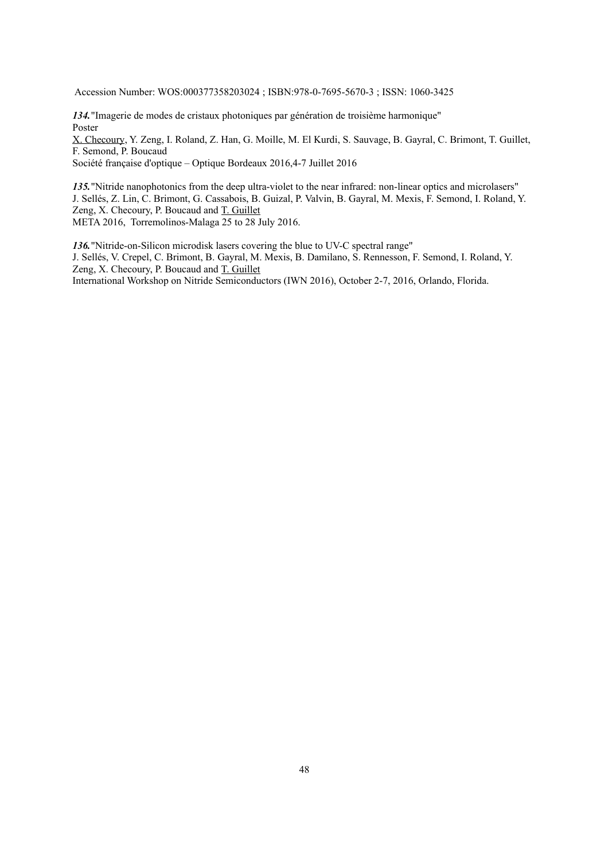Accession Number: WOS:000377358203024 ; ISBN:978-0-7695-5670-3 ; ISSN: 1060-3425

*134.*"Imagerie de modes de cristaux photoniques par génération de troisième harmonique" Poster

X. Checoury, Y. Zeng, I. Roland, Z. Han, G. Moille, M. El Kurdi, S. Sauvage, B. Gayral, C. Brimont, T. Guillet, F. Semond, P. Boucaud

Société française d'optique – Optique Bordeaux 2016,4-7 Juillet 2016

*135.*"Nitride nanophotonics from the deep ultra-violet to the near infrared: non-linear optics and microlasers" J. Sellés, Z. Lin, C. Brimont, G. Cassabois, B. Guizal, P. Valvin, B. Gayral, M. Mexis, F. Semond, I. Roland, Y. Zeng, X. Checoury, P. Boucaud and T. Guillet META 2016, Torremolinos-Malaga 25 to 28 July 2016.

*136.*"Nitride-on-Silicon microdisk lasers covering the blue to UV-C spectral range"

J. Sellés, V. Crepel, C. Brimont, B. Gayral, M. Mexis, B. Damilano, S. Rennesson, F. Semond, I. Roland, Y. Zeng, X. Checoury, P. Boucaud and T. Guillet

International Workshop on Nitride Semiconductors (IWN 2016), October 2-7, 2016, Orlando, Florida.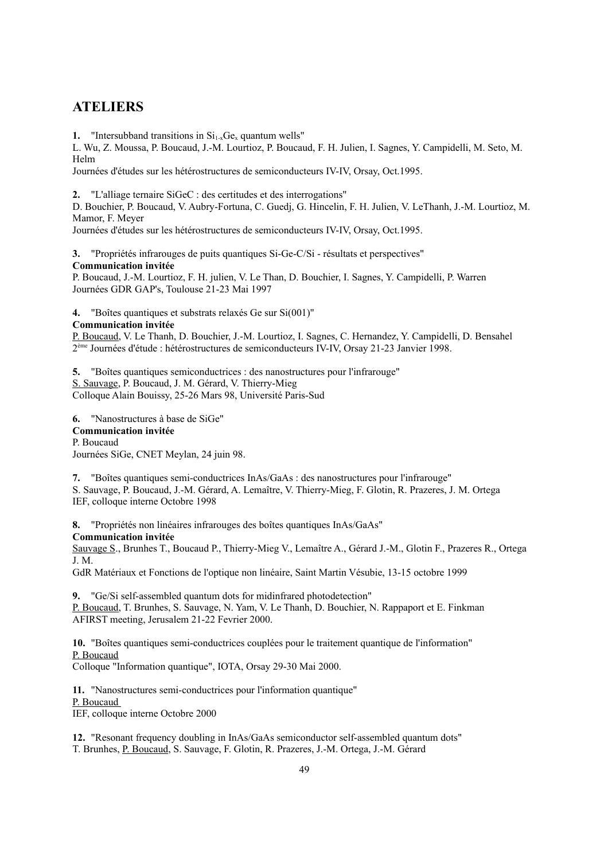### **ATELIERS**

**1.** "Intersubband transitions in  $Si_{1-x}Ge_x$  quantum wells"

L. Wu, Z. Moussa, P. Boucaud, J.-M. Lourtioz, P. Boucaud, F. H. Julien, I. Sagnes, Y. Campidelli, M. Seto, M. Helm

Journées d'études sur les hétérostructures de semiconducteurs IV-IV, Orsay, Oct.1995.

**2.** "L'alliage ternaire SiGeC : des certitudes et des interrogations"

D. Bouchier, P. Boucaud, V. Aubry-Fortuna, C. Guedj, G. Hincelin, F. H. Julien, V. LeThanh, J.-M. Lourtioz, M. Mamor, F. Meyer

Journées d'études sur les hétérostructures de semiconducteurs IV-IV, Orsay, Oct.1995.

**3.** "Propriétés infrarouges de puits quantiques Si-Ge-C/Si - résultats et perspectives" **Communication invitée**

P. Boucaud, J.-M. Lourtioz, F. H. julien, V. Le Than, D. Bouchier, I. Sagnes, Y. Campidelli, P. Warren Journées GDR GAP's, Toulouse 21-23 Mai 1997

**4.** "Boîtes quantiques et substrats relaxés Ge sur Si(001)"

#### **Communication invitée**

P. Boucaud, V. Le Thanh, D. Bouchier, J.-M. Lourtioz, I. Sagnes, C. Hernandez, Y. Campidelli, D. Bensahel 2<sup>ème</sup> Journées d'étude : hétérostructures de semiconducteurs IV-IV, Orsay 21-23 Janvier 1998.

**5.** "Boîtes quantiques semiconductrices : des nanostructures pour l'infrarouge" S. Sauvage, P. Boucaud, J. M. Gérard, V. Thierry-Mieg Colloque Alain Bouissy, 25-26 Mars 98, Université Paris-Sud

**6.** "Nanostructures à base de SiGe" **Communication invitée** P. Boucaud

Journées SiGe, CNET Meylan, 24 juin 98.

**7.** "Boîtes quantiques semi-conductrices InAs/GaAs : des nanostructures pour l'infrarouge" S. Sauvage, P. Boucaud, J.-M. Gérard, A. Lemaître, V. Thierry-Mieg, F. Glotin, R. Prazeres, J. M. Ortega IEF, colloque interne Octobre 1998

**8.** "Propriétés non linéaires infrarouges des boîtes quantiques InAs/GaAs"

#### **Communication invitée**

Sauvage S., Brunhes T., Boucaud P., Thierry-Mieg V., Lemaître A., Gérard J.-M., Glotin F., Prazeres R., Ortega J. M.

GdR Matériaux et Fonctions de l'optique non linéaire, Saint Martin Vésubie, 13-15 octobre 1999

**9.** "Ge/Si self-assembled quantum dots for midinfrared photodetection" P. Boucaud, T. Brunhes, S. Sauvage, N. Yam, V. Le Thanh, D. Bouchier, N. Rappaport et E. Finkman AFIRST meeting, Jerusalem 21-22 Fevrier 2000.

**10.** "Boîtes quantiques semi-conductrices couplées pour le traitement quantique de l'information" P. Boucaud

Colloque "Information quantique", IOTA, Orsay 29-30 Mai 2000.

**11.** "Nanostructures semi-conductrices pour l'information quantique" P. Boucaud IEF, colloque interne Octobre 2000

**12.** "Resonant frequency doubling in InAs/GaAs semiconductor self-assembled quantum dots" T. Brunhes, P. Boucaud, S. Sauvage, F. Glotin, R. Prazeres, J.-M. Ortega, J.-M. Gérard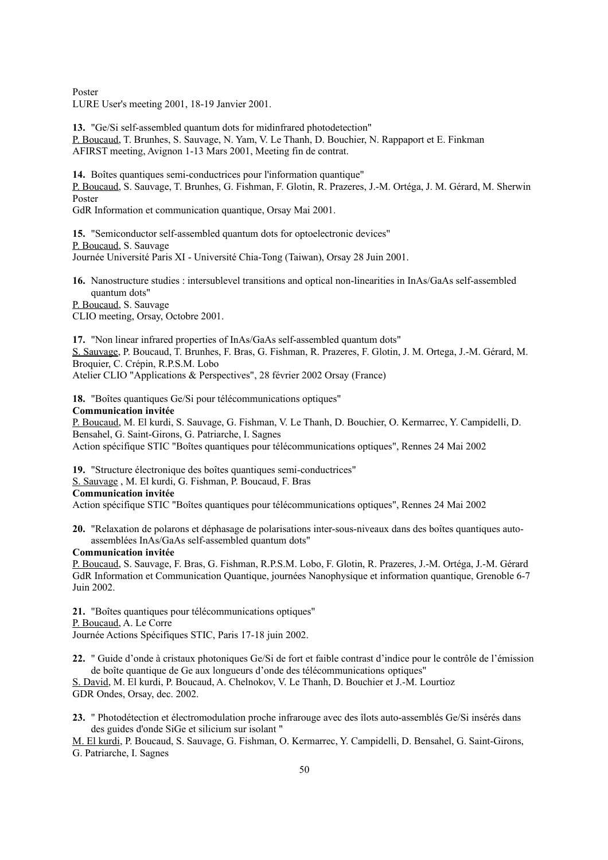Poster

LURE User's meeting 2001, 18-19 Janvier 2001.

**13.** "Ge/Si self-assembled quantum dots for midinfrared photodetection" P. Boucaud, T. Brunhes, S. Sauvage, N. Yam, V. Le Thanh, D. Bouchier, N. Rappaport et E. Finkman AFIRST meeting, Avignon 1-13 Mars 2001, Meeting fin de contrat.

**14.** Boîtes quantiques semi-conductrices pour l'information quantique" P. Boucaud, S. Sauvage, T. Brunhes, G. Fishman, F. Glotin, R. Prazeres, J.-M. Ortéga, J. M. Gérard, M. Sherwin Poster

GdR Information et communication quantique, Orsay Mai 2001.

**15.** "Semiconductor self-assembled quantum dots for optoelectronic devices" P. Boucaud, S. Sauvage Journée Université Paris XI - Université Chia-Tong (Taiwan), Orsay 28 Juin 2001.

**16.** Nanostructure studies : intersublevel transitions and optical non-linearities in InAs/GaAs self-assembled quantum dots"

P. Boucaud, S. Sauvage

CLIO meeting, Orsay, Octobre 2001.

**17.** "Non linear infrared properties of InAs/GaAs self-assembled quantum dots" S. Sauvage, P. Boucaud, T. Brunhes, F. Bras, G. Fishman, R. Prazeres, F. Glotin, J. M. Ortega, J.-M. Gérard, M. Broquier, C. Crépin, R.P.S.M. Lobo Atelier CLIO "Applications & Perspectives", 28 février 2002 Orsay (France)

**18.** "Boîtes quantiques Ge/Si pour télécommunications optiques"

#### **Communication invitée**

P. Boucaud, M. El kurdi, S. Sauvage, G. Fishman, V. Le Thanh, D. Bouchier, O. Kermarrec, Y. Campidelli, D. Bensahel, G. Saint-Girons, G. Patriarche, I. Sagnes Action spécifique STIC "Boîtes quantiques pour télécommunications optiques", Rennes 24 Mai 2002

**19.** "Structure électronique des boîtes quantiques semi-conductrices"

S. Sauvage , M. El kurdi, G. Fishman, P. Boucaud, F. Bras

#### **Communication invitée**

Action spécifique STIC "Boîtes quantiques pour télécommunications optiques", Rennes 24 Mai 2002

**20.** "Relaxation de polarons et déphasage de polarisations inter-sous-niveaux dans des boîtes quantiques autoassemblées InAs/GaAs self-assembled quantum dots"

#### **Communication invitée**

P. Boucaud, S. Sauvage, F. Bras, G. Fishman, R.P.S.M. Lobo, F. Glotin, R. Prazeres, J.-M. Ortéga, J.-M. Gérard GdR Information et Communication Quantique, journées Nanophysique et information quantique, Grenoble 6-7 Juin 2002.

**21.** "Boîtes quantiques pour télécommunications optiques" P. Boucaud, A. Le Corre Journée Actions Spécifiques STIC, Paris 17-18 juin 2002.

**22.** " Guide d'onde à cristaux photoniques Ge/Si de fort et faible contrast d'indice pour le contrôle de l'émission de boîte quantique de Ge aux longueurs d'onde des télécommunications optiques"

S. David, M. El kurdi, P. Boucaud, A. Chelnokov, V. Le Thanh, D. Bouchier et J.-M. Lourtioz GDR Ondes, Orsay, dec. 2002.

**23.** " Photodétection et électromodulation proche infrarouge avec des îlots auto-assemblés Ge/Si insérés dans des guides d'onde SiGe et silicium sur isolant "

M. El kurdi, P. Boucaud, S. Sauvage, G. Fishman, O. Kermarrec, Y. Campidelli, D. Bensahel, G. Saint-Girons, G. Patriarche, I. Sagnes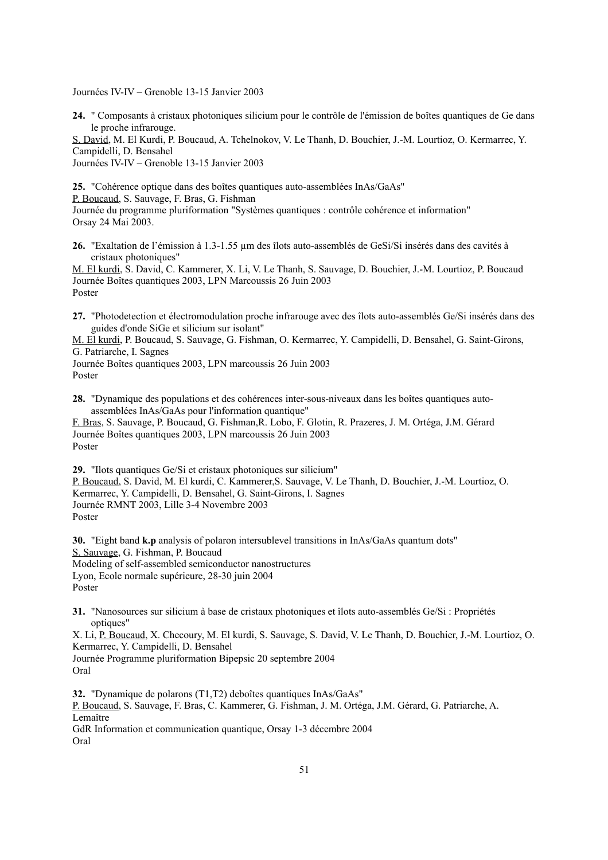Journées IV-IV – Grenoble 13-15 Janvier 2003

**24.** " Composants à cristaux photoniques silicium pour le contrôle de l'émission de boîtes quantiques de Ge dans le proche infrarouge.

S. David, M. El Kurdi, P. Boucaud, A. Tchelnokov, V. Le Thanh, D. Bouchier, J.-M. Lourtioz, O. Kermarrec, Y. Campidelli, D. Bensahel

Journées IV-IV – Grenoble 13-15 Janvier 2003

**25.** "Cohérence optique dans des boîtes quantiques auto-assemblées InAs/GaAs" P. Boucaud, S. Sauvage, F. Bras, G. Fishman Journée du programme pluriformation "Systèmes quantiques : contrôle cohérence et information" Orsay 24 Mai 2003.

**26.** "Exaltation de l'émission à 1.3-1.55 µm des îlots auto-assemblés de GeSi/Si insérés dans des cavités à cristaux photoniques"

M. El kurdi, S. David, C. Kammerer, X. Li, V. Le Thanh, S. Sauvage, D. Bouchier, J.-M. Lourtioz, P. Boucaud Journée Boîtes quantiques 2003, LPN Marcoussis 26 Juin 2003 Poster

**27.** "Photodetection et électromodulation proche infrarouge avec des îlots auto-assemblés Ge/Si insérés dans des guides d'onde SiGe et silicium sur isolant"

M. El kurdi, P. Boucaud, S. Sauvage, G. Fishman, O. Kermarrec, Y. Campidelli, D. Bensahel, G. Saint-Girons, G. Patriarche, I. Sagnes

Journée Boîtes quantiques 2003, LPN marcoussis 26 Juin 2003 Poster

**28.** "Dynamique des populations et des cohérences inter-sous-niveaux dans les boîtes quantiques autoassemblées InAs/GaAs pour l'information quantique"

F. Bras, S. Sauvage, P. Boucaud, G. Fishman,R. Lobo, F. Glotin, R. Prazeres, J. M. Ortéga, J.M. Gérard Journée Boîtes quantiques 2003, LPN marcoussis 26 Juin 2003 Poster

**29.** "Ilots quantiques Ge/Si et cristaux photoniques sur silicium" P. Boucaud, S. David, M. El kurdi, C. Kammerer,S. Sauvage, V. Le Thanh, D. Bouchier, J.-M. Lourtioz, O. Kermarrec, Y. Campidelli, D. Bensahel, G. Saint-Girons, I. Sagnes Journée RMNT 2003, Lille 3-4 Novembre 2003 Poster

**30.** "Eight band **k.p** analysis of polaron intersublevel transitions in InAs/GaAs quantum dots" S. Sauvage, G. Fishman, P. Boucaud Modeling of self-assembled semiconductor nanostructures Lyon, Ecole normale supérieure, 28-30 juin 2004 Poster

**31.** "Nanosources sur silicium à base de cristaux photoniques et îlots auto-assemblés Ge/Si : Propriétés optiques"

X. Li, P. Boucaud, X. Checoury, M. El kurdi, S. Sauvage, S. David, V. Le Thanh, D. Bouchier, J.-M. Lourtioz, O. Kermarrec, Y. Campidelli, D. Bensahel

Journée Programme pluriformation Bipepsic 20 septembre 2004 Oral

**32.** "Dynamique de polarons (T1,T2) deboîtes quantiques InAs/GaAs" P. Boucaud, S. Sauvage, F. Bras, C. Kammerer, G. Fishman, J. M. Ortéga, J.M. Gérard, G. Patriarche, A. Lemaître GdR Information et communication quantique, Orsay 1-3 décembre 2004 Oral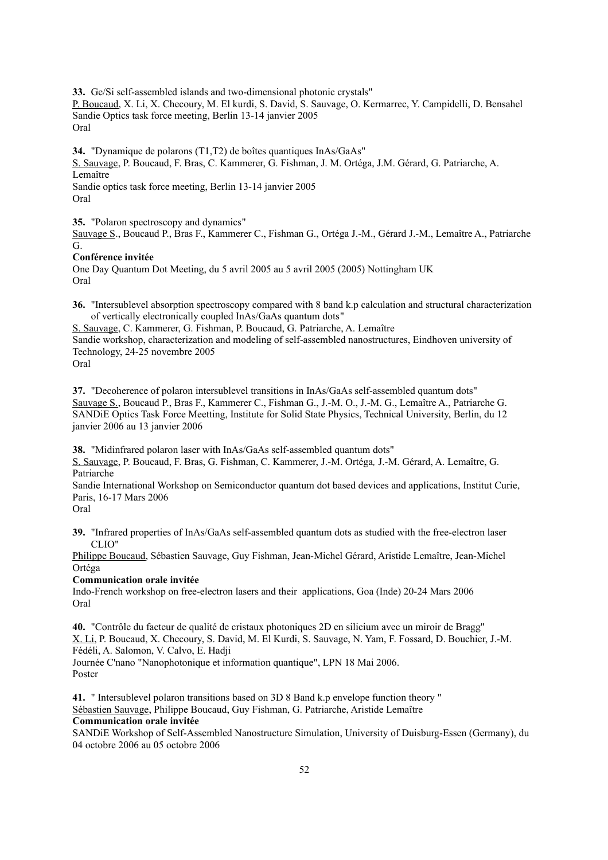**33.** Ge/Si self-assembled islands and two-dimensional photonic crystals" P. Boucaud, X. Li, X. Checoury, M. El kurdi, S. David, S. Sauvage, O. Kermarrec, Y. Campidelli, D. Bensahel Sandie Optics task force meeting, Berlin 13-14 janvier 2005 Oral

**34.** "Dynamique de polarons (T1,T2) de boîtes quantiques InAs/GaAs" S. Sauvage, P. Boucaud, F. Bras, C. Kammerer, G. Fishman, J. M. Ortéga, J.M. Gérard, G. Patriarche, A. Lemaître Sandie optics task force meeting, Berlin 13-14 janvier 2005 Oral

**35.** "Polaron spectroscopy and dynamics"

Sauvage S., Boucaud P., Bras F., Kammerer C., Fishman G., Ortéga J.-M., Gérard J.-M., Lemaître A., Patriarche G.

#### **Conférence invitée**

One Day Quantum Dot Meeting, du 5 avril 2005 au 5 avril 2005 (2005) Nottingham UK Oral

**36.** "Intersublevel absorption spectroscopy compared with 8 band k.p calculation and structural characterization of vertically electronically coupled InAs/GaAs quantum dots"

S. Sauvage, C. Kammerer, G. Fishman, P. Boucaud, G. Patriarche, A. Lemaître Sandie workshop, characterization and modeling of self-assembled nanostructures, Eindhoven university of Technology, 24-25 novembre 2005

Oral

**37.** "Decoherence of polaron intersublevel transitions in InAs/GaAs self-assembled quantum dots" Sauvage S., Boucaud P., Bras F., Kammerer C., Fishman G., J.-M. O., J.-M. G., Lemaître A., Patriarche G. SANDiE Optics Task Force Meetting, Institute for Solid State Physics, Technical University, Berlin, du 12 janvier 2006 au 13 janvier 2006

**38.** "Midinfrared polaron laser with InAs/GaAs self-assembled quantum dots"

S. Sauvage, P. Boucaud, F. Bras, G. Fishman, C. Kammerer, J.-M. Ortéga*,* J.-M. Gérard, A. Lemaître, G. Patriarche

Sandie International Workshop on Semiconductor quantum dot based devices and applications, Institut Curie, Paris, 16-17 Mars 2006

**39.** "Infrared properties of InAs/GaAs self-assembled quantum dots as studied with the free-electron laser CLIO"

Philippe Boucaud, Sébastien Sauvage, Guy Fishman, Jean-Michel Gérard, Aristide Lemaître, Jean-Michel Ortéga

#### **Communication orale invitée**

Indo-French workshop on free-electron lasers and their applications, Goa (Inde) 20-24 Mars 2006 Oral

**40.** "Contrôle du facteur de qualité de cristaux photoniques 2D en silicium avec un miroir de Bragg" X. Li, P. Boucaud, X. Checoury, S. David, M. El Kurdi, S. Sauvage, N. Yam, F. Fossard, D. Bouchier, J.-M. Fédéli, A. Salomon, V. Calvo, E. Hadji

Journée C'nano "Nanophotonique et information quantique", LPN 18 Mai 2006. Poster

**41.** " Intersublevel polaron transitions based on 3D 8 Band k.p envelope function theory " Sébastien Sauvage, Philippe Boucaud, Guy Fishman, G. Patriarche, Aristide Lemaître **Communication orale invitée**

SANDiE Workshop of Self-Assembled Nanostructure Simulation, University of Duisburg-Essen (Germany), du 04 octobre 2006 au 05 octobre 2006

Oral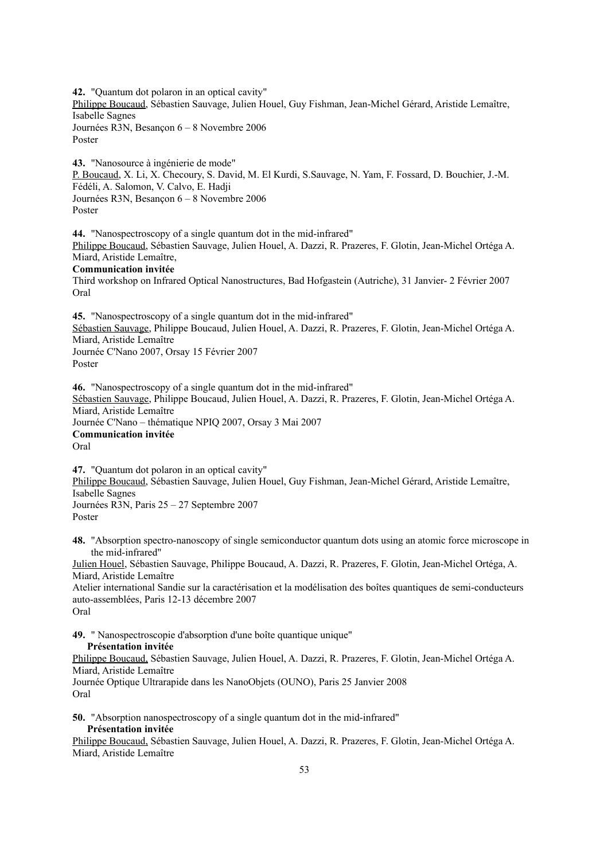**42.** "Quantum dot polaron in an optical cavity" Philippe Boucaud, Sébastien Sauvage, Julien Houel, Guy Fishman, Jean-Michel Gérard, Aristide Lemaître, Isabelle Sagnes Journées R3N, Besançon 6 – 8 Novembre 2006 Poster

**43.** "Nanosource à ingénierie de mode" P. Boucaud, X. Li, X. Checoury, S. David, M. El Kurdi, S.Sauvage, N. Yam, F. Fossard, D. Bouchier, J.-M. Fédéli, A. Salomon, V. Calvo, E. Hadji Journées R3N, Besançon 6 – 8 Novembre 2006 Poster

**44.** "Nanospectroscopy of a single quantum dot in the mid-infrared" Philippe Boucaud, Sébastien Sauvage, Julien Houel, A. Dazzi, R. Prazeres, F. Glotin, Jean-Michel Ortéga A. Miard, Aristide Lemaître,

#### **Communication invitée**

Third workshop on Infrared Optical Nanostructures, Bad Hofgastein (Autriche), 31 Janvier- 2 Février 2007 Oral

**45.** "Nanospectroscopy of a single quantum dot in the mid-infrared" Sébastien Sauvage, Philippe Boucaud, Julien Houel, A. Dazzi, R. Prazeres, F. Glotin, Jean-Michel Ortéga A. Miard, Aristide Lemaître Journée C'Nano 2007, Orsay 15 Février 2007 Poster

**46.** "Nanospectroscopy of a single quantum dot in the mid-infrared" Sébastien Sauvage, Philippe Boucaud, Julien Houel, A. Dazzi, R. Prazeres, F. Glotin, Jean-Michel Ortéga A. Miard, Aristide Lemaître Journée C'Nano – thématique NPIQ 2007, Orsay 3 Mai 2007 **Communication invitée** Oral

**47.** "Quantum dot polaron in an optical cavity" Philippe Boucaud, Sébastien Sauvage, Julien Houel, Guy Fishman, Jean-Michel Gérard, Aristide Lemaître, Isabelle Sagnes Journées R3N, Paris 25 – 27 Septembre 2007 Poster

**48.** "Absorption spectro-nanoscopy of single semiconductor quantum dots using an atomic force microscope in the mid-infrared"

Julien Houel, Sébastien Sauvage, Philippe Boucaud, A. Dazzi, R. Prazeres, F. Glotin, Jean-Michel Ortéga, A. Miard, Aristide Lemaître

Atelier international Sandie sur la caractérisation et la modélisation des boîtes quantiques de semi-conducteurs auto-assemblées, Paris 12-13 décembre 2007 Oral

**49.** " Nanospectroscopie d'absorption d'une boîte quantique unique"

#### **Présentation invitée**

Philippe Boucaud, Sébastien Sauvage, Julien Houel, A. Dazzi, R. Prazeres, F. Glotin, Jean-Michel Ortéga A. Miard, Aristide Lemaître Journée Optique Ultrarapide dans les NanoObjets (OUNO), Paris 25 Janvier 2008

Oral

**50.** "Absorption nanospectroscopy of a single quantum dot in the mid-infrared" **Présentation invitée**

Philippe Boucaud, Sébastien Sauvage, Julien Houel, A. Dazzi, R. Prazeres, F. Glotin, Jean-Michel Ortéga A. Miard, Aristide Lemaître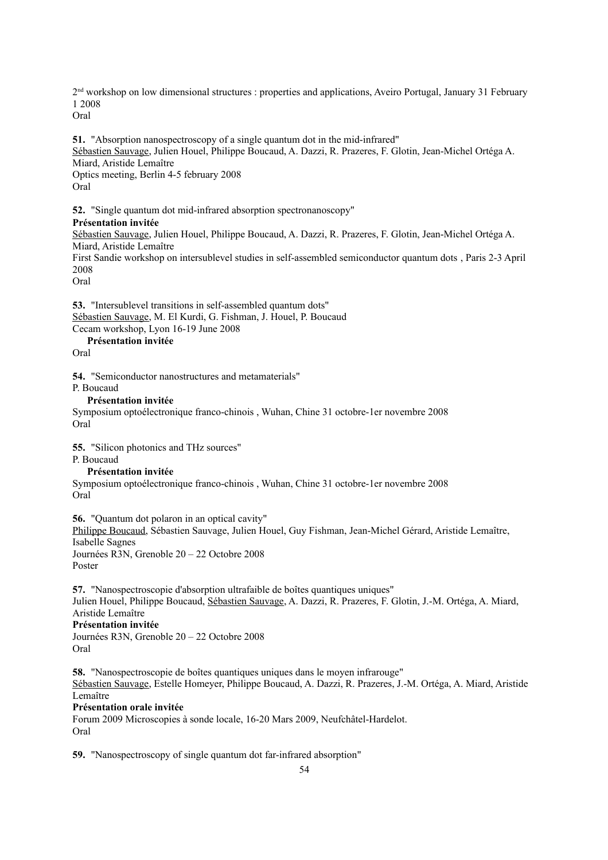2<sup>nd</sup> workshop on low dimensional structures : properties and applications, Aveiro Portugal, January 31 February 1 2008

Oral

**51.** "Absorption nanospectroscopy of a single quantum dot in the mid-infrared" Sébastien Sauvage, Julien Houel, Philippe Boucaud, A. Dazzi, R. Prazeres, F. Glotin, Jean-Michel Ortéga A. Miard, Aristide Lemaître Optics meeting, Berlin 4-5 february 2008 Oral

**52.** "Single quantum dot mid-infrared absorption spectronanoscopy" **Présentation invitée** Sébastien Sauvage, Julien Houel, Philippe Boucaud, A. Dazzi, R. Prazeres, F. Glotin, Jean-Michel Ortéga A. Miard, Aristide Lemaître First Sandie workshop on intersublevel studies in self-assembled semiconductor quantum dots , Paris 2-3 April 2008 Oral

**53.** "Intersublevel transitions in self-assembled quantum dots" Sébastien Sauvage, M. El Kurdi, G. Fishman, J. Houel, P. Boucaud Cecam workshop, Lyon 16-19 June 2008

**Présentation invitée**

Oral

**54.** "Semiconductor nanostructures and metamaterials"

P. Boucaud

#### **Présentation invitée**

Symposium optoélectronique franco-chinois , Wuhan, Chine 31 octobre-1er novembre 2008 Oral

**55.** "Silicon photonics and THz sources"

P. Boucaud

#### **Présentation invitée**

Symposium optoélectronique franco-chinois , Wuhan, Chine 31 octobre-1er novembre 2008 Oral

**56.** "Quantum dot polaron in an optical cavity" Philippe Boucaud, Sébastien Sauvage, Julien Houel, Guy Fishman, Jean-Michel Gérard, Aristide Lemaître, Isabelle Sagnes Journées R3N, Grenoble 20 – 22 Octobre 2008

Poster

**57.** "Nanospectroscopie d'absorption ultrafaible de boîtes quantiques uniques" Julien Houel, Philippe Boucaud, Sébastien Sauvage, A. Dazzi, R. Prazeres, F. Glotin, J.-M. Ortéga, A. Miard, Aristide Lemaître

#### **Présentation invitée**

Journées R3N, Grenoble 20 – 22 Octobre 2008 Oral

**58.** "Nanospectroscopie de boîtes quantiques uniques dans le moyen infrarouge" Sébastien Sauvage, Estelle Homeyer, Philippe Boucaud, A. Dazzi, R. Prazeres, J.-M. Ortéga, A. Miard, Aristide Lemaître

#### **Présentation orale invitée**

Forum 2009 Microscopies à sonde locale, 16-20 Mars 2009, Neufchâtel-Hardelot. Oral

**59.** "Nanospectroscopy of single quantum dot far-infrared absorption"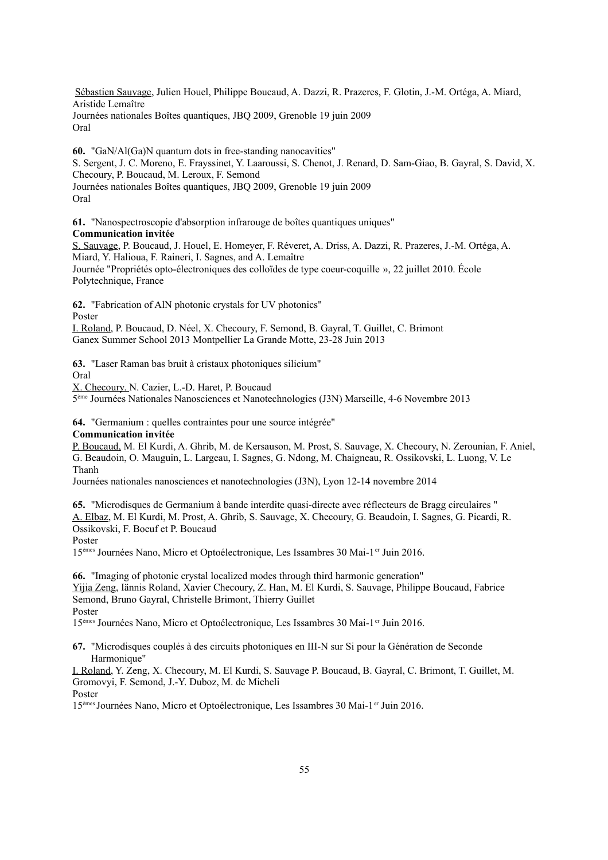Sébastien Sauvage, Julien Houel, Philippe Boucaud, A. Dazzi, R. Prazeres, F. Glotin, J.-M. Ortéga, A. Miard, Aristide Lemaître Journées nationales Boîtes quantiques, JBQ 2009, Grenoble 19 juin 2009 Oral

**60.** "GaN/Al(Ga)N quantum dots in free-standing nanocavities" S. Sergent, J. C. Moreno, E. Frayssinet, Y. Laaroussi, S. Chenot, J. Renard, D. Sam-Giao, B. Gayral, S. David, X. Checoury, P. Boucaud, M. Leroux, F. Semond Journées nationales Boîtes quantiques, JBQ 2009, Grenoble 19 juin 2009 Oral

**61.** "Nanospectroscopie d'absorption infrarouge de boîtes quantiques uniques" **Communication invitée**

S. Sauvage, P. Boucaud, J. Houel, E. Homeyer, F. Réveret, A. Driss, A. Dazzi, R. Prazeres, J.-M. Ortéga, A. Miard, Y. Halioua, F. Raineri, I. Sagnes, and A. Lemaître Journée "Propriétés opto-électroniques des colloïdes de type coeur-coquille », 22 juillet 2010. École Polytechnique, France

**62.** "Fabrication of AlN photonic crystals for UV photonics"

Poster

I. Roland, P. Boucaud, D. Néel, X. Checoury, F. Semond, B. Gayral, T. Guillet, C. Brimont Ganex Summer School 2013 Montpellier La Grande Motte, 23-28 Juin 2013

**63.** "Laser Raman bas bruit à cristaux photoniques silicium"

Oral

X. Checoury. N. Cazier, L.-D. Haret, P. Boucaud

5 ème Journées Nationales Nanosciences et Nanotechnologies (J3N) Marseille, 4-6 Novembre 2013

**64.** "Germanium : quelles contraintes pour une source intégrée"

#### **Communication invitée**

P. Boucaud, M. El Kurdi, A. Ghrib, M. de Kersauson, M. Prost, S. Sauvage, X. Checoury, N. Zerounian, F. Aniel, G. Beaudoin, O. Mauguin, L. Largeau, I. Sagnes, G. Ndong, M. Chaigneau, R. Ossikovski, L. Luong, V. Le Thanh

Journées nationales nanosciences et nanotechnologies (J3N), Lyon 12-14 novembre 2014

**65.** "Microdisques de Germanium à bande interdite quasi-directe avec réflecteurs de Bragg circulaires " A. Elbaz, M. El Kurdi, M. Prost, A. Ghrib, S. Sauvage, X. Checoury, G. Beaudoin, I. Sagnes, G. Picardi, R. Ossikovski, F. Boeuf et P. Boucaud

Poster

15<sup>èmes</sup> Journées Nano, Micro et Optoélectronique, Les Issambres 30 Mai-1<sup>er</sup> Juin 2016.

**66.** "Imaging of photonic crystal localized modes through third harmonic generation" Yijia Zeng, Iännis Roland, Xavier Checoury, Z. Han, M. El Kurdi, S. Sauvage, Philippe Boucaud, Fabrice Semond, Bruno Gayral, Christelle Brimont, Thierry Guillet Poster

15èmes Journées Nano, Micro et Optoélectronique, Les Issambres 30 Mai-1er Juin 2016.

**67.** "Microdisques couplés à des circuits photoniques en III-N sur Si pour la Génération de Seconde Harmonique"

I. Roland, Y. Zeng, X. Checoury, M. El Kurdi, S. Sauvage P. Boucaud, B. Gayral, C. Brimont, T. Guillet, M. Gromovyi, F. Semond, J.-Y. Duboz, M. de Micheli

Poster

15èmes Journées Nano, Micro et Optoélectronique, Les Issambres 30 Mai-1er Juin 2016.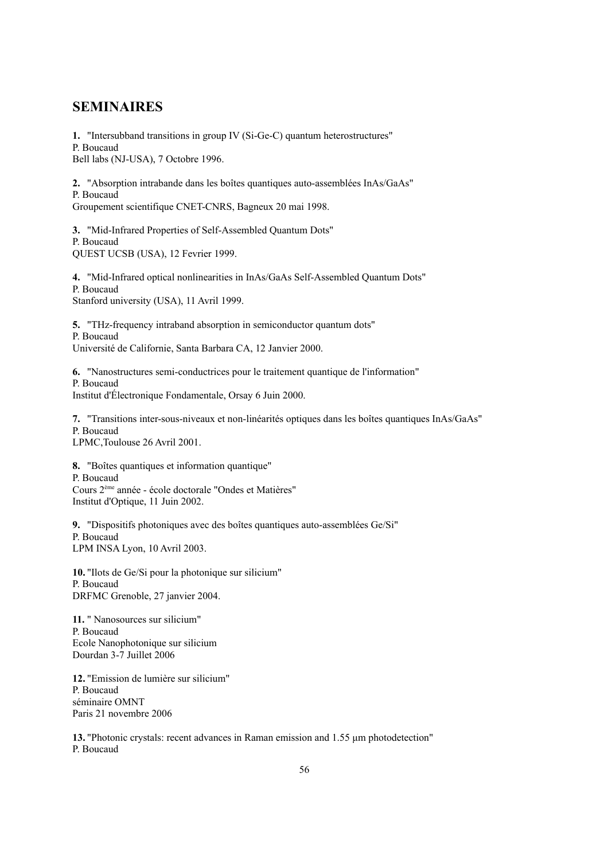### **SEMINAIRES**

**1.** "Intersubband transitions in group IV (Si-Ge-C) quantum heterostructures" P. Boucaud Bell labs (NJ-USA), 7 Octobre 1996.

**2.** "Absorption intrabande dans les boîtes quantiques auto-assemblées InAs/GaAs" P. Boucaud Groupement scientifique CNET-CNRS, Bagneux 20 mai 1998.

**3.** "Mid-Infrared Properties of Self-Assembled Quantum Dots" P. Boucaud QUEST UCSB (USA), 12 Fevrier 1999.

**4.** "Mid-Infrared optical nonlinearities in InAs/GaAs Self-Assembled Quantum Dots" P. Boucaud Stanford university (USA), 11 Avril 1999.

**5.** "THz-frequency intraband absorption in semiconductor quantum dots" P. Boucaud Université de Californie, Santa Barbara CA, 12 Janvier 2000.

**6.** "Nanostructures semi-conductrices pour le traitement quantique de l'information" P. Boucaud Institut d'Électronique Fondamentale, Orsay 6 Juin 2000.

**7.** "Transitions inter-sous-niveaux et non-linéarités optiques dans les boîtes quantiques InAs/GaAs" P. Boucaud LPMC,Toulouse 26 Avril 2001.

**8.** "Boîtes quantiques et information quantique" P. Boucaud Cours 2ème année - école doctorale "Ondes et Matières" Institut d'Optique, 11 Juin 2002.

**9.** "Dispositifs photoniques avec des boîtes quantiques auto-assemblées Ge/Si" P. Boucaud LPM INSA Lyon, 10 Avril 2003.

**10.** "Ilots de Ge/Si pour la photonique sur silicium" P. Boucaud DRFMC Grenoble, 27 janvier 2004.

**11.** " Nanosources sur silicium" P. Boucaud Ecole Nanophotonique sur silicium Dourdan 3-7 Juillet 2006

**12.** "Emission de lumière sur silicium" P. Boucaud séminaire OMNT Paris 21 novembre 2006

**13.** "Photonic crystals: recent advances in Raman emission and 1.55 μm photodetection" P. Boucaud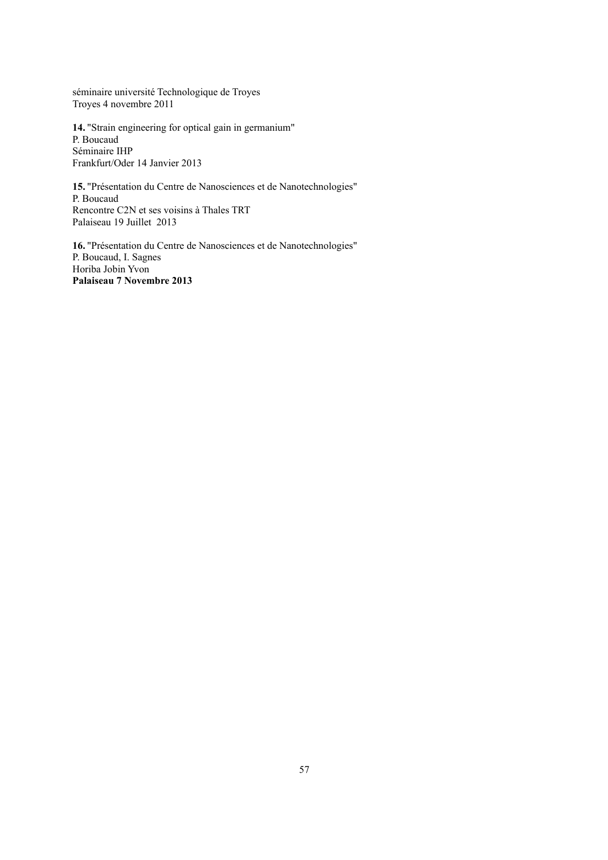séminaire université Technologique de Troyes Troyes 4 novembre 2011

**14.** "Strain engineering for optical gain in germanium" P. Boucaud Séminaire IHP Frankfurt/Oder 14 Janvier 2013

**15.** "Présentation du Centre de Nanosciences et de Nanotechnologies" P. Boucaud Rencontre C2N et ses voisins à Thales TRT Palaiseau 19 Juillet 2013

**16.** "Présentation du Centre de Nanosciences et de Nanotechnologies" P. Boucaud, I. Sagnes Horiba Jobin Yvon **Palaiseau 7 Novembre 2013**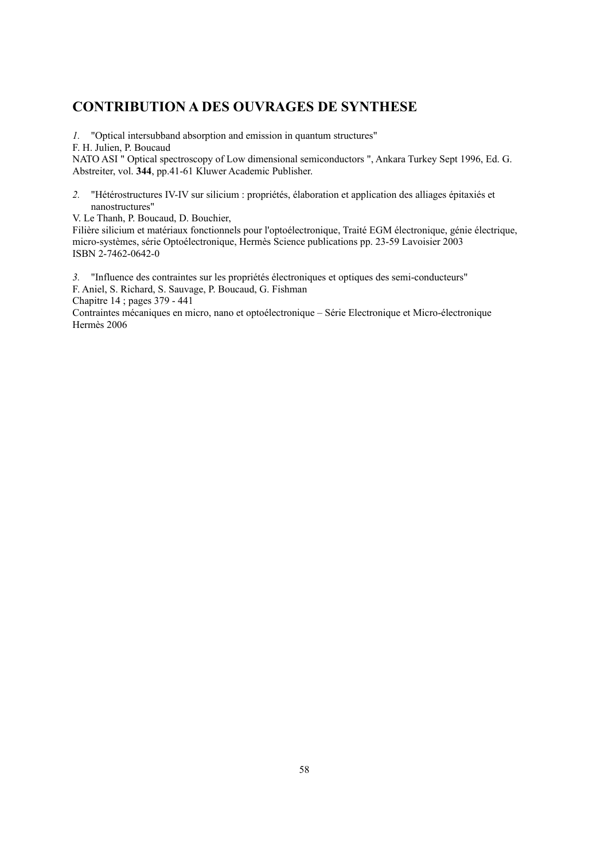### **CONTRIBUTION A DES OUVRAGES DE SYNTHESE**

*1.* "Optical intersubband absorption and emission in quantum structures"

F. H. Julien, P. Boucaud

NATO ASI " Optical spectroscopy of Low dimensional semiconductors ", Ankara Turkey Sept 1996, Ed. G. Abstreiter, vol. **344**, pp.41-61 Kluwer Academic Publisher.

*2.* "Hétérostructures IV-IV sur silicium : propriétés, élaboration et application des alliages épitaxiés et nanostructures"

V. Le Thanh, P. Boucaud, D. Bouchier,

Filière silicium et matériaux fonctionnels pour l'optoélectronique, Traité EGM électronique, génie électrique, micro-systèmes, série Optoélectronique, Hermès Science publications pp. 23-59 Lavoisier 2003 ISBN 2-7462-0642-0

*3.* "Influence des contraintes sur les propriétés électroniques et optiques des semi-conducteurs" F. Aniel, S. Richard, S. Sauvage, P. Boucaud, G. Fishman

Chapitre 14 ; pages 379 - 441

Contraintes mécaniques en micro, nano et optoélectronique – Série Electronique et Micro-électronique Hermès 2006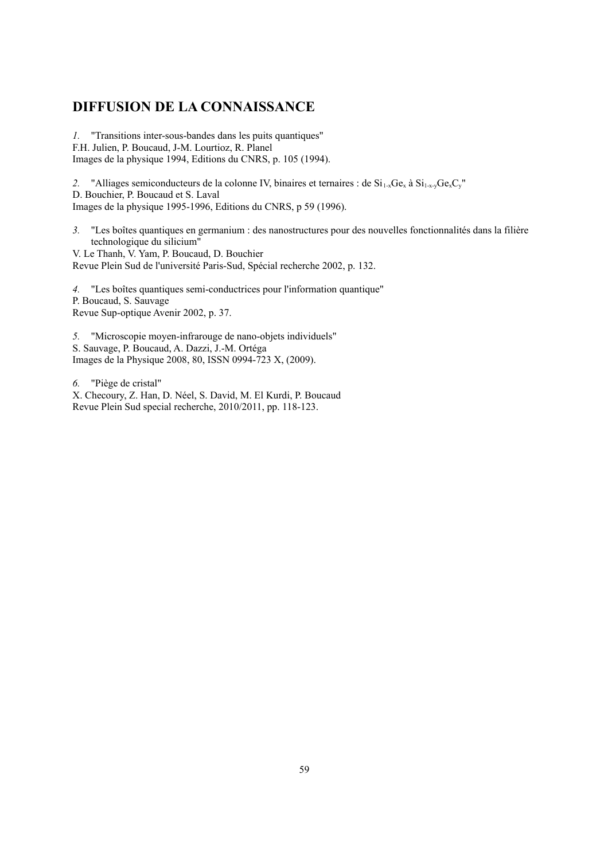### **DIFFUSION DE LA CONNAISSANCE**

*1.* "Transitions inter-sous-bandes dans les puits quantiques" F.H. Julien, P. Boucaud, J-M. Lourtioz, R. Planel Images de la physique 1994, Editions du CNRS, p. 105 (1994).

2. "Alliages semiconducteurs de la colonne IV, binaires et ternaires : de  $Si_{1x}Ge_{x}$  à  $Si_{1x}Ge_{x}C_{y}$ " D. Bouchier, P. Boucaud et S. Laval Images de la physique 1995-1996, Editions du CNRS, p 59 (1996).

*3.* "Les boîtes quantiques en germanium : des nanostructures pour des nouvelles fonctionnalités dans la filière technologique du silicium"

V. Le Thanh, V. Yam, P. Boucaud, D. Bouchier Revue Plein Sud de l'université Paris-Sud, Spécial recherche 2002, p. 132.

*4.* "Les boîtes quantiques semi-conductrices pour l'information quantique" P. Boucaud, S. Sauvage Revue Sup-optique Avenir 2002, p. 37.

*5.* "Microscopie moyen-infrarouge de nano-objets individuels" S. Sauvage, P. Boucaud, A. Dazzi, J.-M. Ortéga Images de la Physique 2008, 80, ISSN 0994-723 X, (2009).

*6.* "Piège de cristal"

X. Checoury, Z. Han, D. Néel, S. David, M. El Kurdi, P. Boucaud Revue Plein Sud special recherche, 2010/2011, pp. 118-123.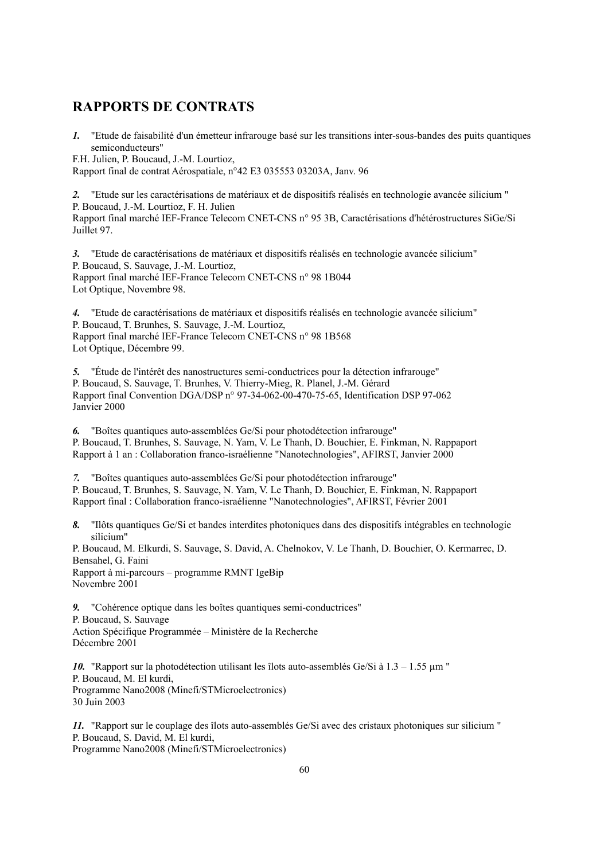### **RAPPORTS DE CONTRATS**

*1.* "Etude de faisabilité d'un émetteur infrarouge basé sur les transitions inter-sous-bandes des puits quantiques semiconducteurs"

F.H. Julien, P. Boucaud, J.-M. Lourtioz,

Rapport final de contrat Aérospatiale, n°42 E3 035553 03203A, Janv. 96

*2.* "Etude sur les caractérisations de matériaux et de dispositifs réalisés en technologie avancée silicium " P. Boucaud, J.-M. Lourtioz, F. H. Julien Rapport final marché IEF-France Telecom CNET-CNS n° 95 3B, Caractérisations d'hétérostructures SiGe/Si

Juillet 97.

*3.* "Etude de caractérisations de matériaux et dispositifs réalisés en technologie avancée silicium" P. Boucaud, S. Sauvage, J.-M. Lourtioz, Rapport final marché IEF-France Telecom CNET-CNS n° 98 1B044 Lot Optique, Novembre 98.

*4.* "Etude de caractérisations de matériaux et dispositifs réalisés en technologie avancée silicium" P. Boucaud, T. Brunhes, S. Sauvage, J.-M. Lourtioz, Rapport final marché IEF-France Telecom CNET-CNS n° 98 1B568 Lot Optique, Décembre 99.

*5.* "Étude de l'intérêt des nanostructures semi-conductrices pour la détection infrarouge" P. Boucaud, S. Sauvage, T. Brunhes, V. Thierry-Mieg, R. Planel, J.-M. Gérard Rapport final Convention DGA/DSP n° 97-34-062-00-470-75-65, Identification DSP 97-062 Janvier 2000

*6.* "Boîtes quantiques auto-assemblées Ge/Si pour photodétection infrarouge" P. Boucaud, T. Brunhes, S. Sauvage, N. Yam, V. Le Thanh, D. Bouchier, E. Finkman, N. Rappaport Rapport à 1 an : Collaboration franco-israélienne "Nanotechnologies", AFIRST, Janvier 2000

*7.* "Boîtes quantiques auto-assemblées Ge/Si pour photodétection infrarouge" P. Boucaud, T. Brunhes, S. Sauvage, N. Yam, V. Le Thanh, D. Bouchier, E. Finkman, N. Rappaport Rapport final : Collaboration franco-israélienne "Nanotechnologies", AFIRST, Février 2001

*8.* "Ilôts quantiques Ge/Si et bandes interdites photoniques dans des dispositifs intégrables en technologie silicium"

P. Boucaud, M. Elkurdi, S. Sauvage, S. David, A. Chelnokov, V. Le Thanh, D. Bouchier, O. Kermarrec, D. Bensahel, G. Faini Rapport à mi-parcours – programme RMNT IgeBip

Novembre 2001

*9.* "Cohérence optique dans les boîtes quantiques semi-conductrices" P. Boucaud, S. Sauvage Action Spécifique Programmée – Ministère de la Recherche Décembre 2001

10. "Rapport sur la photodétection utilisant les îlots auto-assemblés Ge/Si à  $1.3 - 1.55$   $\mu$ m " P. Boucaud, M. El kurdi, Programme Nano2008 (Minefi/STMicroelectronics) 30 Juin 2003

*11.* "Rapport sur le couplage des îlots auto-assemblés Ge/Si avec des cristaux photoniques sur silicium " P. Boucaud, S. David, M. El kurdi, Programme Nano2008 (Minefi/STMicroelectronics)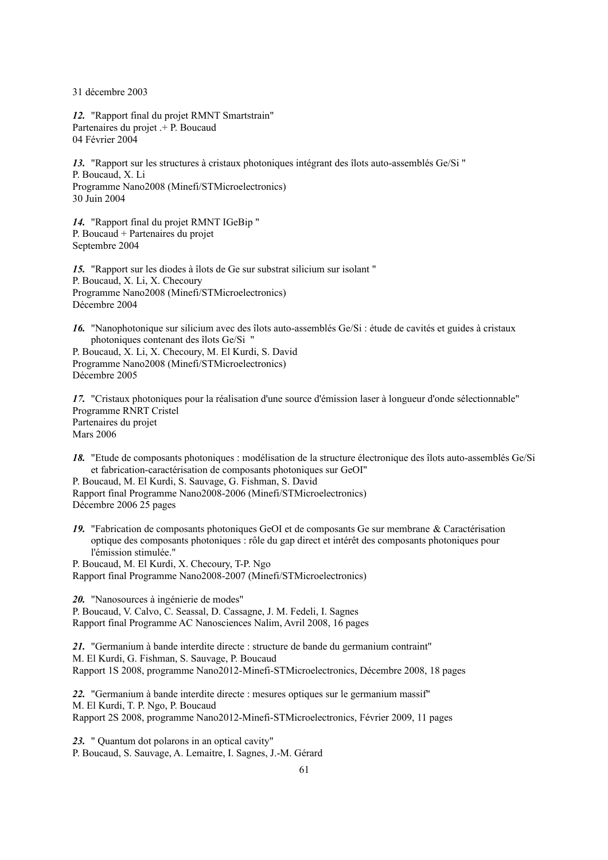31 décembre 2003

*12.* "Rapport final du projet RMNT Smartstrain" Partenaires du projet .+ P. Boucaud 04 Février 2004

*13.* "Rapport sur les structures à cristaux photoniques intégrant des îlots auto-assemblés Ge/Si " P. Boucaud, X. Li Programme Nano2008 (Minefi/STMicroelectronics) 30 Juin 2004

*14.* "Rapport final du projet RMNT IGeBip " P. Boucaud + Partenaires du projet Septembre 2004

*15.* "Rapport sur les diodes à îlots de Ge sur substrat silicium sur isolant " P. Boucaud, X. Li, X. Checoury Programme Nano2008 (Minefi/STMicroelectronics) Décembre 2004

*16.* "Nanophotonique sur silicium avec des îlots auto-assemblés Ge/Si : étude de cavités et guides à cristaux photoniques contenant des îlots Ge/Si "

P. Boucaud, X. Li, X. Checoury, M. El Kurdi, S. David Programme Nano2008 (Minefi/STMicroelectronics) Décembre 2005

*17.* "Cristaux photoniques pour la réalisation d'une source d'émission laser à longueur d'onde sélectionnable" Programme RNRT Cristel Partenaires du projet Mars 2006

*18.* "Etude de composants photoniques : modélisation de la structure électronique des îlots auto-assemblés Ge/Si et fabrication-caractérisation de composants photoniques sur GeOI"

P. Boucaud, M. El Kurdi, S. Sauvage, G. Fishman, S. David Rapport final Programme Nano2008-2006 (Minefi/STMicroelectronics) Décembre 2006 25 pages

*19.* "Fabrication de composants photoniques GeOI et de composants Ge sur membrane & Caractérisation optique des composants photoniques : rôle du gap direct et intérêt des composants photoniques pour l'émission stimulée."

P. Boucaud, M. El Kurdi, X. Checoury, T-P. Ngo Rapport final Programme Nano2008-2007 (Minefi/STMicroelectronics)

*20.* "Nanosources à ingénierie de modes" P. Boucaud, V. Calvo, C. Seassal, D. Cassagne, J. M. Fedeli, I. Sagnes Rapport final Programme AC Nanosciences Nalim, Avril 2008, 16 pages

*21.* "Germanium à bande interdite directe : structure de bande du germanium contraint" M. El Kurdi, G. Fishman, S. Sauvage, P. Boucaud Rapport 1S 2008, programme Nano2012-Minefi-STMicroelectronics, Décembre 2008, 18 pages

*22.* "Germanium à bande interdite directe : mesures optiques sur le germanium massif" M. El Kurdi, T. P. Ngo, P. Boucaud Rapport 2S 2008, programme Nano2012-Minefi-STMicroelectronics, Février 2009, 11 pages

*23.* " Quantum dot polarons in an optical cavity" P. Boucaud, S. Sauvage, A. Lemaitre, I. Sagnes, J.-M. Gérard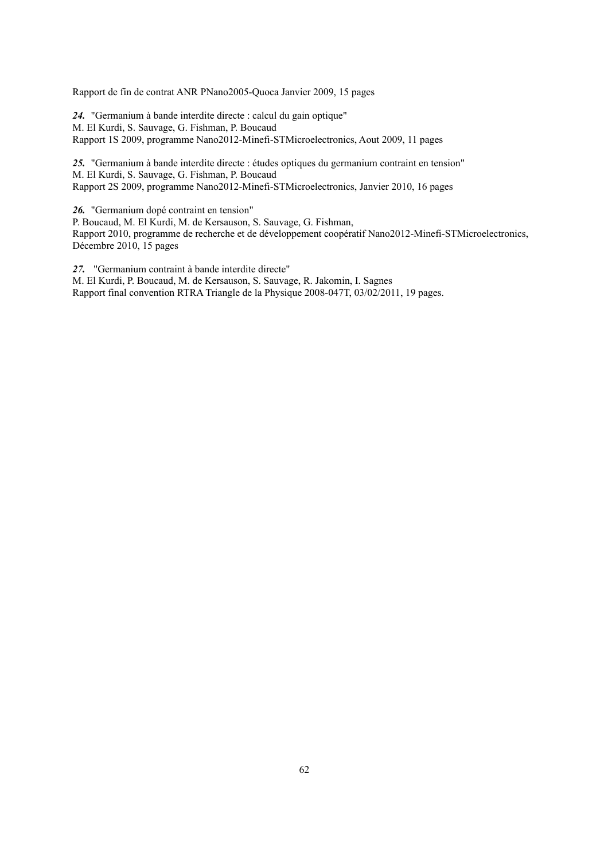Rapport de fin de contrat ANR PNano2005-Quoca Janvier 2009, 15 pages

*24.* "Germanium à bande interdite directe : calcul du gain optique" M. El Kurdi, S. Sauvage, G. Fishman, P. Boucaud Rapport 1S 2009, programme Nano2012-Minefi-STMicroelectronics, Aout 2009, 11 pages

*25.* "Germanium à bande interdite directe : études optiques du germanium contraint en tension" M. El Kurdi, S. Sauvage, G. Fishman, P. Boucaud Rapport 2S 2009, programme Nano2012-Minefi-STMicroelectronics, Janvier 2010, 16 pages

*26.* "Germanium dopé contraint en tension"

P. Boucaud, M. El Kurdi, M. de Kersauson, S. Sauvage, G. Fishman, Rapport 2010, programme de recherche et de développement coopératif Nano2012-Minefi-STMicroelectronics, Décembre 2010, 15 pages

*27.* "Germanium contraint à bande interdite directe" M. El Kurdi, P. Boucaud, M. de Kersauson, S. Sauvage, R. Jakomin, I. Sagnes Rapport final convention RTRA Triangle de la Physique 2008-047T, 03/02/2011, 19 pages.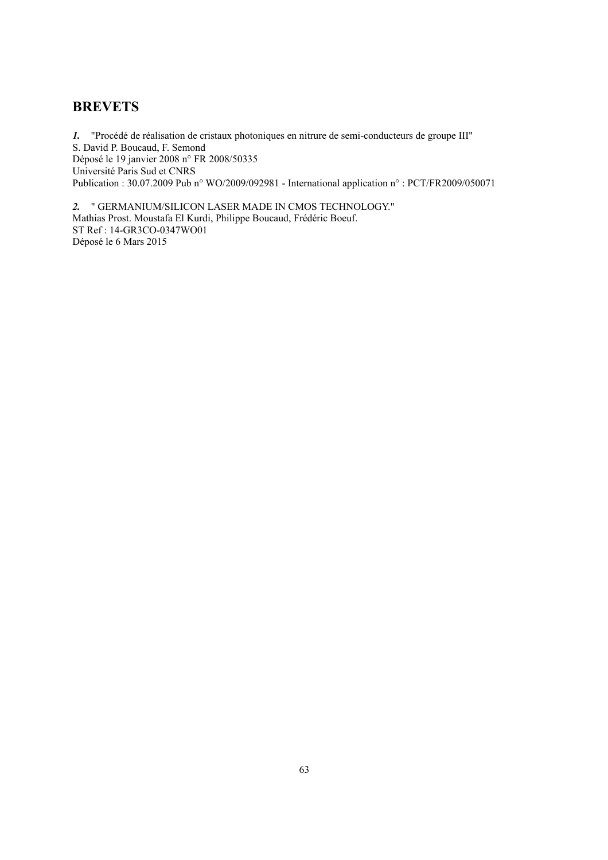### **BREVETS**

*1.* "Procédé de réalisation de cristaux photoniques en nitrure de semi-conducteurs de groupe III" S. David P. Boucaud, F. Semond Déposé le 19 janvier 2008 n° FR 2008/50335 Université Paris Sud et CNRS Publication : 30.07.2009 Pub n° WO/2009/092981 - International application n° : PCT/FR2009/050071

*2.* " GERMANIUM/SILICON LASER MADE IN CMOS TECHNOLOGY." Mathias Prost. Moustafa El Kurdi, Philippe Boucaud, Frédéric Boeuf. ST Ref : 14-GR3CO-0347WO01 Déposé le 6 Mars 2015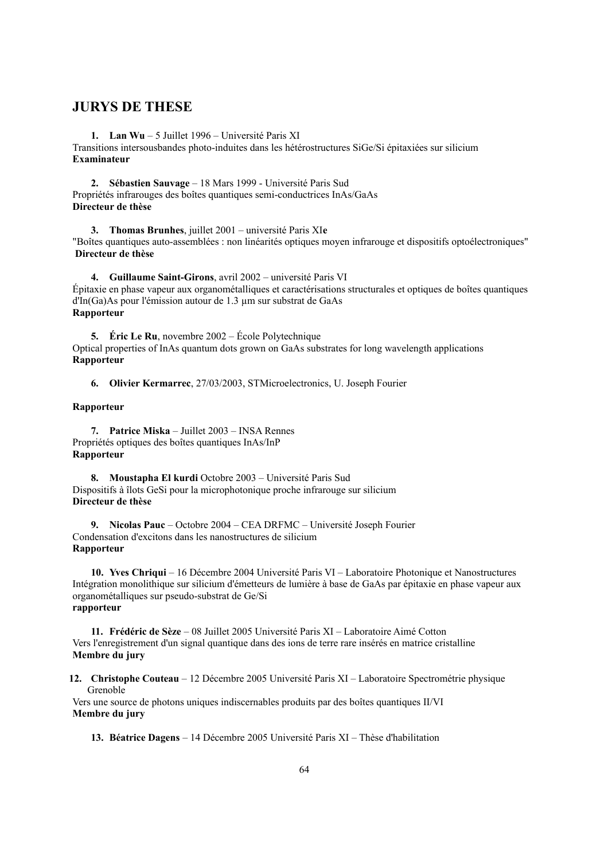### **JURYS DE THESE**

**1. Lan Wu** – 5 Juillet 1996 – Université Paris XI Transitions intersousbandes photo-induites dans les hétérostructures SiGe/Si épitaxiées sur silicium **Examinateur**

**2. Sébastien Sauvage** – 18 Mars 1999 - Université Paris Sud Propriétés infrarouges des boîtes quantiques semi-conductrices InAs/GaAs **Directeur de thèse**

**3. Thomas Brunhes**, juillet 2001 – université Paris XI**e** "Boîtes quantiques auto-assemblées : non linéarités optiques moyen infrarouge et dispositifs optoélectroniques"  **Directeur de thèse**

**4. Guillaume Saint-Girons**, avril 2002 – université Paris VI Épitaxie en phase vapeur aux organométalliques et caractérisations structurales et optiques de boîtes quantiques d'In(Ga)As pour l'émission autour de 1.3 µm sur substrat de GaAs **Rapporteur**

**5. Éric Le Ru**, novembre 2002 – École Polytechnique Optical properties of InAs quantum dots grown on GaAs substrates for long wavelength applications **Rapporteur**

**6. Olivier Kermarrec**, 27/03/2003, STMicroelectronics, U. Joseph Fourier

#### **Rapporteur**

**7. Patrice Miska** – Juillet 2003 – INSA Rennes Propriétés optiques des boîtes quantiques InAs/InP **Rapporteur**

**8. Moustapha El kurdi** Octobre 2003 – Université Paris Sud Dispositifs à îlots GeSi pour la microphotonique proche infrarouge sur silicium **Directeur de thèse**

**9. Nicolas Pauc** – Octobre 2004 – CEA DRFMC – Université Joseph Fourier Condensation d'excitons dans les nanostructures de silicium **Rapporteur**

**10. Yves Chriqui** – 16 Décembre 2004 Université Paris VI – Laboratoire Photonique et Nanostructures Intégration monolithique sur silicium d'émetteurs de lumière à base de GaAs par épitaxie en phase vapeur aux organométalliques sur pseudo-substrat de Ge/Si **rapporteur**

**11. Frédéric de Sèze** – 08 Juillet 2005 Université Paris XI – Laboratoire Aimé Cotton Vers l'enregistrement d'un signal quantique dans des ions de terre rare insérés en matrice cristalline **Membre du jury**

**12. Christophe Couteau** – 12 Décembre 2005 Université Paris XI – Laboratoire Spectrométrie physique Grenoble

Vers une source de photons uniques indiscernables produits par des boîtes quantiques II/VI **Membre du jury**

**13. Béatrice Dagens** – 14 Décembre 2005 Université Paris XI – Thèse d'habilitation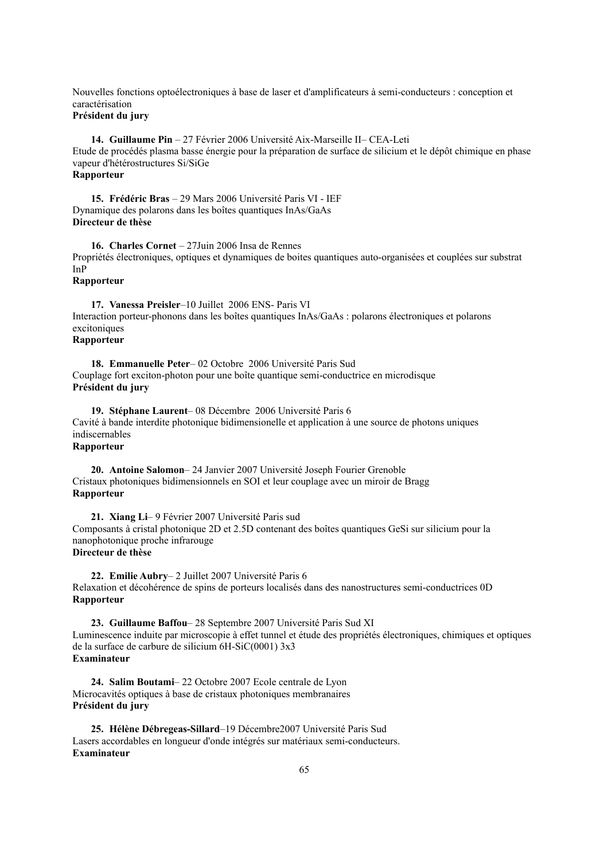Nouvelles fonctions optoélectroniques à base de laser et d'amplificateurs à semi-conducteurs : conception et caractérisation

### **Président du jury**

**14. Guillaume Pin** – 27 Février 2006 Université Aix-Marseille II– CEA-Leti Etude de procédés plasma basse énergie pour la préparation de surface de silicium et le dépôt chimique en phase vapeur d'hétérostructures Si/SiGe **Rapporteur**

**15. Frédéric Bras** – 29 Mars 2006 Université Paris VI - IEF Dynamique des polarons dans les boîtes quantiques InAs/GaAs **Directeur de thèse**

**16. Charles Cornet** – 27Juin 2006 Insa de Rennes Propriétés électroniques, optiques et dynamiques de boites quantiques auto-organisées et couplées sur substrat InP

#### **Rapporteur**

**17. Vanessa Preisler**–10 Juillet 2006 ENS- Paris VI Interaction porteur-phonons dans les boîtes quantiques InAs/GaAs : polarons électroniques et polarons excitoniques **Rapporteur**

**18. Emmanuelle Peter**– 02 Octobre 2006 Université Paris Sud Couplage fort exciton-photon pour une boîte quantique semi-conductrice en microdisque **Président du jury**

**19. Stéphane Laurent**– 08 Décembre 2006 Université Paris 6 Cavité à bande interdite photonique bidimensionelle et application à une source de photons uniques indiscernables **Rapporteur**

**20. Antoine Salomon**– 24 Janvier 2007 Université Joseph Fourier Grenoble Cristaux photoniques bidimensionnels en SOI et leur couplage avec un miroir de Bragg **Rapporteur**

**21. Xiang Li**– 9 Février 2007 Université Paris sud Composants à cristal photonique 2D et 2.5D contenant des boîtes quantiques GeSi sur silicium pour la nanophotonique proche infrarouge **Directeur de thèse**

**22. Emilie Aubry**– 2 Juillet 2007 Université Paris 6 Relaxation et décohérence de spins de porteurs localisés dans des nanostructures semi-conductrices 0D **Rapporteur**

**23. Guillaume Baffou**– 28 Septembre 2007 Université Paris Sud XI Luminescence induite par microscopie à effet tunnel et étude des propriétés électroniques, chimiques et optiques de la surface de carbure de silicium 6H-SiC(0001) 3x3 **Examinateur**

**24. Salim Boutami**– 22 Octobre 2007 Ecole centrale de Lyon Microcavités optiques à base de cristaux photoniques membranaires **Président du jury**

**25. Hélène Débregeas-Sillard**–19 Décembre2007 Université Paris Sud Lasers accordables en longueur d'onde intégrés sur matériaux semi-conducteurs. **Examinateur**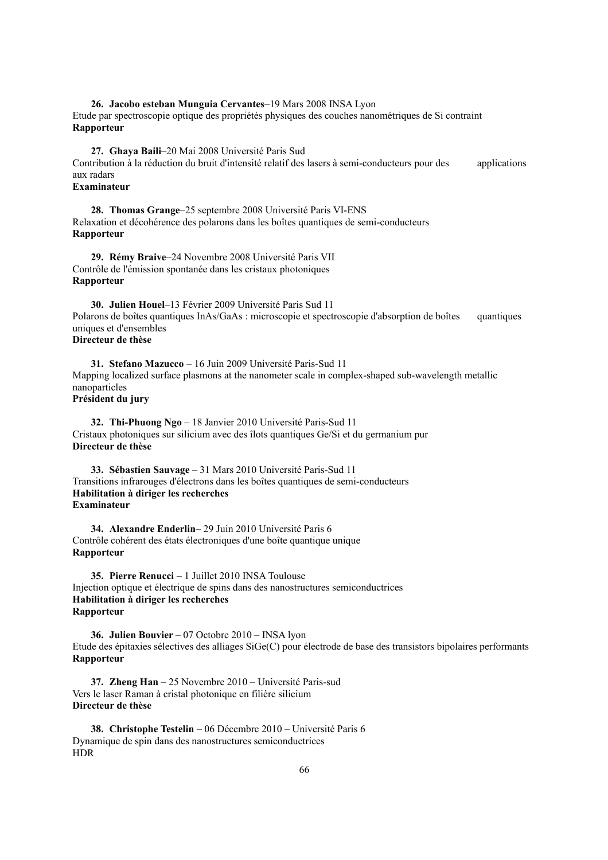**26. Jacobo esteban Munguia Cervantes**–19 Mars 2008 INSA Lyon Etude par spectroscopie optique des propriétés physiques des couches nanométriques de Si contraint **Rapporteur**

**27. Ghaya Baili**–20 Mai 2008 Université Paris Sud Contribution à la réduction du bruit d'intensité relatif des lasers à semi-conducteurs pour des applications aux radars

#### **Examinateur**

**28. Thomas Grange**–25 septembre 2008 Université Paris VI-ENS Relaxation et décohérence des polarons dans les boîtes quantiques de semi-conducteurs **Rapporteur**

**29. Rémy Braive**–24 Novembre 2008 Université Paris VII Contrôle de l'émission spontanée dans les cristaux photoniques **Rapporteur**

**30. Julien Houel**–13 Février 2009 Université Paris Sud 11 Polarons de boîtes quantiques InAs/GaAs : microscopie et spectroscopie d'absorption de boîtes quantiques uniques et d'ensembles **Directeur de thèse**

**31. Stefano Mazucco** – 16 Juin 2009 Université Paris-Sud 11 Mapping localized surface plasmons at the nanometer scale in complex-shaped sub-wavelength metallic nanoparticles **Président du jury**

**32. Thi-Phuong Ngo** – 18 Janvier 2010 Université Paris-Sud 11 Cristaux photoniques sur silicium avec des îlots quantiques Ge/Si et du germanium pur **Directeur de thèse**

**33. Sébastien Sauvage** – 31 Mars 2010 Université Paris-Sud 11 Transitions infrarouges d'électrons dans les boîtes quantiques de semi-conducteurs **Habilitation à diriger les recherches Examinateur**

**34. Alexandre Enderlin**– 29 Juin 2010 Université Paris 6 Contrôle cohérent des états électroniques d'une boîte quantique unique **Rapporteur**

**35. Pierre Renucci** – 1 Juillet 2010 INSA Toulouse Injection optique et électrique de spins dans des nanostructures semiconductrices **Habilitation à diriger les recherches Rapporteur**

**36. Julien Bouvier** – 07 Octobre 2010 – INSA lyon Etude des épitaxies sélectives des alliages SiGe(C) pour électrode de base des transistors bipolaires performants **Rapporteur**

**37. Zheng Han** – 25 Novembre 2010 – Université Paris-sud Vers le laser Raman à cristal photonique en filière silicium **Directeur de thèse**

**38. Christophe Testelin** – 06 Décembre 2010 – Université Paris 6 Dynamique de spin dans des nanostructures semiconductrices HDR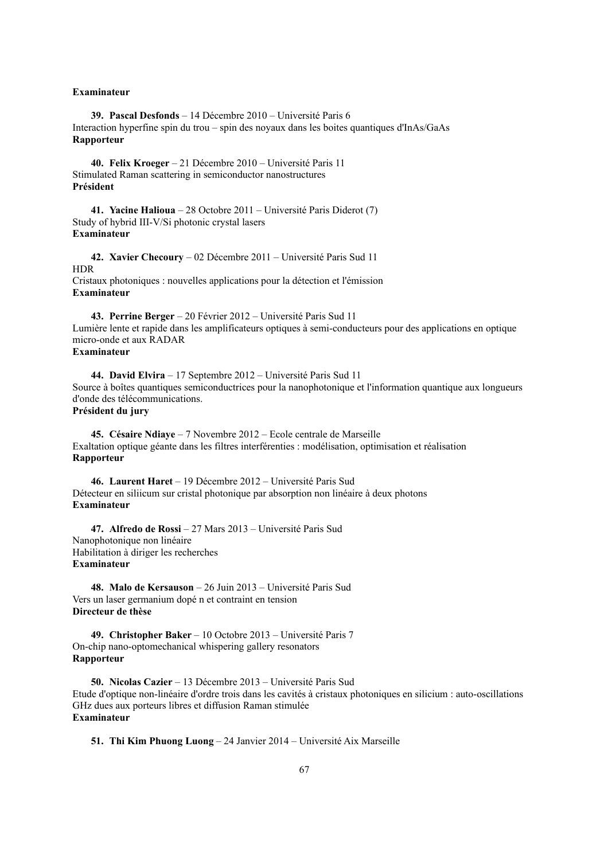#### **Examinateur**

**39. Pascal Desfonds** – 14 Décembre 2010 – Université Paris 6 Interaction hyperfine spin du trou – spin des noyaux dans les boites quantiques d'InAs/GaAs **Rapporteur**

**40. Felix Kroeger** – 21 Décembre 2010 – Université Paris 11 Stimulated Raman scattering in semiconductor nanostructures **Président**

**41. Yacine Halioua** – 28 Octobre 2011 – Université Paris Diderot (7) Study of hybrid III-V/Si photonic crystal lasers **Examinateur**

**42. Xavier Checoury** – 02 Décembre 2011 – Université Paris Sud 11 **HDR** Cristaux photoniques : nouvelles applications pour la détection et l'émission **Examinateur**

**43. Perrine Berger** – 20 Février 2012 – Université Paris Sud 11 Lumière lente et rapide dans les amplificateurs optiques à semi-conducteurs pour des applications en optique micro-onde et aux RADAR **Examinateur**

**44. David Elvira** – 17 Septembre 2012 – Université Paris Sud 11 Source à boîtes quantiques semiconductrices pour la nanophotonique et l'information quantique aux longueurs d'onde des télécommunications.

#### **Président du jury**

**45. Césaire Ndiaye** – 7 Novembre 2012 – Ecole centrale de Marseille Exaltation optique géante dans les filtres interférenties : modélisation, optimisation et réalisation **Rapporteur**

**46. Laurent Haret** – 19 Décembre 2012 – Université Paris Sud Détecteur en siliicum sur cristal photonique par absorption non linéaire à deux photons **Examinateur**

**47. Alfredo de Rossi** – 27 Mars 2013 – Université Paris Sud Nanophotonique non linéaire Habilitation à diriger les recherches **Examinateur**

**48. Malo de Kersauson** – 26 Juin 2013 – Université Paris Sud Vers un laser germanium dopé n et contraint en tension **Directeur de thèse**

**49. Christopher Baker** – 10 Octobre 2013 – Université Paris 7 On-chip nano-optomechanical whispering gallery resonators **Rapporteur**

**50. Nicolas Cazier** – 13 Décembre 2013 – Université Paris Sud Etude d'optique non-linéaire d'ordre trois dans les cavités à cristaux photoniques en silicium : auto-oscillations GHz dues aux porteurs libres et diffusion Raman stimulée **Examinateur**

**51. Thi Kim Phuong Luong** – 24 Janvier 2014 – Université Aix Marseille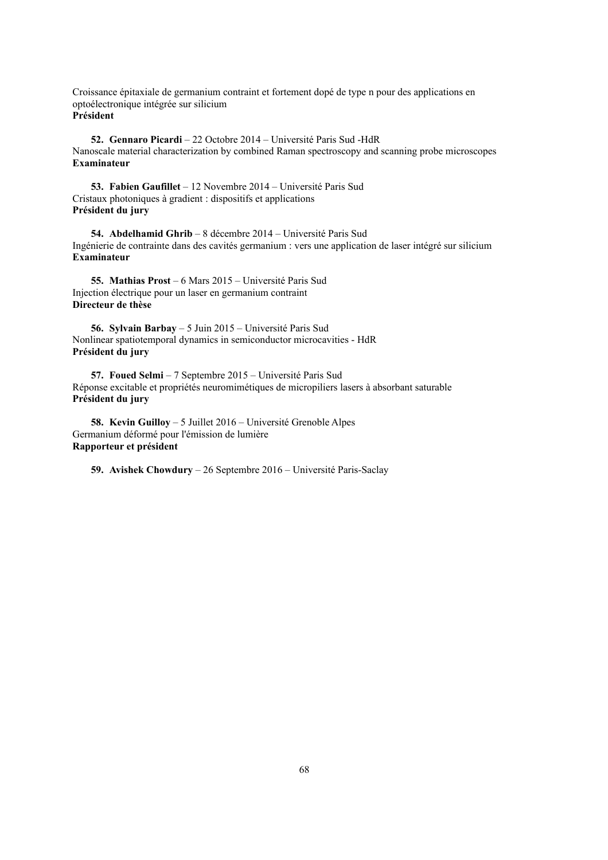Croissance épitaxiale de germanium contraint et fortement dopé de type n pour des applications en optoélectronique intégrée sur silicium **Président**

**52. Gennaro Picardi** – 22 Octobre 2014 – Université Paris Sud -HdR Nanoscale material characterization by combined Raman spectroscopy and scanning probe microscopes **Examinateur**

**53. Fabien Gaufillet** – 12 Novembre 2014 – Université Paris Sud Cristaux photoniques à gradient : dispositifs et applications **Président du jury**

**54. Abdelhamid Ghrib** – 8 décembre 2014 – Université Paris Sud Ingénierie de contrainte dans des cavités germanium : vers une application de laser intégré sur silicium **Examinateur**

**55. Mathias Prost** – 6 Mars 2015 – Université Paris Sud Injection électrique pour un laser en germanium contraint **Directeur de thèse**

**56. Sylvain Barbay** – 5 Juin 2015 – Université Paris Sud Nonlinear spatiotemporal dynamics in semiconductor microcavities - HdR **Président du jury**

**57. Foued Selmi** – 7 Septembre 2015 – Université Paris Sud Réponse excitable et propriétés neuromimétiques de micropiliers lasers à absorbant saturable **Président du jury**

**58. Kevin Guilloy** – 5 Juillet 2016 – Université Grenoble Alpes Germanium déformé pour l'émission de lumière **Rapporteur et président**

**59. Avishek Chowdury** – 26 Septembre 2016 – Université Paris-Saclay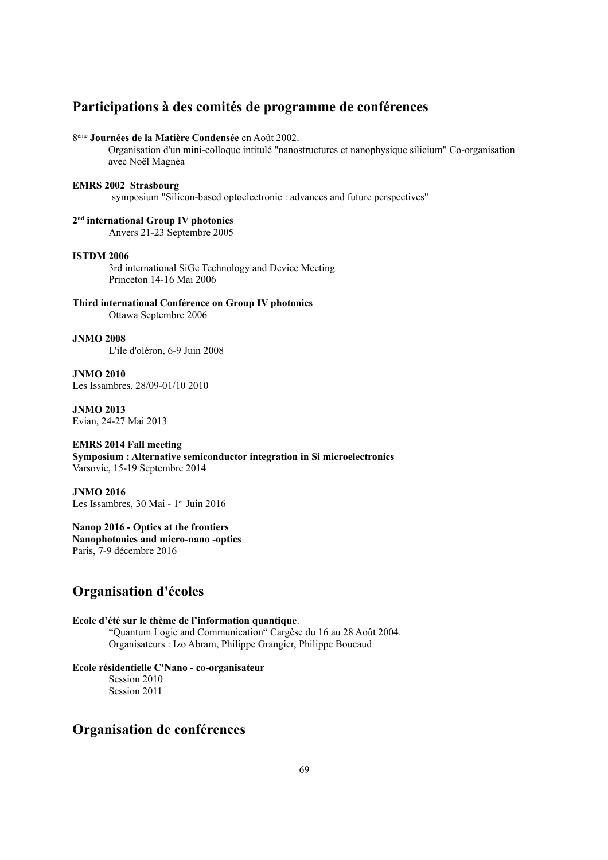### **Participations à des comités de programme de conférences**

#### 8 ème **Journées de la Matière Condensée** en Août 2002.

Organisation d'un mini-colloque intitulé "nanostructures et nanophysique silicium" Co-organisation avec Noël Magnéa

#### **EMRS 2002 Strasbourg**

symposium "Silicon-based optoelectronic : advances and future perspectives"

**2 nd international Group IV photonics** Anvers 21-23 Septembre 2005

#### **ISTDM 2006**

3rd international SiGe Technology and Device Meeting Princeton 14-16 Mai 2006

**Third international Conférence on Group IV photonics** Ottawa Septembre 2006

#### **JNMO 2008**

L'ile d'oléron, 6-9 Juin 2008

**JNMO 2010** Les Issambres, 28/09-01/10 2010

**JNMO 2013** Evian, 24-27 Mai 2013

#### **EMRS 2014 Fall meeting**

**Symposium : Alternative semiconductor integration in Si microelectronics**  Varsovie, 15-19 Septembre 2014

**JNMO 2016** Les Issambres, 30 Mai - 1<sup>er</sup> Juin 2016

#### **Nanop 2016 - Optics at the frontiers**

**Nanophotonics and micro-nano -optics** Paris, 7-9 décembre 2016

### **Organisation d'écoles**

#### **Ecole d'été sur le thème de l'information quantique**.

"Quantum Logic and Communication" Cargèse du 16 au 28 Août 2004. Organisateurs : Izo Abram, Philippe Grangier, Philippe Boucaud

#### **Ecole résidentielle C'Nano - co-organisateur**

Session 2010 Session 2011

### **Organisation de conférences**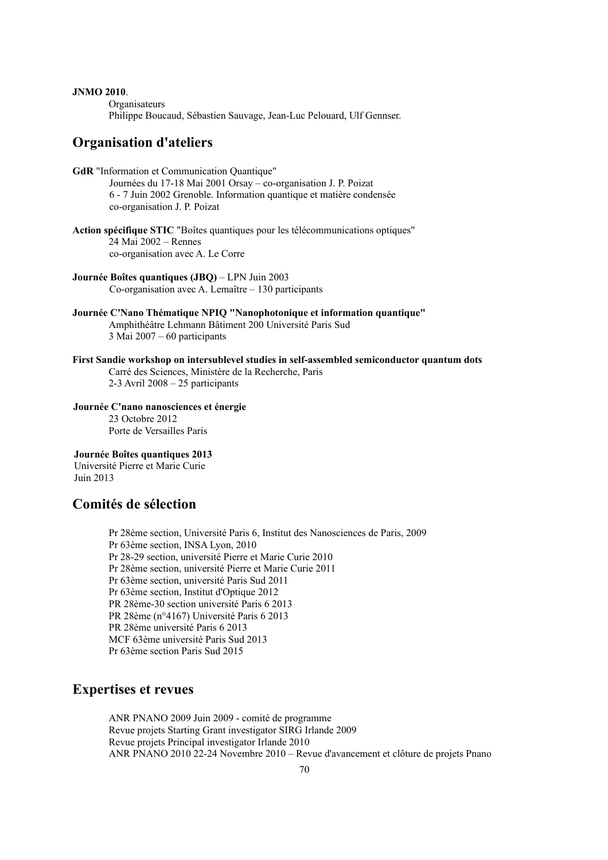#### **JNMO 2010**.

**Organisateurs** 

Philippe Boucaud, Sébastien Sauvage, Jean-Luc Pelouard, Ulf Gennser.

### **Organisation d'ateliers**

- **GdR** "Information et Communication Quantique" Journées du 17-18 Mai 2001 Orsay – co-organisation J. P. Poizat 6 - 7 Juin 2002 Grenoble. Information quantique et matière condensée co-organisation J. P. Poizat
- **Action spécifique STIC** "Boîtes quantiques pour les télécommunications optiques" 24 Mai 2002 – Rennes co-organisation avec A. Le Corre
- **Journée Boîtes quantiques (JBQ)**  LPN Juin 2003 Co-organisation avec A. Lemaître – 130 participants
- **Journée C'Nano Thématique NPIQ "Nanophotonique et information quantique"** Amphithéâtre Lehmann Bâtiment 200 Université Paris Sud 3 Mai 2007 – 60 participants
- **First Sandie workshop on intersublevel studies in self-assembled semiconductor quantum dots** Carré des Sciences, Ministère de la Recherche, Paris 2-3 Avril 2008 – 25 participants
- **Journée C'nano nanosciences et énergie** 23 Octobre 2012 Porte de Versailles Paris

#### **Journée Boîtes quantiques 2013** Université Pierre et Marie Curie Juin 2013

### **Comités de sélection**

Pr 28ème section, Université Paris 6, Institut des Nanosciences de Paris, 2009 Pr 63ème section, INSA Lyon, 2010 Pr 28-29 section, université Pierre et Marie Curie 2010 Pr 28ème section, université Pierre et Marie Curie 2011 Pr 63ème section, université Paris Sud 2011 Pr 63ème section, Institut d'Optique 2012 PR 28ème-30 section université Paris 6 2013 PR 28ème (n°4167) Université Paris 6 2013 PR 28ème université Paris 6 2013 MCF 63ème université Paris Sud 2013 Pr 63ème section Paris Sud 2015

### **Expertises et revues**

ANR PNANO 2009 Juin 2009 - comité de programme Revue projets Starting Grant investigator SIRG Irlande 2009 Revue projets Principal investigator Irlande 2010 ANR PNANO 2010 22-24 Novembre 2010 – Revue d'avancement et clôture de projets Pnano